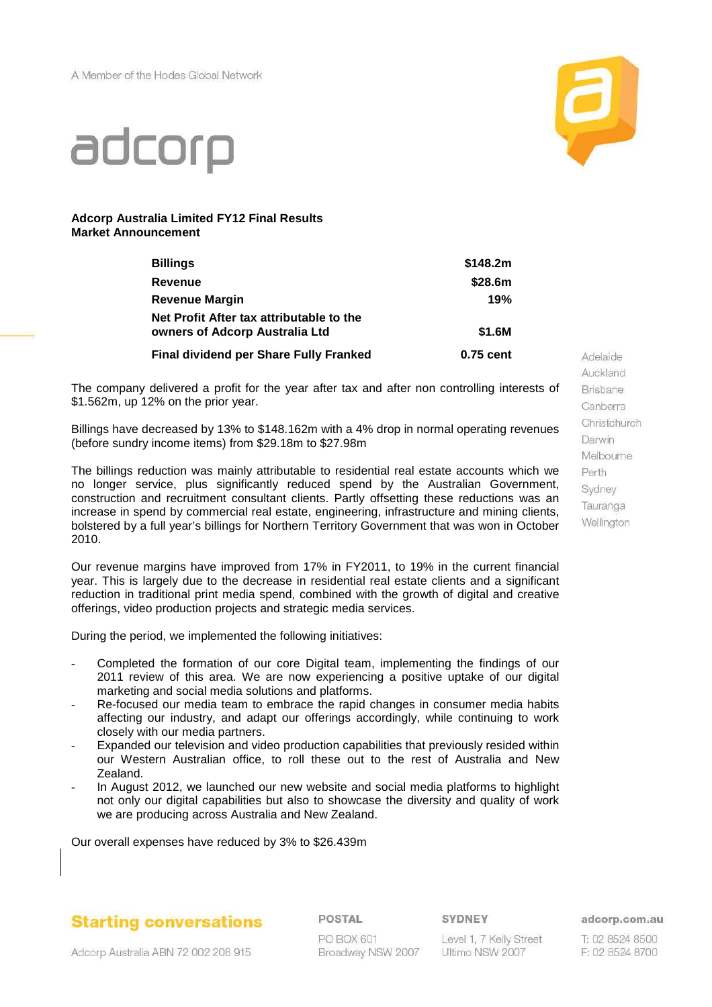

# adcorp

#### **Adcorp Australia Limited FY12 Final Results Market Announcement**

| <b>Billings</b>                                                            | \$148.2m  |
|----------------------------------------------------------------------------|-----------|
| Revenue                                                                    | \$28.6m   |
| <b>Revenue Margin</b>                                                      | 19%       |
| Net Profit After tax attributable to the<br>owners of Adcorp Australia Ltd | \$1.6M    |
| <b>Final dividend per Share Fully Franked</b>                              | 0.75 cent |

The company delivered a profit for the year after tax and after non controlling interests of \$1.562m, up 12% on the prior year.

Billings have decreased by 13% to \$148.162m with a 4% drop in normal operating revenues (before sundry income items) from \$29.18m to \$27.98m

The billings reduction was mainly attributable to residential real estate accounts which we no longer service, plus significantly reduced spend by the Australian Government, construction and recruitment consultant clients. Partly offsetting these reductions was an increase in spend by commercial real estate, engineering, infrastructure and mining clients, bolstered by a full year's billings for Northern Territory Government that was won in October 2010.

Our revenue margins have improved from 17% in FY2011, to 19% in the current financial year. This is largely due to the decrease in residential real estate clients and a significant reduction in traditional print media spend, combined with the growth of digital and creative offerings, video production projects and strategic media services.

During the period, we implemented the following initiatives:

- Completed the formation of our core Digital team, implementing the findings of our 2011 review of this area. We are now experiencing a positive uptake of our digital marketing and social media solutions and platforms.
- Re-focused our media team to embrace the rapid changes in consumer media habits affecting our industry, and adapt our offerings accordingly, while continuing to work closely with our media partners.
- Expanded our television and video production capabilities that previously resided within our Western Australian office, to roll these out to the rest of Australia and New Zealand.
- In August 2012, we launched our new website and social media platforms to highlight not only our digital capabilities but also to showcase the diversity and quality of work we are producing across Australia and New Zealand.

Our overall expenses have reduced by 3% to \$26.439m

**Starting conversations** 

POSTAL

SYDNEY

Level 1, 7 Kelly Street Ultimo NSW 2007

Auckland **Brisbane** Canberra Christchurch Darwin Melbourne Perth Sydney Tauranga Wellington

Adelaide

adcorp.com.au

T: 02 8524 8500 F: 02 8524 8700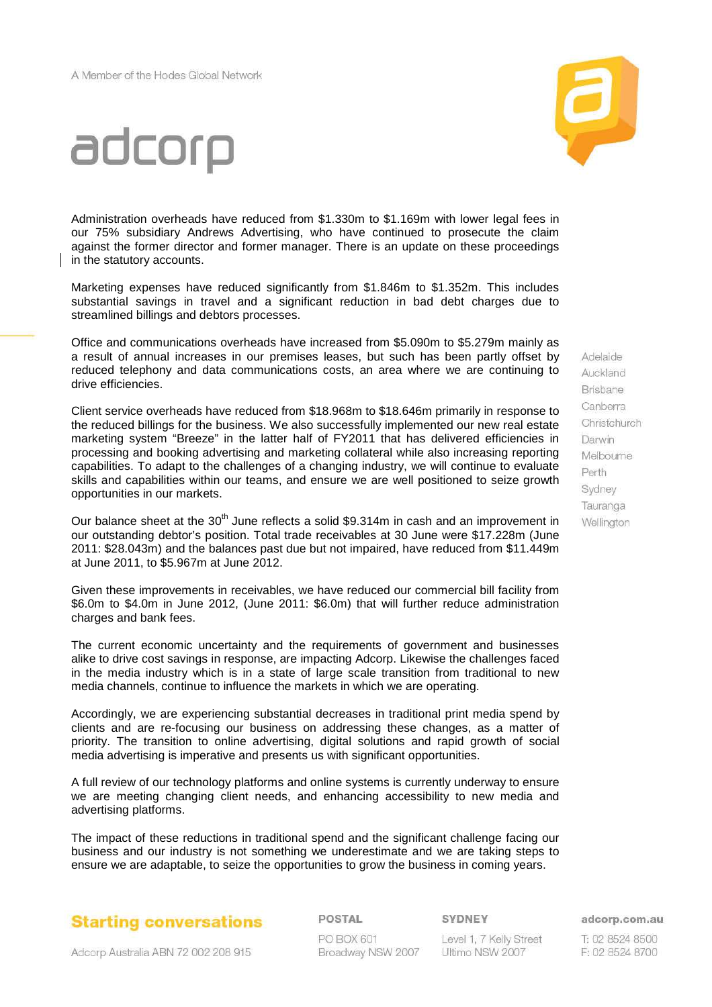

# adcorp

Administration overheads have reduced from \$1.330m to \$1.169m with lower legal fees in our 75% subsidiary Andrews Advertising, who have continued to prosecute the claim against the former director and former manager. There is an update on these proceedings in the statutory accounts.

Marketing expenses have reduced significantly from \$1.846m to \$1.352m. This includes substantial savings in travel and a significant reduction in bad debt charges due to streamlined billings and debtors processes.

Office and communications overheads have increased from \$5.090m to \$5.279m mainly as a result of annual increases in our premises leases, but such has been partly offset by reduced telephony and data communications costs, an area where we are continuing to drive efficiencies.

Client service overheads have reduced from \$18.968m to \$18.646m primarily in response to the reduced billings for the business. We also successfully implemented our new real estate marketing system "Breeze" in the latter half of FY2011 that has delivered efficiencies in processing and booking advertising and marketing collateral while also increasing reporting capabilities. To adapt to the challenges of a changing industry, we will continue to evaluate skills and capabilities within our teams, and ensure we are well positioned to seize growth opportunities in our markets.

Our balance sheet at the 30<sup>th</sup> June reflects a solid \$9.314m in cash and an improvement in our outstanding debtor's position. Total trade receivables at 30 June were \$17.228m (June 2011: \$28.043m) and the balances past due but not impaired, have reduced from \$11.449m at June 2011, to \$5.967m at June 2012.

Given these improvements in receivables, we have reduced our commercial bill facility from \$6.0m to \$4.0m in June 2012, (June 2011: \$6.0m) that will further reduce administration charges and bank fees.

The current economic uncertainty and the requirements of government and businesses alike to drive cost savings in response, are impacting Adcorp. Likewise the challenges faced in the media industry which is in a state of large scale transition from traditional to new media channels, continue to influence the markets in which we are operating.

Accordingly, we are experiencing substantial decreases in traditional print media spend by clients and are re-focusing our business on addressing these changes, as a matter of priority. The transition to online advertising, digital solutions and rapid growth of social media advertising is imperative and presents us with significant opportunities.

A full review of our technology platforms and online systems is currently underway to ensure we are meeting changing client needs, and enhancing accessibility to new media and advertising platforms.

The impact of these reductions in traditional spend and the significant challenge facing our business and our industry is not something we underestimate and we are taking steps to ensure we are adaptable, to seize the opportunities to grow the business in coming years.



POSTAL

**PO BOX 601** Broadway NSW 2007 SYDNEY

Level 1, 7 Kelly Street Ultimo NSW 2007

Auckland **Brisbane** Canberra Christchurch Darwin Melbourne Perth Sydney Tauranga Wellington

Adelaide

adcorp.com.au

T: 02 8524 8500 F: 02 8524 8700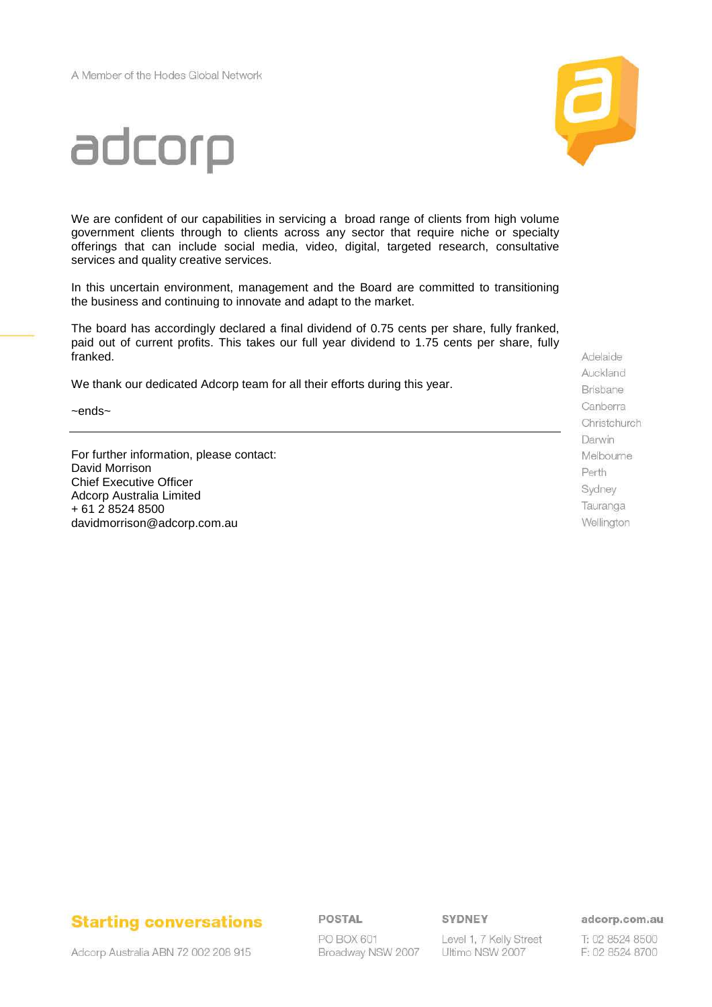

# adcorp

We are confident of our capabilities in servicing a broad range of clients from high volume government clients through to clients across any sector that require niche or specialty offerings that can include social media, video, digital, targeted research, consultative services and quality creative services.

In this uncertain environment, management and the Board are committed to transitioning the business and continuing to innovate and adapt to the market.

The board has accordingly declared a final dividend of 0.75 cents per share, fully franked, paid out of current profits. This takes our full year dividend to 1.75 cents per share, fully franked.

We thank our dedicated Adcorp team for all their efforts during this year.

~ends~

For further information, please contact: David Morrison Chief Executive Officer Adcorp Australia Limited + 61 2 8524 8500 davidmorrison@adcorp.com.au

Adelaide Auckland Brisbane Canberra Christchurch Darwin Melbourne Perth Sydney Tauranga Wellington

# **Starting conversations**

Adcorp Australia ABN 72 002 208 915

POSTAL

PO BOX 601 Broadway NSW 2007 SYDNEY

Level 1, 7 Kelly Street Ultimo NSW 2007

adcorp.com.au

T: 02 8524 8500 F: 02 8524 8700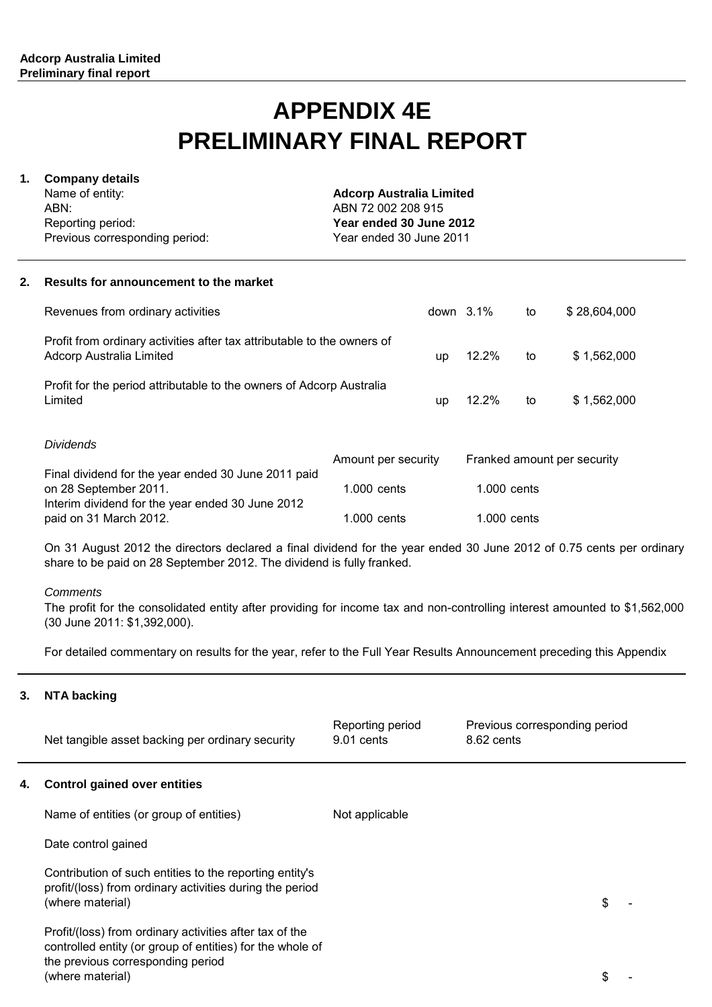# **APPENDIX 4E PRELIMINARY FINAL REPORT**

## **1. Company details**

Name of entity: ABN: Reporting period: Previous corresponding period: **Adcorp Australia Limited** ABN 72 002 208 915 **Year ended 30 June 2012** Year ended 30 June 2011

#### **2. Results for announcement to the market**

| <b>Dividends</b>                                                                                    | المشاروع والمستحدث والمستحدث المتحاوية والمستحدث والمستحدث والمستحدث والمستحدث |              |    |              |
|-----------------------------------------------------------------------------------------------------|--------------------------------------------------------------------------------|--------------|----|--------------|
| Profit for the period attributable to the owners of Adcorp Australia<br>Limited                     | <b>up</b>                                                                      | 12.2%        | to | \$1,562,000  |
| Profit from ordinary activities after tax attributable to the owners of<br>Adcorp Australia Limited | up                                                                             | 12.2%        | to | \$1,562,000  |
| Revenues from ordinary activities                                                                   |                                                                                | down $3.1\%$ | to | \$28,604,000 |

| Amount per security | Franked amount per security |
|---------------------|-----------------------------|
|                     |                             |
| $1.000$ cents       | $1.000$ cents               |
|                     |                             |
| 1.000 cents         | $1.000$ cents               |
|                     |                             |

On 31 August 2012 the directors declared a final dividend for the year ended 30 June 2012 of 0.75 cents per ordinary share to be paid on 28 September 2012. The dividend is fully franked.

#### **Comments**

The profit for the consolidated entity after providing for income tax and non-controlling interest amounted to \$1,562,000 (30 June 2011: \$1,392,000).

For detailed commentary on results for the year, refer to the Full Year Results Announcement preceding this Appendix

#### **3. NTA backing**

|    | Net tangible asset backing per ordinary security                                                                                                                              | Reporting period<br>9.01 cents | Previous corresponding period<br>8.62 cents |    |
|----|-------------------------------------------------------------------------------------------------------------------------------------------------------------------------------|--------------------------------|---------------------------------------------|----|
| 4. | <b>Control gained over entities</b>                                                                                                                                           |                                |                                             |    |
|    | Name of entities (or group of entities)                                                                                                                                       | Not applicable                 |                                             |    |
|    | Date control gained                                                                                                                                                           |                                |                                             |    |
|    | Contribution of such entities to the reporting entity's<br>profit/(loss) from ordinary activities during the period<br>(where material)                                       |                                |                                             | \$ |
|    | Profit/(loss) from ordinary activities after tax of the<br>controlled entity (or group of entities) for the whole of<br>the previous corresponding period<br>(where material) |                                |                                             | \$ |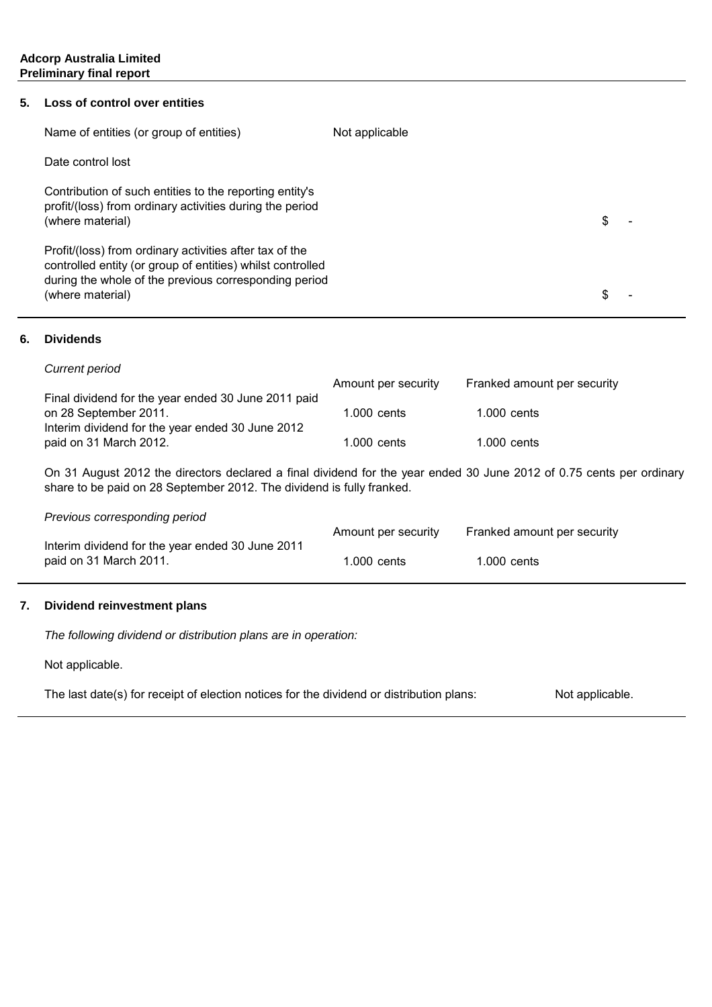#### **5. Loss of control over entities**

| Name of entities (or group of entities)                                                                                                                                                            | Not applicable |  |
|----------------------------------------------------------------------------------------------------------------------------------------------------------------------------------------------------|----------------|--|
| Date control lost                                                                                                                                                                                  |                |  |
| Contribution of such entities to the reporting entity's<br>profit/(loss) from ordinary activities during the period<br>(where material)                                                            |                |  |
| Profit/(loss) from ordinary activities after tax of the<br>controlled entity (or group of entities) whilst controlled<br>during the whole of the previous corresponding period<br>(where material) |                |  |

#### **6. Dividends**

| Current period                                                                                                                   | Amount per security | Franked amount per security |
|----------------------------------------------------------------------------------------------------------------------------------|---------------------|-----------------------------|
| Final dividend for the year ended 30 June 2011 paid<br>on 28 September 2011.<br>Interim dividend for the year ended 30 June 2012 | 1.000 cents         | $1.000$ cents               |
| paid on 31 March 2012.                                                                                                           | 1.000 cents         | $1.000$ cents               |

On 31 August 2012 the directors declared a final dividend for the year ended 30 June 2012 of 0.75 cents per ordinary share to be paid on 28 September 2012. The dividend is fully franked.

#### Previous corresponding period

|                                                  | Amount per security | Franked amount per security |
|--------------------------------------------------|---------------------|-----------------------------|
| Interim dividend for the year ended 30 June 2011 |                     |                             |
| paid on 31 March 2011.                           | l.000 cents.        | $1.000$ cents               |

#### **7. Dividend reinvestment plans**

The following dividend or distribution plans are in operation:

Not applicable.

Not applicable. The last date(s) for receipt of election notices for the dividend or distribution plans: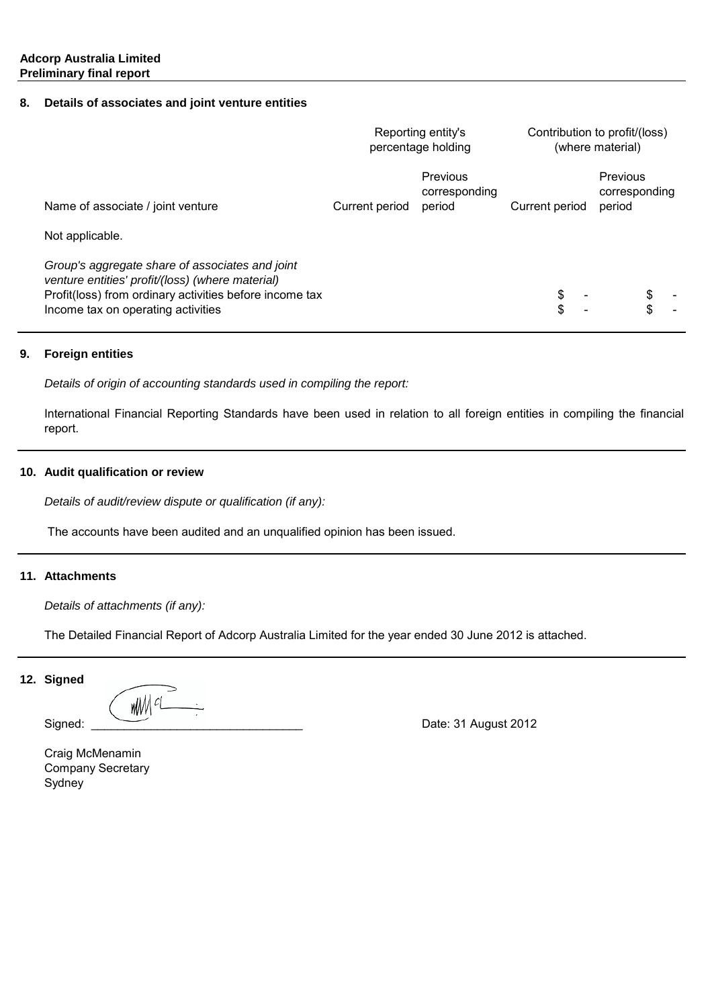#### **8. Details of associates and joint venture entities**

|                                                                                                                                                                                                      |                | Reporting entity's<br>percentage holding | Contribution to profit/(loss) | (where material)                           |    |
|------------------------------------------------------------------------------------------------------------------------------------------------------------------------------------------------------|----------------|------------------------------------------|-------------------------------|--------------------------------------------|----|
| Name of associate / joint venture                                                                                                                                                                    | Current period | Previous<br>corresponding<br>period      | Current period                | <b>Previous</b><br>corresponding<br>period |    |
| Not applicable.                                                                                                                                                                                      |                |                                          |                               |                                            |    |
| Group's aggregate share of associates and joint<br>venture entities' profit/(loss) (where material)<br>Profit(loss) from ordinary activities before income tax<br>Income tax on operating activities |                |                                          |                               |                                            | \$ |

#### **9. Foreign entities**

Details of origin of accounting standards used in compiling the report:

International Financial Reporting Standards have been used in relation to all foreign entities in compiling the financial report.

#### **10. Audit qualification or review**

Details of audit/review dispute or qualification (if any):

The accounts have been audited and an unqualified opinion has been issued.

#### **11. Attachments**

Details of attachments (if any):

The Detailed Financial Report of Adcorp Australia Limited for the year ended 30 June 2012 is attached.

#### **12. Signed**

WM <sup>cL</sup>

Signed: \_\_\_\_\_\_\_\_\_\_\_\_\_\_\_\_\_\_\_\_\_\_\_\_\_\_\_\_\_\_\_\_ Date: 31 August 2012

Sydney Company Secretary Craig McMenamin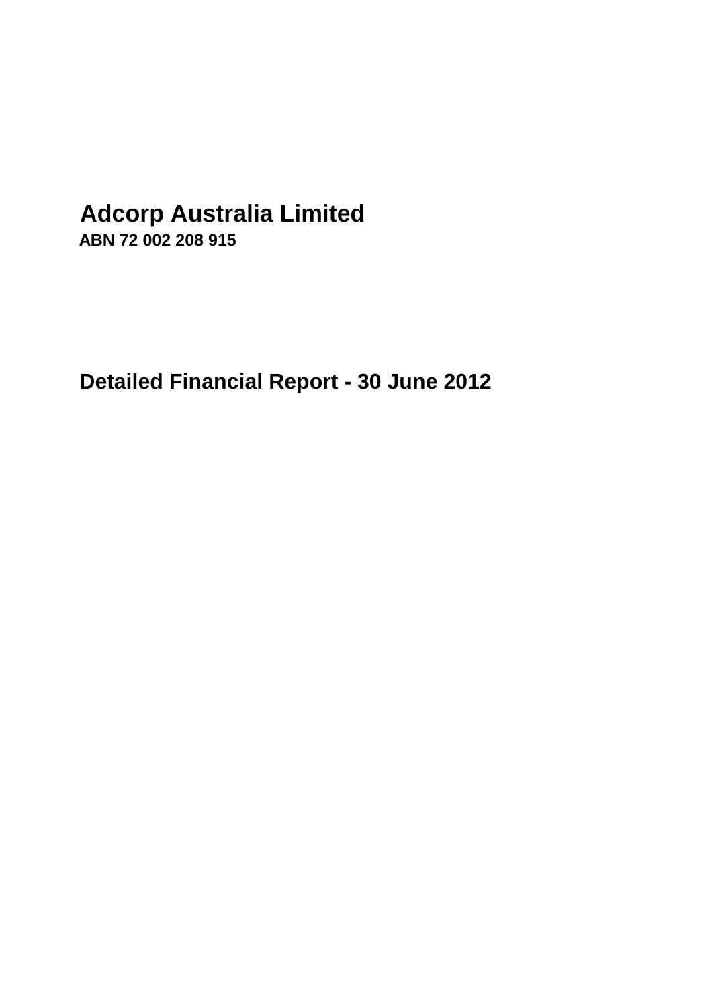# **Adcorp Australia Limited**

**ABN 72 002 208 915**

**Detailed Financial Report - 30 June 2012**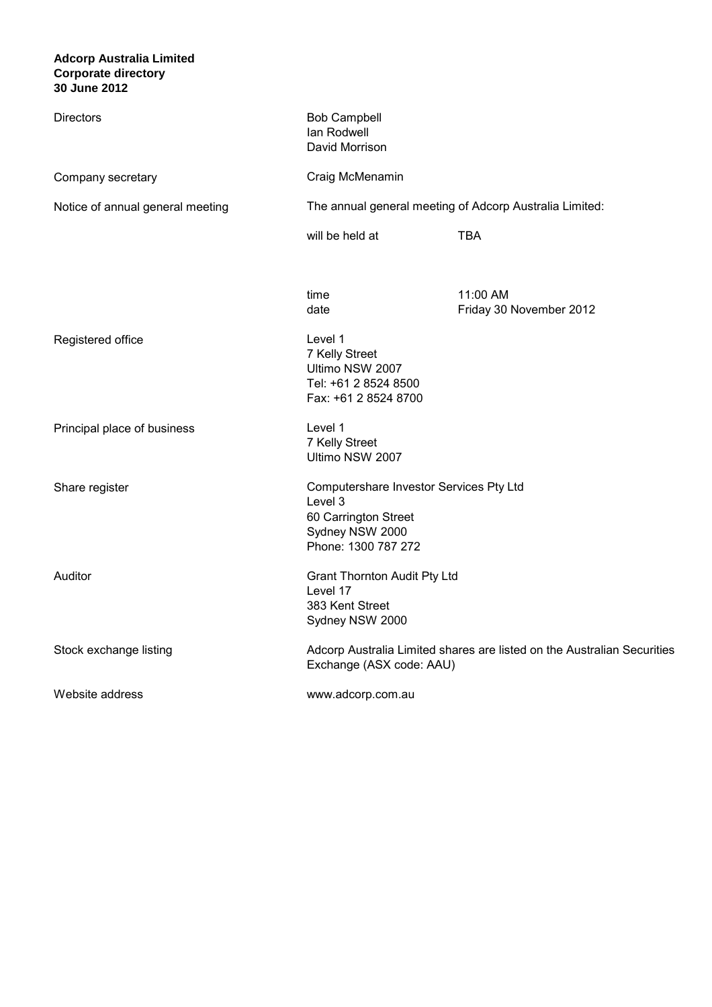#### **Adcorp Australia Limited 30 June 2012 Corporate directory**

| <b>Directors</b>                 | <b>Bob Campbell</b><br>Ian Rodwell<br>David Morrison                                                                 |                                                                         |
|----------------------------------|----------------------------------------------------------------------------------------------------------------------|-------------------------------------------------------------------------|
| Company secretary                | Craig McMenamin                                                                                                      |                                                                         |
| Notice of annual general meeting |                                                                                                                      | The annual general meeting of Adcorp Australia Limited:                 |
|                                  | will be held at                                                                                                      | <b>TBA</b>                                                              |
|                                  | time<br>date                                                                                                         | 11:00 AM<br>Friday 30 November 2012                                     |
| Registered office                | Level 1<br>7 Kelly Street<br>Ultimo NSW 2007<br>Tel: +61 2 8524 8500<br>Fax: +61 2 8524 8700                         |                                                                         |
| Principal place of business      | Level 1<br>7 Kelly Street<br>Ultimo NSW 2007                                                                         |                                                                         |
| Share register                   | Computershare Investor Services Pty Ltd<br>Level 3<br>60 Carrington Street<br>Sydney NSW 2000<br>Phone: 1300 787 272 |                                                                         |
| Auditor                          | <b>Grant Thornton Audit Pty Ltd</b><br>Level 17<br>383 Kent Street<br>Sydney NSW 2000                                |                                                                         |
| Stock exchange listing           | Exchange (ASX code: AAU)                                                                                             | Adcorp Australia Limited shares are listed on the Australian Securities |
| Website address                  | www.adcorp.com.au                                                                                                    |                                                                         |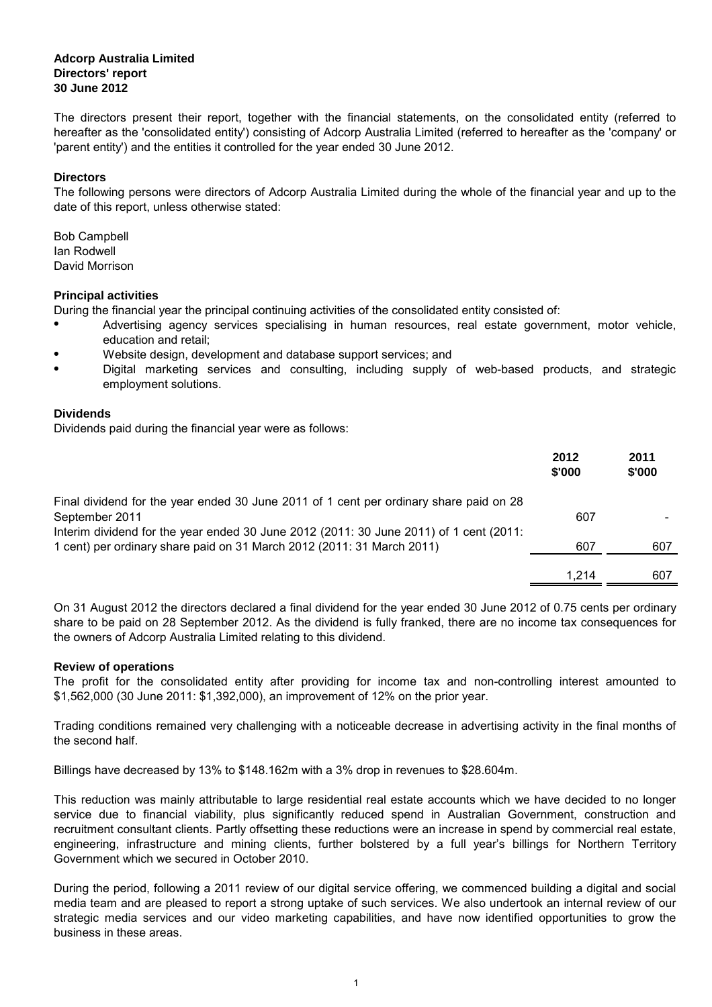The directors present their report, together with the financial statements, on the consolidated entity (referred to hereafter as the 'consolidated entity') consisting of Adcorp Australia Limited (referred to hereafter as the 'company' or 'parent entity') and the entities it controlled for the year ended 30 June 2012.

#### **Directors**

The following persons were directors of Adcorp Australia Limited during the whole of the financial year and up to the date of this report, unless otherwise stated:

David Morrison Bob Campbell Ian Rodwell

#### **Principal activities**

During the financial year the principal continuing activities of the consolidated entity consisted of:

- Advertising agency services specialising in human resources, real estate government, motor vehicle, education and retail;
- Website design, development and database support services; and
- Digital marketing services and consulting, including supply of web-based products, and strategic employment solutions.

#### **Dividends**

Dividends paid during the financial year were as follows:

|                                                                                        | 2012<br>\$'000 | 2011<br>\$'000 |
|----------------------------------------------------------------------------------------|----------------|----------------|
| Final dividend for the year ended 30 June 2011 of 1 cent per ordinary share paid on 28 |                |                |
| September 2011                                                                         | 607            |                |
| Interim dividend for the year ended 30 June 2012 (2011: 30 June 2011) of 1 cent (2011: |                |                |
| 1 cent) per ordinary share paid on 31 March 2012 (2011: 31 March 2011)                 | 607            | 607            |
|                                                                                        |                |                |
|                                                                                        | 1.214          | 607            |

On 31 August 2012 the directors declared a final dividend for the year ended 30 June 2012 of 0.75 cents per ordinary share to be paid on 28 September 2012. As the dividend is fully franked, there are no income tax consequences for the owners of Adcorp Australia Limited relating to this dividend.

#### **Review of operations**

The profit for the consolidated entity after providing for income tax and non-controlling interest amounted to \$1,562,000 (30 June 2011: \$1,392,000), an improvement of 12% on the prior year.

Trading conditions remained very challenging with a noticeable decrease in advertising activity in the final months of the second half.

Billings have decreased by 13% to \$148.162m with a 3% drop in revenues to \$28.604m.

This reduction was mainly attributable to large residential real estate accounts which we have decided to no longer service due to financial viability, plus significantly reduced spend in Australian Government, construction and recruitment consultant clients. Partly offsetting these reductions were an increase in spend by commercial real estate, engineering, infrastructure and mining clients, further bolstered by a full year's billings for Northern Territory Government which we secured in October 2010.

During the period, following a 2011 review of our digital service offering, we commenced building a digital and social media team and are pleased to report a strong uptake of such services. We also undertook an internal review of our strategic media services and our video marketing capabilities, and have now identified opportunities to grow the business in these areas.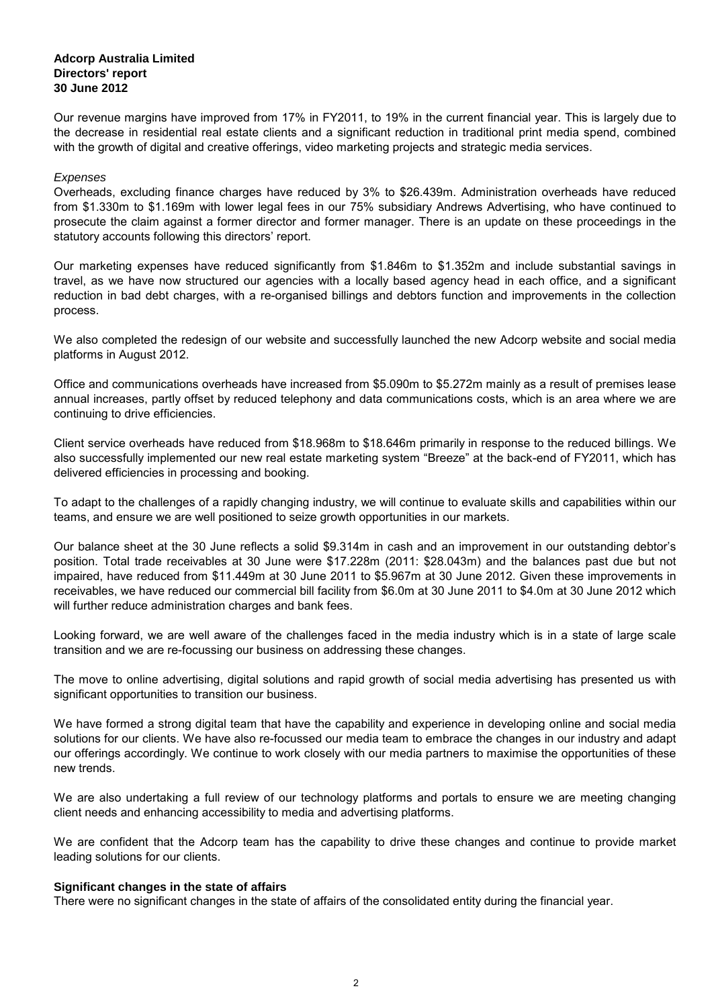Our revenue margins have improved from 17% in FY2011, to 19% in the current financial year. This is largely due to the decrease in residential real estate clients and a significant reduction in traditional print media spend, combined with the growth of digital and creative offerings, video marketing projects and strategic media services.

#### Expenses

Overheads, excluding finance charges have reduced by 3% to \$26.439m. Administration overheads have reduced from \$1.330m to \$1.169m with lower legal fees in our 75% subsidiary Andrews Advertising, who have continued to prosecute the claim against a former director and former manager. There is an update on these proceedings in the statutory accounts following this directors' report.

Our marketing expenses have reduced significantly from \$1.846m to \$1.352m and include substantial savings in travel, as we have now structured our agencies with a locally based agency head in each office, and a significant reduction in bad debt charges, with a re-organised billings and debtors function and improvements in the collection process.

We also completed the redesign of our website and successfully launched the new Adcorp website and social media platforms in August 2012.

Office and communications overheads have increased from \$5.090m to \$5.272m mainly as a result of premises lease annual increases, partly offset by reduced telephony and data communications costs, which is an area where we are continuing to drive efficiencies.

Client service overheads have reduced from \$18.968m to \$18.646m primarily in response to the reduced billings. We also successfully implemented our new real estate marketing system "Breeze" at the back-end of FY2011, which has delivered efficiencies in processing and booking.

To adapt to the challenges of a rapidly changing industry, we will continue to evaluate skills and capabilities within our teams, and ensure we are well positioned to seize growth opportunities in our markets.

Our balance sheet at the 30 June reflects a solid \$9.314m in cash and an improvement in our outstanding debtor's position. Total trade receivables at 30 June were \$17.228m (2011: \$28.043m) and the balances past due but not impaired, have reduced from \$11.449m at 30 June 2011 to \$5.967m at 30 June 2012. Given these improvements in receivables, we have reduced our commercial bill facility from \$6.0m at 30 June 2011 to \$4.0m at 30 June 2012 which will further reduce administration charges and bank fees.

Looking forward, we are well aware of the challenges faced in the media industry which is in a state of large scale transition and we are re-focussing our business on addressing these changes.

The move to online advertising, digital solutions and rapid growth of social media advertising has presented us with significant opportunities to transition our business.

We have formed a strong digital team that have the capability and experience in developing online and social media solutions for our clients. We have also re-focussed our media team to embrace the changes in our industry and adapt our offerings accordingly. We continue to work closely with our media partners to maximise the opportunities of these new trends.

We are also undertaking a full review of our technology platforms and portals to ensure we are meeting changing client needs and enhancing accessibility to media and advertising platforms.

We are confident that the Adcorp team has the capability to drive these changes and continue to provide market leading solutions for our clients.

#### **Significant changes in the state of affairs**

There were no significant changes in the state of affairs of the consolidated entity during the financial year.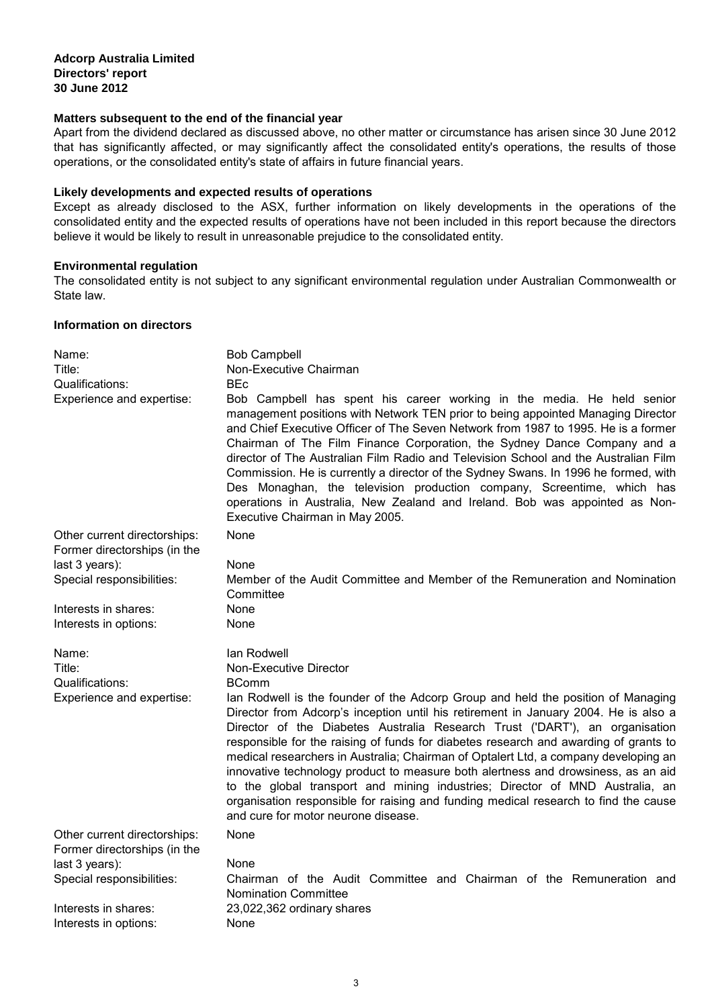### **Matters subsequent to the end of the financial year**

Apart from the dividend declared as discussed above, no other matter or circumstance has arisen since 30 June 2012 that has significantly affected, or may significantly affect the consolidated entity's operations, the results of those operations, or the consolidated entity's state of affairs in future financial years.

### **Likely developments and expected results of operations**

Except as already disclosed to the ASX, further information on likely developments in the operations of the consolidated entity and the expected results of operations have not been included in this report because the directors believe it would be likely to result in unreasonable prejudice to the consolidated entity.

#### **Environmental regulation**

The consolidated entity is not subject to any significant environmental regulation under Australian Commonwealth or State law.

#### **Information on directors**

| Name:<br>Title:<br>Qualifications:<br>Experience and expertise: | <b>Bob Campbell</b><br>Non-Executive Chairman<br><b>BEc</b><br>Bob Campbell has spent his career working in the media. He held senior<br>management positions with Network TEN prior to being appointed Managing Director<br>and Chief Executive Officer of The Seven Network from 1987 to 1995. He is a former<br>Chairman of The Film Finance Corporation, the Sydney Dance Company and a<br>director of The Australian Film Radio and Television School and the Australian Film<br>Commission. He is currently a director of the Sydney Swans. In 1996 he formed, with<br>Des Monaghan, the television production company, Screentime, which has<br>operations in Australia, New Zealand and Ireland. Bob was appointed as Non-<br>Executive Chairman in May 2005. |
|-----------------------------------------------------------------|-----------------------------------------------------------------------------------------------------------------------------------------------------------------------------------------------------------------------------------------------------------------------------------------------------------------------------------------------------------------------------------------------------------------------------------------------------------------------------------------------------------------------------------------------------------------------------------------------------------------------------------------------------------------------------------------------------------------------------------------------------------------------|
| Other current directorships:<br>Former directorships (in the    | None                                                                                                                                                                                                                                                                                                                                                                                                                                                                                                                                                                                                                                                                                                                                                                  |
| last 3 years):                                                  | None                                                                                                                                                                                                                                                                                                                                                                                                                                                                                                                                                                                                                                                                                                                                                                  |
| Special responsibilities:                                       | Member of the Audit Committee and Member of the Remuneration and Nomination<br>Committee                                                                                                                                                                                                                                                                                                                                                                                                                                                                                                                                                                                                                                                                              |
| Interests in shares:                                            | None                                                                                                                                                                                                                                                                                                                                                                                                                                                                                                                                                                                                                                                                                                                                                                  |
| Interests in options:                                           | None                                                                                                                                                                                                                                                                                                                                                                                                                                                                                                                                                                                                                                                                                                                                                                  |
| Name:                                                           | lan Rodwell                                                                                                                                                                                                                                                                                                                                                                                                                                                                                                                                                                                                                                                                                                                                                           |
| Title:                                                          |                                                                                                                                                                                                                                                                                                                                                                                                                                                                                                                                                                                                                                                                                                                                                                       |
|                                                                 | <b>Non-Executive Director</b>                                                                                                                                                                                                                                                                                                                                                                                                                                                                                                                                                                                                                                                                                                                                         |
| Qualifications:                                                 | <b>BComm</b>                                                                                                                                                                                                                                                                                                                                                                                                                                                                                                                                                                                                                                                                                                                                                          |
| Experience and expertise:                                       | lan Rodwell is the founder of the Adcorp Group and held the position of Managing<br>Director from Adcorp's inception until his retirement in January 2004. He is also a<br>Director of the Diabetes Australia Research Trust ('DART'), an organisation<br>responsible for the raising of funds for diabetes research and awarding of grants to<br>medical researchers in Australia; Chairman of Optalert Ltd, a company developing an<br>innovative technology product to measure both alertness and drowsiness, as an aid<br>to the global transport and mining industries; Director of MND Australia, an<br>organisation responsible for raising and funding medical research to find the cause<br>and cure for motor neurone disease.                              |
| Other current directorships:<br>Former directorships (in the    | None                                                                                                                                                                                                                                                                                                                                                                                                                                                                                                                                                                                                                                                                                                                                                                  |
| last 3 years):                                                  | None                                                                                                                                                                                                                                                                                                                                                                                                                                                                                                                                                                                                                                                                                                                                                                  |
| Special responsibilities:                                       | Chairman of the Audit Committee and Chairman of the Remuneration and<br><b>Nomination Committee</b>                                                                                                                                                                                                                                                                                                                                                                                                                                                                                                                                                                                                                                                                   |
| Interests in shares:<br>Interests in options:                   | 23,022,362 ordinary shares<br>None                                                                                                                                                                                                                                                                                                                                                                                                                                                                                                                                                                                                                                                                                                                                    |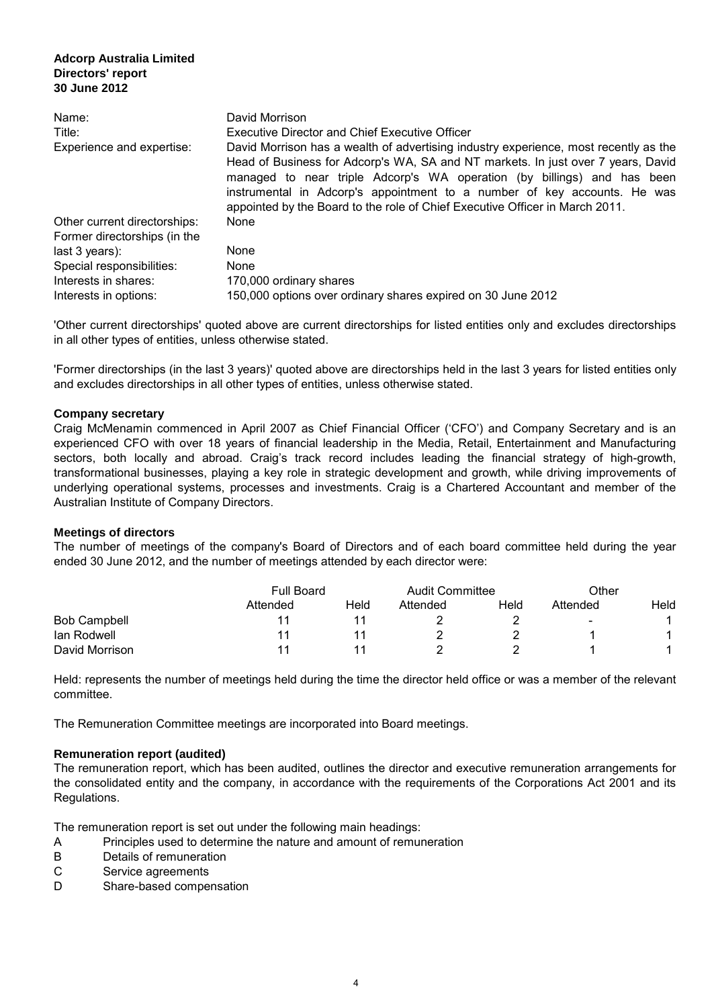| Name:                        | David Morrison                                                                                                                                                                                                                                                                                                                                                                                                  |
|------------------------------|-----------------------------------------------------------------------------------------------------------------------------------------------------------------------------------------------------------------------------------------------------------------------------------------------------------------------------------------------------------------------------------------------------------------|
| Title:                       | <b>Executive Director and Chief Executive Officer</b>                                                                                                                                                                                                                                                                                                                                                           |
| Experience and expertise:    | David Morrison has a wealth of advertising industry experience, most recently as the<br>Head of Business for Adcorp's WA, SA and NT markets. In just over 7 years, David<br>managed to near triple Adcorp's WA operation (by billings) and has been<br>instrumental in Adcorp's appointment to a number of key accounts. He was<br>appointed by the Board to the role of Chief Executive Officer in March 2011. |
| Other current directorships: | None                                                                                                                                                                                                                                                                                                                                                                                                            |
| Former directorships (in the |                                                                                                                                                                                                                                                                                                                                                                                                                 |
| last $3$ years):             | None                                                                                                                                                                                                                                                                                                                                                                                                            |
| Special responsibilities:    | None                                                                                                                                                                                                                                                                                                                                                                                                            |
| Interests in shares:         | 170,000 ordinary shares                                                                                                                                                                                                                                                                                                                                                                                         |
| Interests in options:        | 150,000 options over ordinary shares expired on 30 June 2012                                                                                                                                                                                                                                                                                                                                                    |

'Other current directorships' quoted above are current directorships for listed entities only and excludes directorships in all other types of entities, unless otherwise stated.

'Former directorships (in the last 3 years)' quoted above are directorships held in the last 3 years for listed entities only and excludes directorships in all other types of entities, unless otherwise stated.

#### **Company secretary**

Craig McMenamin commenced in April 2007 as Chief Financial Officer ('CFO') and Company Secretary and is an experienced CFO with over 18 years of financial leadership in the Media, Retail, Entertainment and Manufacturing sectors, both locally and abroad. Craig's track record includes leading the financial strategy of high-growth, transformational businesses, playing a key role in strategic development and growth, while driving improvements of underlying operational systems, processes and investments. Craig is a Chartered Accountant and member of the Australian Institute of Company Directors.

#### **Meetings of directors**

The number of meetings of the company's Board of Directors and of each board committee held during the year ended 30 June 2012, and the number of meetings attended by each director were:

|                     | <b>Full Board</b> |      | <b>Audit Committee</b> |      | Other                    |      |
|---------------------|-------------------|------|------------------------|------|--------------------------|------|
|                     | Attended          | Held | Attended               | Held | Attended                 | Held |
| <b>Bob Campbell</b> |                   |      |                        |      | $\overline{\phantom{a}}$ |      |
| lan Rodwell         |                   |      |                        |      |                          |      |
| David Morrison      |                   |      |                        |      |                          |      |

Held: represents the number of meetings held during the time the director held office or was a member of the relevant committee.

The Remuneration Committee meetings are incorporated into Board meetings.

#### **Remuneration report (audited)**

The remuneration report, which has been audited, outlines the director and executive remuneration arrangements for the consolidated entity and the company, in accordance with the requirements of the Corporations Act 2001 and its Regulations.

The remuneration report is set out under the following main headings:

- A Principles used to determine the nature and amount of remuneration
- B Details of remuneration
- C Service agreements
- D Share-based compensation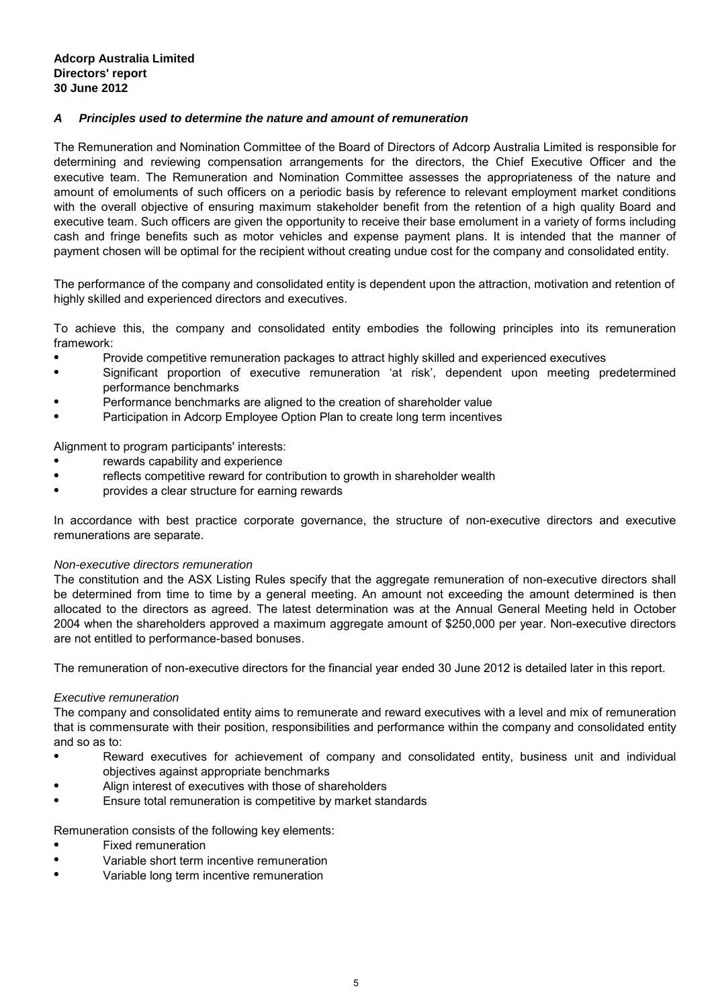### **A Principles used to determine the nature and amount of remuneration**

The Remuneration and Nomination Committee of the Board of Directors of Adcorp Australia Limited is responsible for determining and reviewing compensation arrangements for the directors, the Chief Executive Officer and the executive team. The Remuneration and Nomination Committee assesses the appropriateness of the nature and amount of emoluments of such officers on a periodic basis by reference to relevant employment market conditions with the overall objective of ensuring maximum stakeholder benefit from the retention of a high quality Board and executive team. Such officers are given the opportunity to receive their base emolument in a variety of forms including cash and fringe benefits such as motor vehicles and expense payment plans. It is intended that the manner of payment chosen will be optimal for the recipient without creating undue cost for the company and consolidated entity.

The performance of the company and consolidated entity is dependent upon the attraction, motivation and retention of highly skilled and experienced directors and executives.

To achieve this, the company and consolidated entity embodies the following principles into its remuneration framework:

- Provide competitive remuneration packages to attract highly skilled and experienced executives
- Significant proportion of executive remuneration 'at risk', dependent upon meeting predetermined performance benchmarks
- Performance benchmarks are aligned to the creation of shareholder value
- Participation in Adcorp Employee Option Plan to create long term incentives

Alignment to program participants' interests:

- rewards capability and experience
- reflects competitive reward for contribution to growth in shareholder wealth
- provides a clear structure for earning rewards

In accordance with best practice corporate governance, the structure of non-executive directors and executive remunerations are separate.

#### Non-executive directors remuneration

The constitution and the ASX Listing Rules specify that the aggregate remuneration of non-executive directors shall be determined from time to time by a general meeting. An amount not exceeding the amount determined is then allocated to the directors as agreed. The latest determination was at the Annual General Meeting held in October 2004 when the shareholders approved a maximum aggregate amount of \$250,000 per year. Non-executive directors are not entitled to performance-based bonuses.

The remuneration of non-executive directors for the financial year ended 30 June 2012 is detailed later in this report.

#### Executive remuneration

The company and consolidated entity aims to remunerate and reward executives with a level and mix of remuneration that is commensurate with their position, responsibilities and performance within the company and consolidated entity and so as to:

- Reward executives for achievement of company and consolidated entity, business unit and individual objectives against appropriate benchmarks
- Align interest of executives with those of shareholders
- $\bullet$ Ensure total remuneration is competitive by market standards

Remuneration consists of the following key elements:

- Fixed remuneration
- Variable short term incentive remuneration
- Variable long term incentive remuneration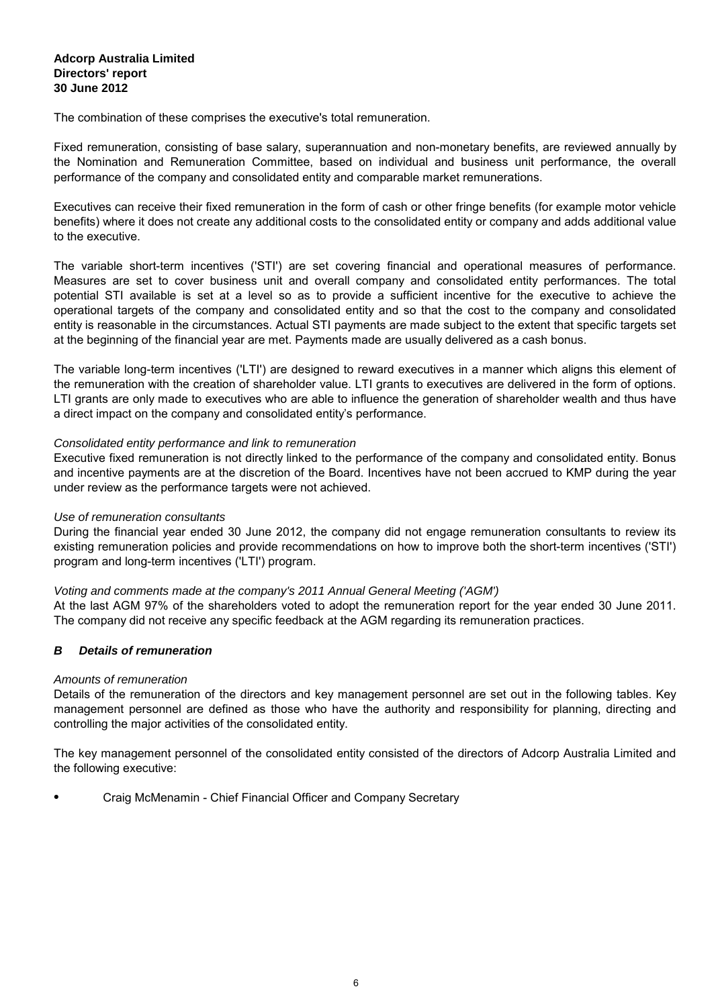The combination of these comprises the executive's total remuneration.

Fixed remuneration, consisting of base salary, superannuation and non-monetary benefits, are reviewed annually by the Nomination and Remuneration Committee, based on individual and business unit performance, the overall performance of the company and consolidated entity and comparable market remunerations.

Executives can receive their fixed remuneration in the form of cash or other fringe benefits (for example motor vehicle benefits) where it does not create any additional costs to the consolidated entity or company and adds additional value to the executive.

The variable short-term incentives ('STI') are set covering financial and operational measures of performance. Measures are set to cover business unit and overall company and consolidated entity performances. The total potential STI available is set at a level so as to provide a sufficient incentive for the executive to achieve the operational targets of the company and consolidated entity and so that the cost to the company and consolidated entity is reasonable in the circumstances. Actual STI payments are made subject to the extent that specific targets set at the beginning of the financial year are met. Payments made are usually delivered as a cash bonus.

The variable long-term incentives ('LTI') are designed to reward executives in a manner which aligns this element of the remuneration with the creation of shareholder value. LTI grants to executives are delivered in the form of options. LTI grants are only made to executives who are able to influence the generation of shareholder wealth and thus have a direct impact on the company and consolidated entity's performance.

#### Consolidated entity performance and link to remuneration

Executive fixed remuneration is not directly linked to the performance of the company and consolidated entity. Bonus and incentive payments are at the discretion of the Board. Incentives have not been accrued to KMP during the year under review as the performance targets were not achieved.

#### Use of remuneration consultants

During the financial year ended 30 June 2012, the company did not engage remuneration consultants to review its existing remuneration policies and provide recommendations on how to improve both the short-term incentives ('STI') program and long-term incentives ('LTI') program.

#### Voting and comments made at the company's 2011 Annual General Meeting ('AGM')

At the last AGM 97% of the shareholders voted to adopt the remuneration report for the year ended 30 June 2011. The company did not receive any specific feedback at the AGM regarding its remuneration practices.

## **B Details of remuneration**

#### Amounts of remuneration

Details of the remuneration of the directors and key management personnel are set out in the following tables. Key management personnel are defined as those who have the authority and responsibility for planning, directing and controlling the major activities of the consolidated entity.

The key management personnel of the consolidated entity consisted of the directors of Adcorp Australia Limited and the following executive:

● Craig McMenamin - Chief Financial Officer and Company Secretary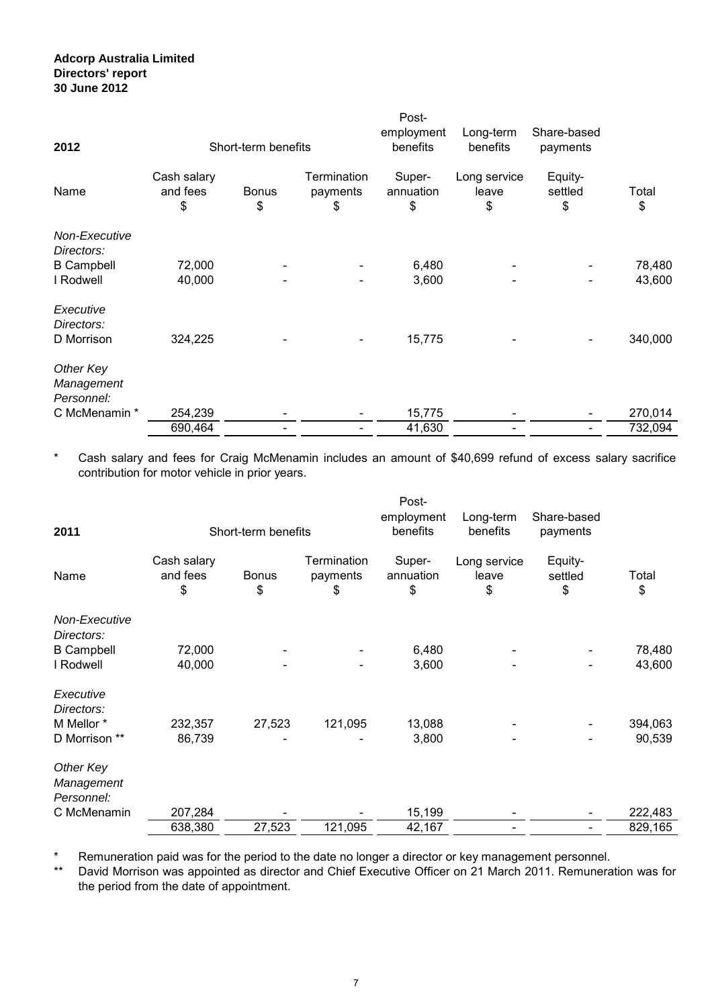| 2012                           |                               | Short-term benefits |                                      | Post-<br>employment<br>benefits | Long-term<br>benefits       | Share-based<br>payments  |                  |
|--------------------------------|-------------------------------|---------------------|--------------------------------------|---------------------------------|-----------------------------|--------------------------|------------------|
| Name                           | Cash salary<br>and fees<br>\$ | <b>Bonus</b><br>\$  | <b>Termination</b><br>payments<br>\$ | Super-<br>annuation<br>\$       | Long service<br>leave<br>\$ | Equity-<br>settled<br>\$ | Total<br>\$      |
| Non-Executive                  |                               |                     |                                      |                                 |                             |                          |                  |
| Directors:                     | 72,000                        |                     |                                      | 6,480                           |                             |                          |                  |
| <b>B</b> Campbell<br>I Rodwell | 40,000                        |                     |                                      | 3,600                           |                             |                          | 78,480<br>43,600 |
|                                |                               |                     |                                      |                                 |                             |                          |                  |
| Executive<br>Directors:        |                               |                     |                                      |                                 |                             |                          |                  |
| D Morrison                     | 324,225                       |                     |                                      | 15,775                          |                             |                          | 340,000          |
| Other Key                      |                               |                     |                                      |                                 |                             |                          |                  |
| Management                     |                               |                     |                                      |                                 |                             |                          |                  |
| Personnel:                     |                               |                     |                                      |                                 |                             |                          |                  |
| C McMenamin *                  | 254,239                       |                     |                                      | 15,775                          |                             |                          | 270,014          |
|                                | 690,464                       |                     |                                      | 41,630                          |                             |                          | 732,094          |

\* Cash salary and fees for Craig McMenamin includes an amount of \$40,699 refund of excess salary sacrifice contribution for motor vehicle in prior years.

| 2011                                  |                               | Short-term benefits |                                      | Post-<br>employment<br>benefits | Long-term<br>benefits       | Share-based<br>payments  |             |
|---------------------------------------|-------------------------------|---------------------|--------------------------------------|---------------------------------|-----------------------------|--------------------------|-------------|
| Name                                  | Cash salary<br>and fees<br>\$ | <b>Bonus</b><br>\$  | <b>Termination</b><br>payments<br>\$ | Super-<br>annuation<br>\$       | Long service<br>leave<br>\$ | Equity-<br>settled<br>\$ | Total<br>\$ |
| Non-Executive<br>Directors:           |                               |                     |                                      |                                 |                             |                          |             |
| <b>B</b> Campbell                     | 72,000                        |                     |                                      | 6,480                           |                             |                          | 78,480      |
| I Rodwell                             | 40,000                        |                     |                                      | 3,600                           |                             |                          | 43,600      |
| Executive<br>Directors:               |                               |                     |                                      |                                 |                             |                          |             |
| M Mellor *                            | 232,357                       | 27,523              | 121,095                              | 13,088                          |                             |                          | 394,063     |
| D Morrison **                         | 86,739                        |                     |                                      | 3,800                           |                             |                          | 90,539      |
| Other Key<br>Management<br>Personnel: |                               |                     |                                      |                                 |                             |                          |             |
| C McMenamin                           | 207,284                       |                     |                                      | 15,199                          |                             |                          | 222,483     |
|                                       | 638,380                       | 27,523              | 121,095                              | 42,167                          |                             |                          | 829,165     |

\* Remuneration paid was for the period to the date no longer a director or key management personnel.

\*\* David Morrison was appointed as director and Chief Executive Officer on 21 March 2011. Remuneration was for the period from the date of appointment.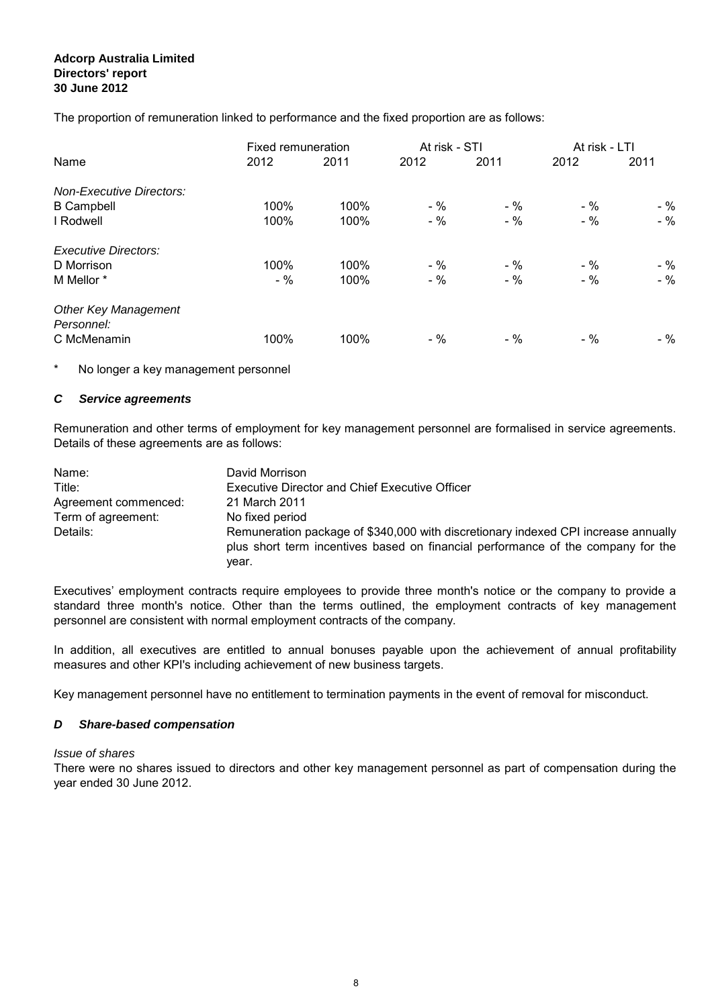The proportion of remuneration linked to performance and the fixed proportion are as follows:

|                                           | Fixed remuneration |      | At risk - STI |       | At risk - LTI |       |
|-------------------------------------------|--------------------|------|---------------|-------|---------------|-------|
| Name                                      | 2012               | 2011 | 2012          | 2011  | 2012          | 2011  |
| <b>Non-Executive Directors:</b>           |                    |      |               |       |               |       |
| <b>B</b> Campbell                         | 100%               | 100% | $-$ %         | $-$ % | $-$ %         | $-$ % |
| I Rodwell                                 | 100%               | 100% | $-$ %         | $-$ % | $-$ %         | $-$ % |
| <b>Executive Directors:</b>               |                    |      |               |       |               |       |
| D Morrison                                | 100%               | 100% | $-$ %         | $-$ % | $-$ %         | $-$ % |
| M Mellor *                                | $-$ %              | 100% | $-$ %         | $-$ % | $-$ %         | $-$ % |
| <b>Other Key Management</b><br>Personnel: |                    |      |               |       |               |       |
| C McMenamin                               | 100%               | 100% | $-$ %         | $-$ % | $-$ %         | $-$ % |

\* No longer a key management personnel

#### **C Service agreements**

Remuneration and other terms of employment for key management personnel are formalised in service agreements. Details of these agreements are as follows:

| Name:                | David Morrison                                                                                                                                                                  |
|----------------------|---------------------------------------------------------------------------------------------------------------------------------------------------------------------------------|
| Title:               | <b>Executive Director and Chief Executive Officer</b>                                                                                                                           |
| Agreement commenced: | 21 March 2011                                                                                                                                                                   |
| Term of agreement:   | No fixed period                                                                                                                                                                 |
| Details:             | Remuneration package of \$340,000 with discretionary indexed CPI increase annually<br>plus short term incentives based on financial performance of the company for the<br>vear. |

Executives' employment contracts require employees to provide three month's notice or the company to provide a standard three month's notice. Other than the terms outlined, the employment contracts of key management personnel are consistent with normal employment contracts of the company.

In addition, all executives are entitled to annual bonuses payable upon the achievement of annual profitability measures and other KPI's including achievement of new business targets.

Key management personnel have no entitlement to termination payments in the event of removal for misconduct.

#### **D Share-based compensation**

#### Issue of shares

There were no shares issued to directors and other key management personnel as part of compensation during the year ended 30 June 2012.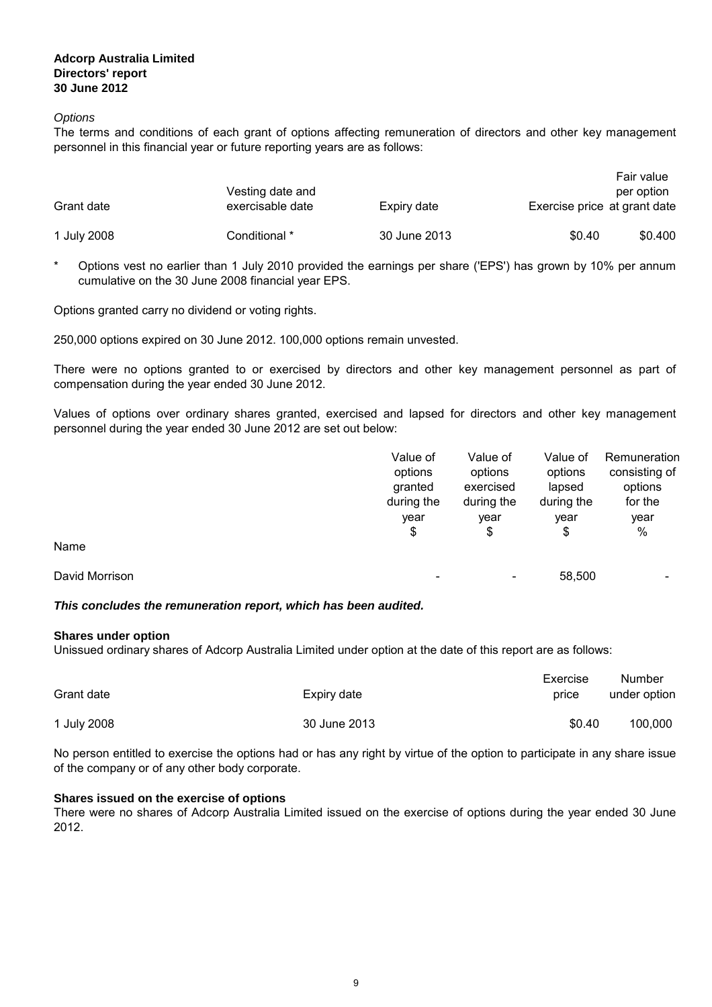#### **Options**

The terms and conditions of each grant of options affecting remuneration of directors and other key management personnel in this financial year or future reporting years are as follows:

|             | Vesting date and |              |                              | Fair value<br>per option |
|-------------|------------------|--------------|------------------------------|--------------------------|
| Grant date  | exercisable date | Expiry date  | Exercise price at grant date |                          |
| 1 July 2008 | Conditional *    | 30 June 2013 | \$0.40                       | \$0.400                  |

\* Options vest no earlier than 1 July 2010 provided the earnings per share ('EPS') has grown by 10% per annum cumulative on the 30 June 2008 financial year EPS.

Options granted carry no dividend or voting rights.

250,000 options expired on 30 June 2012. 100,000 options remain unvested.

There were no options granted to or exercised by directors and other key management personnel as part of compensation during the year ended 30 June 2012.

Values of options over ordinary shares granted, exercised and lapsed for directors and other key management personnel during the year ended 30 June 2012 are set out below:

|                | Value of   | Value of   | Value of   | Remuneration  |
|----------------|------------|------------|------------|---------------|
|                | options    | options    | options    | consisting of |
|                | granted    | exercised  | lapsed     | options       |
|                | during the | during the | during the | for the       |
|                | year       | vear       | year       | year          |
|                | \$         | \$         | \$         | $\%$          |
| Name           |            |            |            |               |
| David Morrison |            | ۰          | 58,500     |               |

#### **This concludes the remuneration report, which has been audited.**

#### **Shares under option**

Unissued ordinary shares of Adcorp Australia Limited under option at the date of this report are as follows:

| Grant date  | Expiry date  | Exercise<br>price | Number<br>under option |
|-------------|--------------|-------------------|------------------------|
| 1 July 2008 | 30 June 2013 | \$0.40            | 100.000                |

No person entitled to exercise the options had or has any right by virtue of the option to participate in any share issue of the company or of any other body corporate.

#### **Shares issued on the exercise of options**

There were no shares of Adcorp Australia Limited issued on the exercise of options during the year ended 30 June 2012.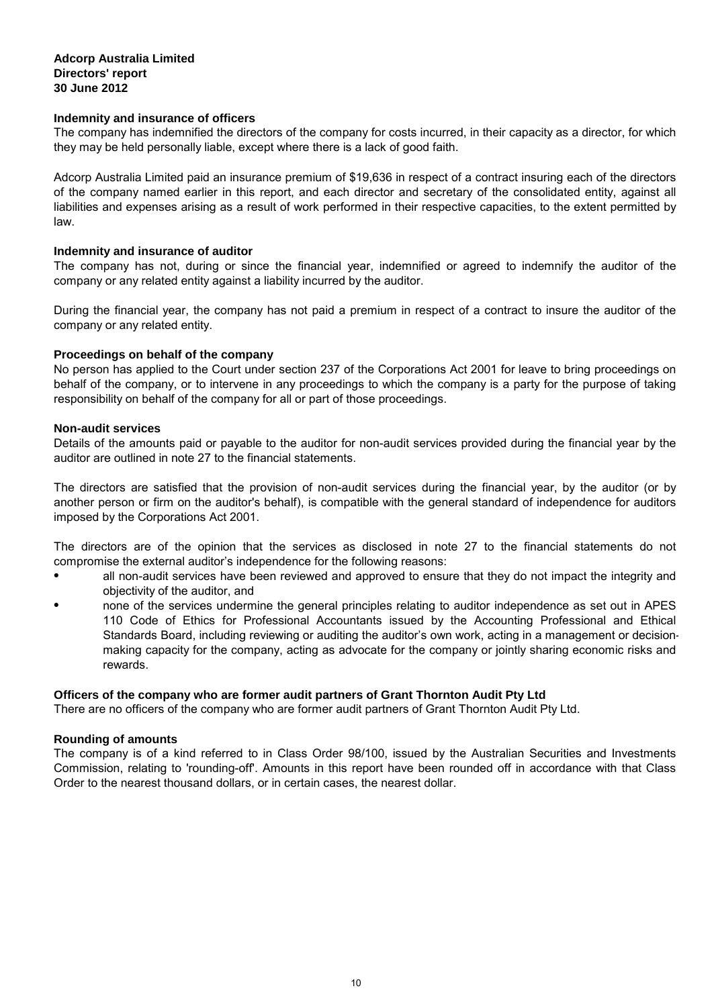#### **Indemnity and insurance of officers**

The company has indemnified the directors of the company for costs incurred, in their capacity as a director, for which they may be held personally liable, except where there is a lack of good faith.

Adcorp Australia Limited paid an insurance premium of \$19,636 in respect of a contract insuring each of the directors of the company named earlier in this report, and each director and secretary of the consolidated entity, against all liabilities and expenses arising as a result of work performed in their respective capacities, to the extent permitted by law.

#### **Indemnity and insurance of auditor**

The company has not, during or since the financial year, indemnified or agreed to indemnify the auditor of the company or any related entity against a liability incurred by the auditor.

During the financial year, the company has not paid a premium in respect of a contract to insure the auditor of the company or any related entity.

#### **Proceedings on behalf of the company**

No person has applied to the Court under section 237 of the Corporations Act 2001 for leave to bring proceedings on behalf of the company, or to intervene in any proceedings to which the company is a party for the purpose of taking responsibility on behalf of the company for all or part of those proceedings.

#### **Non-audit services**

Details of the amounts paid or payable to the auditor for non-audit services provided during the financial year by the auditor are outlined in note 27 to the financial statements.

The directors are satisfied that the provision of non-audit services during the financial year, by the auditor (or by another person or firm on the auditor's behalf), is compatible with the general standard of independence for auditors imposed by the Corporations Act 2001.

The directors are of the opinion that the services as disclosed in note 27 to the financial statements do not compromise the external auditor's independence for the following reasons:

- all non-audit services have been reviewed and approved to ensure that they do not impact the integrity and objectivity of the auditor, and
- none of the services undermine the general principles relating to auditor independence as set out in APES 110 Code of Ethics for Professional Accountants issued by the Accounting Professional and Ethical Standards Board, including reviewing or auditing the auditor's own work, acting in a management or decisionmaking capacity for the company, acting as advocate for the company or jointly sharing economic risks and rewards.

#### **Officers of the company who are former audit partners of Grant Thornton Audit Pty Ltd**

There are no officers of the company who are former audit partners of Grant Thornton Audit Pty Ltd.

#### **Rounding of amounts**

The company is of a kind referred to in Class Order 98/100, issued by the Australian Securities and Investments Commission, relating to 'rounding-off'. Amounts in this report have been rounded off in accordance with that Class Order to the nearest thousand dollars, or in certain cases, the nearest dollar.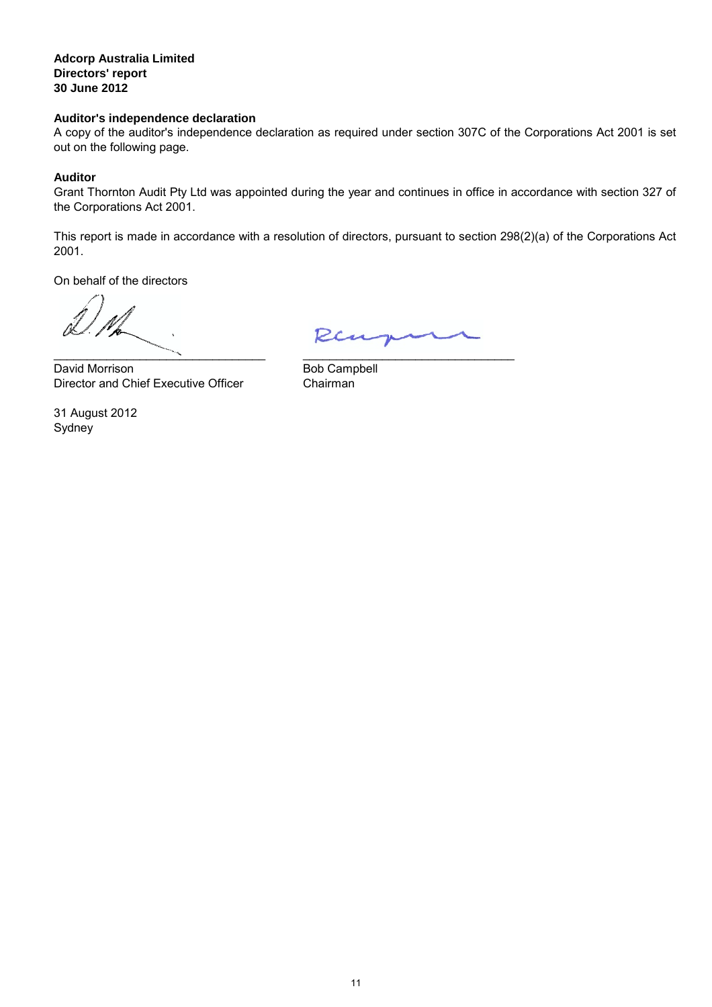#### **Auditor's independence declaration**

A copy of the auditor's independence declaration as required under section 307C of the Corporations Act 2001 is set out on the following page.

#### **Auditor**

Grant Thornton Audit Pty Ltd was appointed during the year and continues in office in accordance with section 327 of the Corporations Act 2001.

This report is made in accordance with a resolution of directors, pursuant to section 298(2)(a) of the Corporations Act 2001.

On behalf of the directors

 $\overline{\phantom{a}}$ 

Director and Chief Executive Officer Chairman David Morrison

Sydney 31 August 2012

Ren

\_\_\_\_\_\_\_\_\_\_\_\_\_\_\_\_\_\_\_\_\_\_\_\_\_\_\_\_\_\_\_\_

Bob Campbell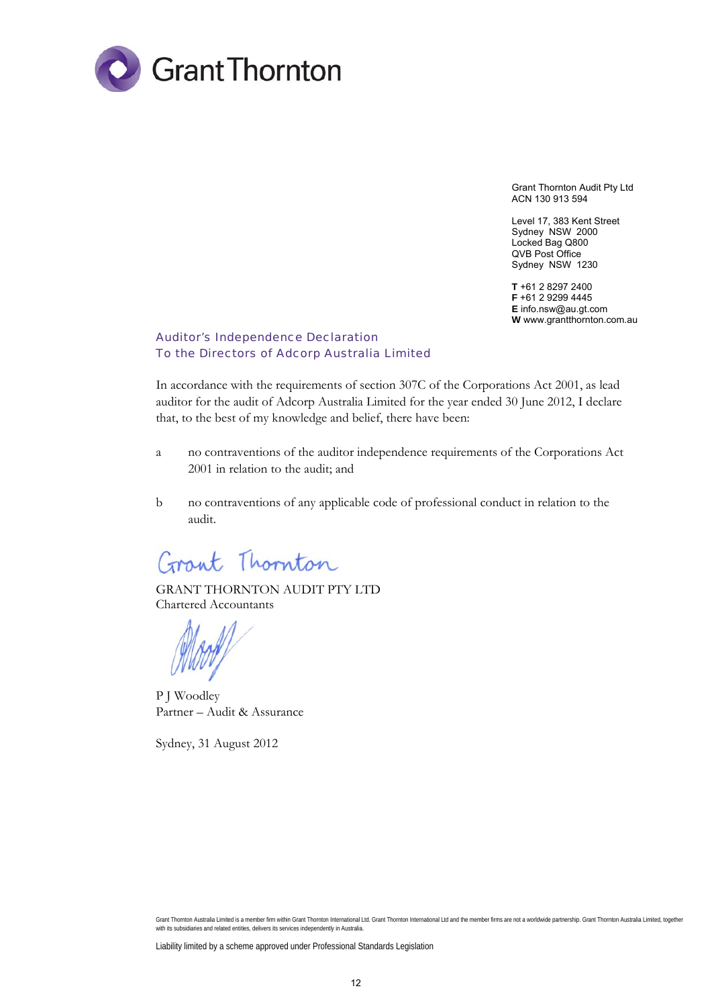

Grant Thornton Audit Pty Ltd ACN 130 913 594

Level 17, 383 Kent Street Sydney NSW 2000 Locked Bag Q800 QVB Post Office Sydney NSW 1230

**T** +61 2 8297 2400 **F** +61 2 9299 4445 **E** info.nsw@au.gt.com **W** www.grantthornton.com.au

#### Auditor's Independence Declaration To the Directors of Adcorp Australia Limited

In accordance with the requirements of section 307C of the Corporations Act 2001, as lead auditor for the audit of Adcorp Australia Limited for the year ended 30 June 2012, I declare that, to the best of my knowledge and belief, there have been:

- a no contraventions of the auditor independence requirements of the Corporations Act 2001 in relation to the audit; and
- b no contraventions of any applicable code of professional conduct in relation to the audit.

Grant Thornton

GRANT THORNTON AUDIT PTY LTD Chartered Accountants

P J Woodley Partner – Audit & Assurance

Sydney, 31 August 2012

Grant Thornton Australia Limited is a member firm within Grant Thornton International Ltd. Grant Thornton International Ltd and the member firms are not a worldwide partnership. Grant Thornton Australia Limited, together with its subsidiaries and related entities, delivers its services independently in Australia.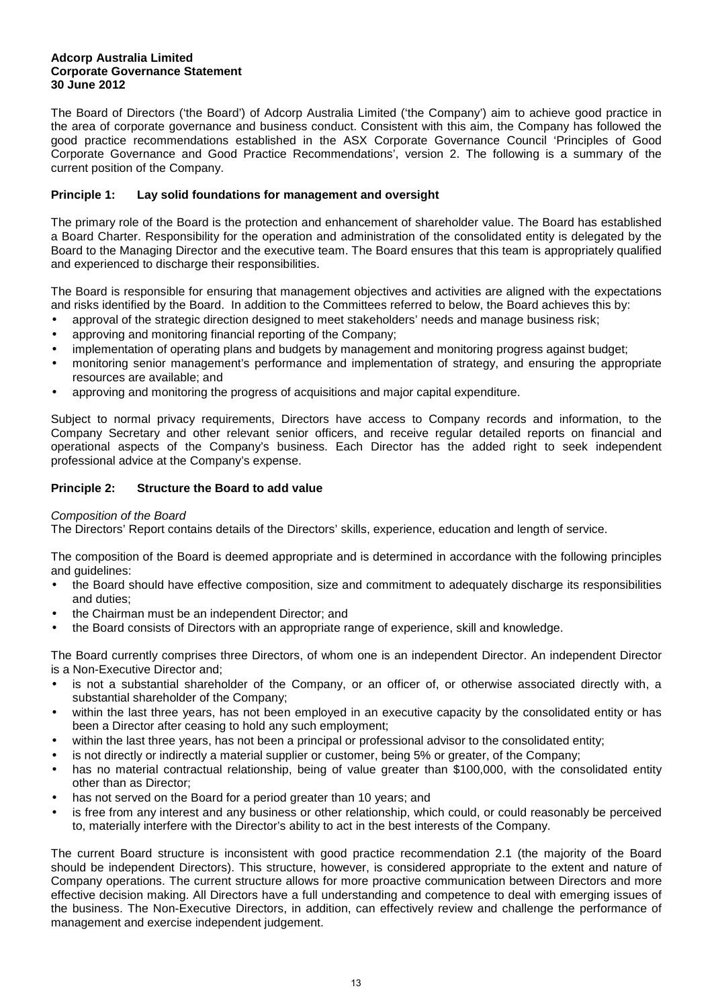The Board of Directors ('the Board') of Adcorp Australia Limited ('the Company') aim to achieve good practice in the area of corporate governance and business conduct. Consistent with this aim, the Company has followed the good practice recommendations established in the ASX Corporate Governance Council 'Principles of Good Corporate Governance and Good Practice Recommendations', version 2. The following is a summary of the current position of the Company.

#### **Principle 1: Lay solid foundations for management and oversight**

The primary role of the Board is the protection and enhancement of shareholder value. The Board has established a Board Charter. Responsibility for the operation and administration of the consolidated entity is delegated by the Board to the Managing Director and the executive team. The Board ensures that this team is appropriately qualified and experienced to discharge their responsibilities.

The Board is responsible for ensuring that management objectives and activities are aligned with the expectations and risks identified by the Board. In addition to the Committees referred to below, the Board achieves this by:

- approval of the strategic direction designed to meet stakeholders' needs and manage business risk;
- approving and monitoring financial reporting of the Company;
- implementation of operating plans and budgets by management and monitoring progress against budget;
- monitoring senior management's performance and implementation of strategy, and ensuring the appropriate resources are available; and
- approving and monitoring the progress of acquisitions and major capital expenditure.

Subject to normal privacy requirements, Directors have access to Company records and information, to the Company Secretary and other relevant senior officers, and receive regular detailed reports on financial and operational aspects of the Company's business. Each Director has the added right to seek independent professional advice at the Company's expense.

## **Principle 2: Structure the Board to add value**

#### Composition of the Board

The Directors' Report contains details of the Directors' skills, experience, education and length of service.

The composition of the Board is deemed appropriate and is determined in accordance with the following principles and guidelines:

- the Board should have effective composition, size and commitment to adequately discharge its responsibilities and duties;
- the Chairman must be an independent Director; and
- the Board consists of Directors with an appropriate range of experience, skill and knowledge.

The Board currently comprises three Directors, of whom one is an independent Director. An independent Director is a Non-Executive Director and;

- is not a substantial shareholder of the Company, or an officer of, or otherwise associated directly with, a substantial shareholder of the Company;
- within the last three years, has not been employed in an executive capacity by the consolidated entity or has been a Director after ceasing to hold any such employment;
- within the last three years, has not been a principal or professional advisor to the consolidated entity;
- is not directly or indirectly a material supplier or customer, being 5% or greater, of the Company;
- has no material contractual relationship, being of value greater than \$100,000, with the consolidated entity other than as Director;
- has not served on the Board for a period greater than 10 years; and
- is free from any interest and any business or other relationship, which could, or could reasonably be perceived to, materially interfere with the Director's ability to act in the best interests of the Company.

The current Board structure is inconsistent with good practice recommendation 2.1 (the majority of the Board should be independent Directors). This structure, however, is considered appropriate to the extent and nature of Company operations. The current structure allows for more proactive communication between Directors and more effective decision making. All Directors have a full understanding and competence to deal with emerging issues of the business. The Non-Executive Directors, in addition, can effectively review and challenge the performance of management and exercise independent judgement.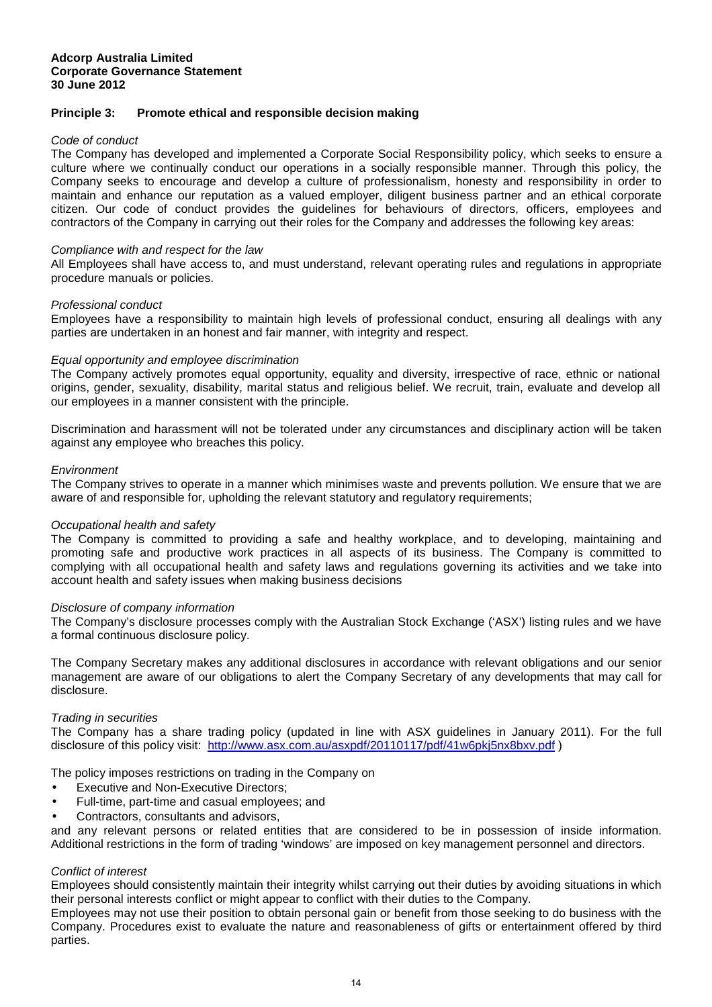#### **Principle 3: Promote ethical and responsible decision making**

#### Code of conduct

The Company has developed and implemented a Corporate Social Responsibility policy, which seeks to ensure a culture where we continually conduct our operations in a socially responsible manner. Through this policy, the Company seeks to encourage and develop a culture of professionalism, honesty and responsibility in order to maintain and enhance our reputation as a valued employer, diligent business partner and an ethical corporate citizen. Our code of conduct provides the guidelines for behaviours of directors, officers, employees and contractors of the Company in carrying out their roles for the Company and addresses the following key areas:

#### Compliance with and respect for the law

All Employees shall have access to, and must understand, relevant operating rules and regulations in appropriate procedure manuals or policies.

#### Professional conduct

Employees have a responsibility to maintain high levels of professional conduct, ensuring all dealings with any parties are undertaken in an honest and fair manner, with integrity and respect.

#### Equal opportunity and employee discrimination

The Company actively promotes equal opportunity, equality and diversity, irrespective of race, ethnic or national origins, gender, sexuality, disability, marital status and religious belief. We recruit, train, evaluate and develop all our employees in a manner consistent with the principle.

Discrimination and harassment will not be tolerated under any circumstances and disciplinary action will be taken against any employee who breaches this policy.

#### **Environment**

The Company strives to operate in a manner which minimises waste and prevents pollution. We ensure that we are aware of and responsible for, upholding the relevant statutory and regulatory requirements;

#### Occupational health and safety

The Company is committed to providing a safe and healthy workplace, and to developing, maintaining and promoting safe and productive work practices in all aspects of its business. The Company is committed to complying with all occupational health and safety laws and regulations governing its activities and we take into account health and safety issues when making business decisions

#### Disclosure of company information

The Company's disclosure processes comply with the Australian Stock Exchange ('ASX') listing rules and we have a formal continuous disclosure policy.

The Company Secretary makes any additional disclosures in accordance with relevant obligations and our senior management are aware of our obligations to alert the Company Secretary of any developments that may call for disclosure.

#### Trading in securities

The Company has a share trading policy (updated in line with ASX guidelines in January 2011). For the full disclosure of this policy visit: http://www.asx.com.au/asxpdf/20110117/pdf/41w6pkj5nx8bxv.pdf )

The policy imposes restrictions on trading in the Company on

- Executive and Non-Executive Directors;
- Full-time, part-time and casual employees; and
- Contractors, consultants and advisors,

and any relevant persons or related entities that are considered to be in possession of inside information. Additional restrictions in the form of trading 'windows' are imposed on key management personnel and directors.

#### Conflict of interest

Employees should consistently maintain their integrity whilst carrying out their duties by avoiding situations in which their personal interests conflict or might appear to conflict with their duties to the Company.

Employees may not use their position to obtain personal gain or benefit from those seeking to do business with the Company. Procedures exist to evaluate the nature and reasonableness of gifts or entertainment offered by third parties.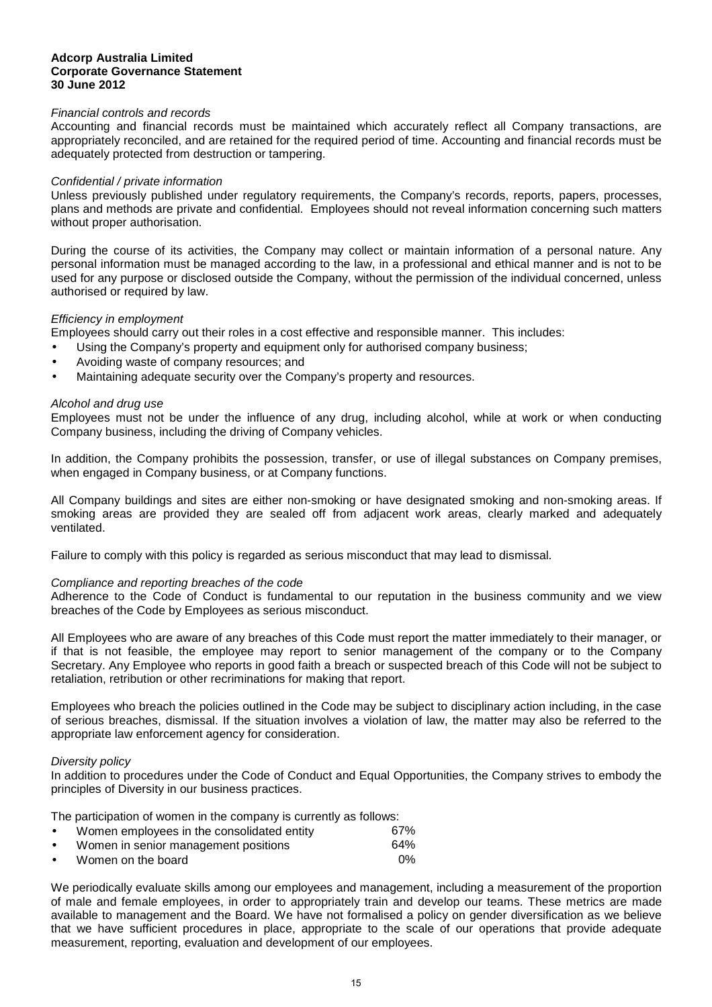#### Financial controls and records

Accounting and financial records must be maintained which accurately reflect all Company transactions, are appropriately reconciled, and are retained for the required period of time. Accounting and financial records must be adequately protected from destruction or tampering.

#### Confidential / private information

Unless previously published under regulatory requirements, the Company's records, reports, papers, processes, plans and methods are private and confidential. Employees should not reveal information concerning such matters without proper authorisation.

During the course of its activities, the Company may collect or maintain information of a personal nature. Any personal information must be managed according to the law, in a professional and ethical manner and is not to be used for any purpose or disclosed outside the Company, without the permission of the individual concerned, unless authorised or required by law.

#### Efficiency in employment

Employees should carry out their roles in a cost effective and responsible manner. This includes:

- Using the Company's property and equipment only for authorised company business;
- Avoiding waste of company resources; and
- Maintaining adequate security over the Company's property and resources.

#### Alcohol and drug use

Employees must not be under the influence of any drug, including alcohol, while at work or when conducting Company business, including the driving of Company vehicles.

In addition, the Company prohibits the possession, transfer, or use of illegal substances on Company premises, when engaged in Company business, or at Company functions.

All Company buildings and sites are either non-smoking or have designated smoking and non-smoking areas. If smoking areas are provided they are sealed off from adjacent work areas, clearly marked and adequately ventilated.

Failure to comply with this policy is regarded as serious misconduct that may lead to dismissal.

#### Compliance and reporting breaches of the code

Adherence to the Code of Conduct is fundamental to our reputation in the business community and we view breaches of the Code by Employees as serious misconduct.

All Employees who are aware of any breaches of this Code must report the matter immediately to their manager, or if that is not feasible, the employee may report to senior management of the company or to the Company Secretary. Any Employee who reports in good faith a breach or suspected breach of this Code will not be subject to retaliation, retribution or other recriminations for making that report.

Employees who breach the policies outlined in the Code may be subject to disciplinary action including, in the case of serious breaches, dismissal. If the situation involves a violation of law, the matter may also be referred to the appropriate law enforcement agency for consideration.

#### Diversity policy

In addition to procedures under the Code of Conduct and Equal Opportunities, the Company strives to embody the principles of Diversity in our business practices.

The participation of women in the company is currently as follows:

| $\bullet$ | Women employees in the consolidated entity | 67%  |
|-----------|--------------------------------------------|------|
| $\bullet$ | Women in senior management positions       | 64%  |
| $\bullet$ | Women on the board                         | . በ% |

We periodically evaluate skills among our employees and management, including a measurement of the proportion of male and female employees, in order to appropriately train and develop our teams. These metrics are made available to management and the Board. We have not formalised a policy on gender diversification as we believe that we have sufficient procedures in place, appropriate to the scale of our operations that provide adequate measurement, reporting, evaluation and development of our employees.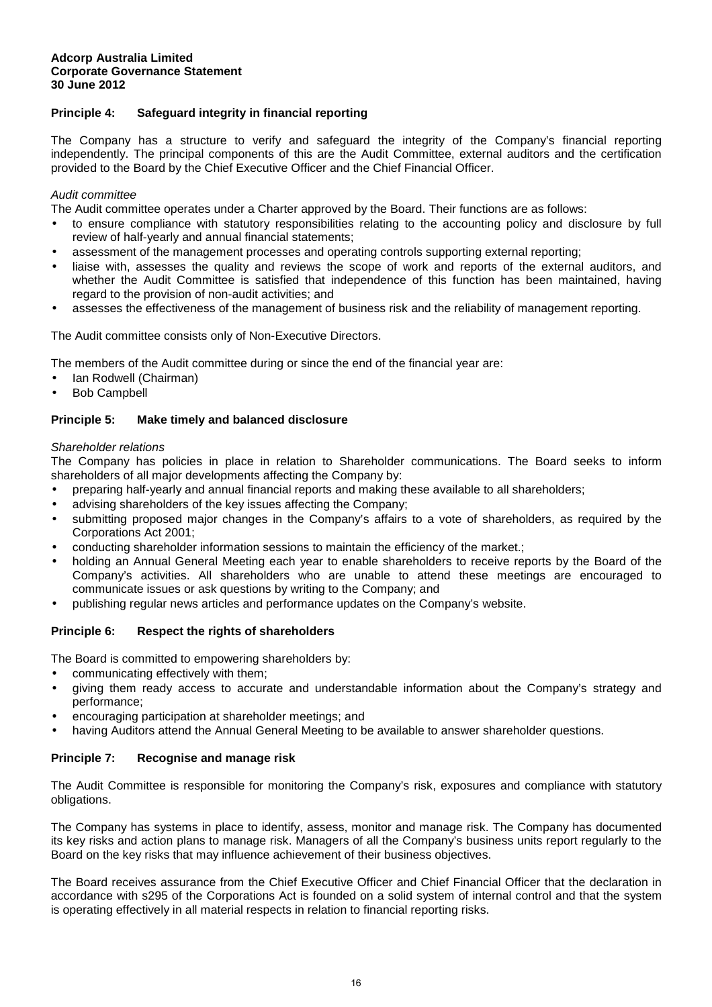### **Principle 4: Safeguard integrity in financial reporting**

The Company has a structure to verify and safeguard the integrity of the Company's financial reporting independently. The principal components of this are the Audit Committee, external auditors and the certification provided to the Board by the Chief Executive Officer and the Chief Financial Officer.

#### Audit committee

The Audit committee operates under a Charter approved by the Board. Their functions are as follows:

- to ensure compliance with statutory responsibilities relating to the accounting policy and disclosure by full review of half-yearly and annual financial statements;
- assessment of the management processes and operating controls supporting external reporting;
- liaise with, assesses the quality and reviews the scope of work and reports of the external auditors, and whether the Audit Committee is satisfied that independence of this function has been maintained, having regard to the provision of non-audit activities; and
- assesses the effectiveness of the management of business risk and the reliability of management reporting.

The Audit committee consists only of Non-Executive Directors.

The members of the Audit committee during or since the end of the financial year are:

- Ian Rodwell (Chairman)
- Bob Campbell

#### **Principle 5: Make timely and balanced disclosure**

#### Shareholder relations

The Company has policies in place in relation to Shareholder communications. The Board seeks to inform shareholders of all major developments affecting the Company by:

- preparing half-yearly and annual financial reports and making these available to all shareholders;
- advising shareholders of the key issues affecting the Company;
- submitting proposed major changes in the Company's affairs to a vote of shareholders, as required by the Corporations Act 2001;
- conducting shareholder information sessions to maintain the efficiency of the market.;
- holding an Annual General Meeting each year to enable shareholders to receive reports by the Board of the Company's activities. All shareholders who are unable to attend these meetings are encouraged to communicate issues or ask questions by writing to the Company; and
- publishing regular news articles and performance updates on the Company's website.

#### **Principle 6: Respect the rights of shareholders**

The Board is committed to empowering shareholders by:

- communicating effectively with them;
- giving them ready access to accurate and understandable information about the Company's strategy and performance;
- encouraging participation at shareholder meetings; and
- having Auditors attend the Annual General Meeting to be available to answer shareholder questions.

#### **Principle 7: Recognise and manage risk**

The Audit Committee is responsible for monitoring the Company's risk, exposures and compliance with statutory obligations.

The Company has systems in place to identify, assess, monitor and manage risk. The Company has documented its key risks and action plans to manage risk. Managers of all the Company's business units report regularly to the Board on the key risks that may influence achievement of their business objectives.

The Board receives assurance from the Chief Executive Officer and Chief Financial Officer that the declaration in accordance with s295 of the Corporations Act is founded on a solid system of internal control and that the system is operating effectively in all material respects in relation to financial reporting risks.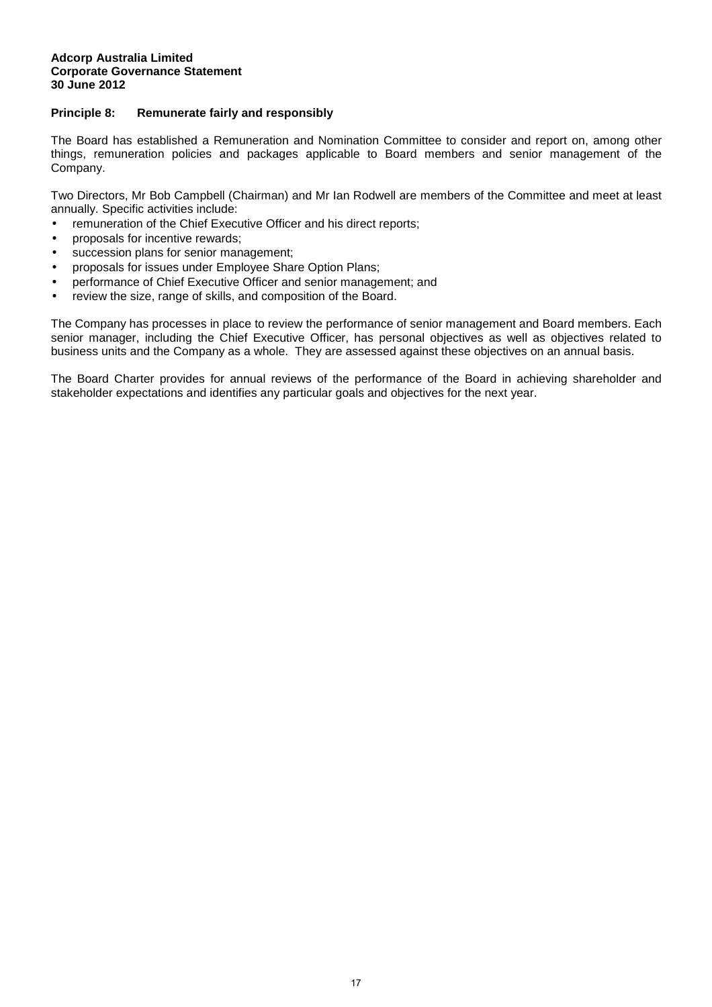#### **Principle 8: Remunerate fairly and responsibly**

The Board has established a Remuneration and Nomination Committee to consider and report on, among other things, remuneration policies and packages applicable to Board members and senior management of the Company.

Two Directors, Mr Bob Campbell (Chairman) and Mr Ian Rodwell are members of the Committee and meet at least annually. Specific activities include:

- remuneration of the Chief Executive Officer and his direct reports;
- proposals for incentive rewards;
- succession plans for senior management;
- proposals for issues under Employee Share Option Plans;
- performance of Chief Executive Officer and senior management; and
- review the size, range of skills, and composition of the Board.

The Company has processes in place to review the performance of senior management and Board members. Each senior manager, including the Chief Executive Officer, has personal objectives as well as objectives related to business units and the Company as a whole. They are assessed against these objectives on an annual basis.

The Board Charter provides for annual reviews of the performance of the Board in achieving shareholder and stakeholder expectations and identifies any particular goals and objectives for the next year.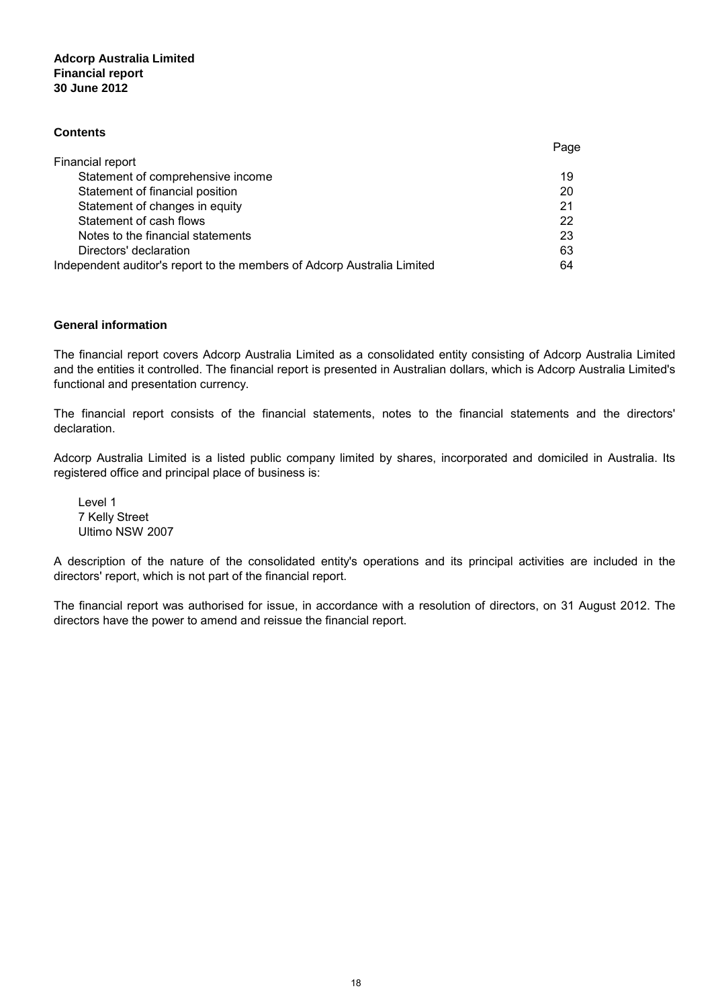#### **Adcorp Australia Limited 30 June 2012 Financial report**

#### **Contents**

|                                                                         | ayu |
|-------------------------------------------------------------------------|-----|
| Financial report                                                        |     |
| Statement of comprehensive income                                       | 19  |
| Statement of financial position                                         | 20  |
| Statement of changes in equity                                          | 21  |
| Statement of cash flows                                                 | 22  |
| Notes to the financial statements                                       | 23  |
| Directors' declaration                                                  | 63  |
| Independent auditor's report to the members of Adcorp Australia Limited | 64  |
|                                                                         |     |

#### **General information**

The financial report covers Adcorp Australia Limited as a consolidated entity consisting of Adcorp Australia Limited and the entities it controlled. The financial report is presented in Australian dollars, which is Adcorp Australia Limited's functional and presentation currency.

Page

The financial report consists of the financial statements, notes to the financial statements and the directors' declaration.

Adcorp Australia Limited is a listed public company limited by shares, incorporated and domiciled in Australia. Its registered office and principal place of business is:

Level 1 7 Kelly Street Ultimo NSW 2007

A description of the nature of the consolidated entity's operations and its principal activities are included in the directors' report, which is not part of the financial report.

The financial report was authorised for issue, in accordance with a resolution of directors, on 31 August 2012. The directors have the power to amend and reissue the financial report.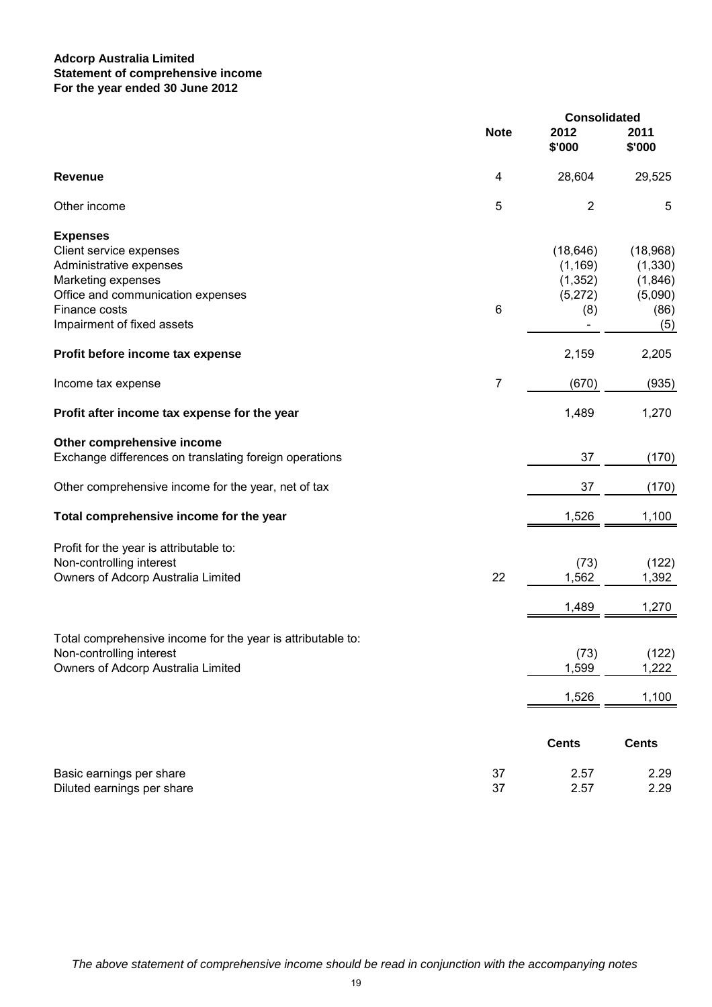### **Adcorp Australia Limited For the year ended 30 June 2012 Statement of comprehensive income**

|                                                                                                                                                                                 |                | <b>Consolidated</b>                                 |                                                           |  |
|---------------------------------------------------------------------------------------------------------------------------------------------------------------------------------|----------------|-----------------------------------------------------|-----------------------------------------------------------|--|
|                                                                                                                                                                                 | <b>Note</b>    | 2012<br>\$'000                                      | 2011<br>\$'000                                            |  |
| <b>Revenue</b>                                                                                                                                                                  | 4              | 28,604                                              | 29,525                                                    |  |
| Other income                                                                                                                                                                    | 5              | $\overline{2}$                                      | 5                                                         |  |
| <b>Expenses</b><br>Client service expenses<br>Administrative expenses<br>Marketing expenses<br>Office and communication expenses<br>Finance costs<br>Impairment of fixed assets | $\,6$          | (18, 646)<br>(1, 169)<br>(1, 352)<br>(5,272)<br>(8) | (18,968)<br>(1, 330)<br>(1,846)<br>(5,090)<br>(86)<br>(5) |  |
| Profit before income tax expense                                                                                                                                                |                | 2,159                                               | 2,205                                                     |  |
| Income tax expense                                                                                                                                                              | $\overline{7}$ | (670)                                               | (935)                                                     |  |
| Profit after income tax expense for the year                                                                                                                                    |                | 1,489                                               | 1,270                                                     |  |
| Other comprehensive income<br>Exchange differences on translating foreign operations                                                                                            |                | 37                                                  | (170)                                                     |  |
| Other comprehensive income for the year, net of tax                                                                                                                             |                | 37                                                  | (170)                                                     |  |
| Total comprehensive income for the year                                                                                                                                         |                | 1,526                                               | 1,100                                                     |  |
| Profit for the year is attributable to:<br>Non-controlling interest<br>Owners of Adcorp Australia Limited                                                                       | 22             | (73)<br>1,562                                       | (122)<br>1,392                                            |  |
|                                                                                                                                                                                 |                | 1,489                                               | 1,270                                                     |  |
| Total comprehensive income for the year is attributable to:<br>Non-controlling interest<br>Owners of Adcorp Australia Limited                                                   |                | (73)<br>1,599                                       | (122)<br>1,222                                            |  |
|                                                                                                                                                                                 |                | 1,526                                               | 1,100                                                     |  |
|                                                                                                                                                                                 |                | <b>Cents</b>                                        | <b>Cents</b>                                              |  |
| Basic earnings per share<br>Diluted earnings per share                                                                                                                          | 37<br>37       | 2.57<br>2.57                                        | 2.29<br>2.29                                              |  |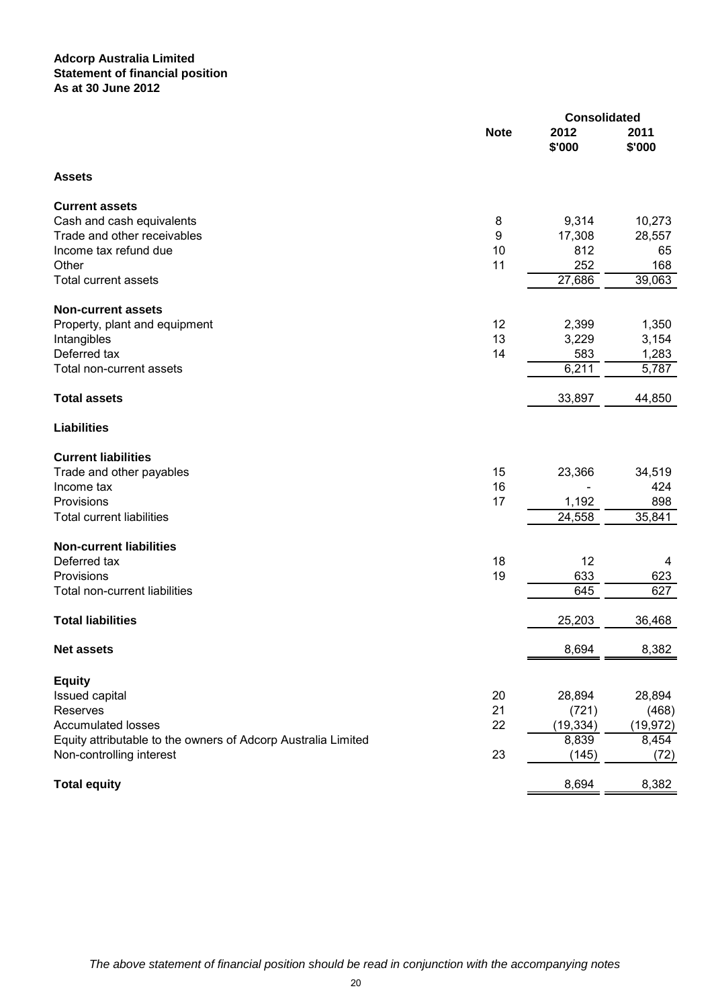#### **Adcorp Australia Limited Statement of financial position As at 30 June 2012**

|                                                               |             | <b>Consolidated</b> |                |  |
|---------------------------------------------------------------|-------------|---------------------|----------------|--|
|                                                               | <b>Note</b> | 2012<br>\$'000      | 2011<br>\$'000 |  |
| <b>Assets</b>                                                 |             |                     |                |  |
| <b>Current assets</b>                                         |             |                     |                |  |
| Cash and cash equivalents                                     | 8           | 9,314               | 10,273         |  |
| Trade and other receivables                                   | 9           | 17,308              | 28,557         |  |
| Income tax refund due                                         | 10          | 812                 | 65             |  |
| Other                                                         | 11          | 252                 | 168            |  |
| <b>Total current assets</b>                                   |             | 27,686              | 39,063         |  |
| <b>Non-current assets</b>                                     |             |                     |                |  |
| Property, plant and equipment                                 | 12          | 2,399               | 1,350          |  |
| Intangibles                                                   | 13          | 3,229               | 3,154          |  |
| Deferred tax                                                  | 14          | 583                 | 1,283          |  |
| Total non-current assets                                      |             | 6,211               | 5,787          |  |
| <b>Total assets</b>                                           |             | 33,897              | 44,850         |  |
| <b>Liabilities</b>                                            |             |                     |                |  |
| <b>Current liabilities</b>                                    |             |                     |                |  |
| Trade and other payables                                      | 15          | 23,366              | 34,519         |  |
| Income tax                                                    | 16          |                     | 424            |  |
| Provisions                                                    | 17          | 1,192               | 898            |  |
| <b>Total current liabilities</b>                              |             | 24,558              | 35,841         |  |
| <b>Non-current liabilities</b>                                |             |                     |                |  |
| Deferred tax                                                  | 18          | 12                  | 4              |  |
| Provisions                                                    | 19          | 633                 | 623            |  |
| Total non-current liabilities                                 |             | 645                 | 627            |  |
| <b>Total liabilities</b>                                      |             | 25,203              | 36,468         |  |
| <b>Net assets</b>                                             |             | 8,694               | 8,382          |  |
| <b>Equity</b>                                                 |             |                     |                |  |
| Issued capital                                                | 20          | 28,894              | 28,894         |  |
| Reserves                                                      | 21          | (721)               | (468)          |  |
| <b>Accumulated losses</b>                                     | 22          | (19, 334)           | (19, 972)      |  |
| Equity attributable to the owners of Adcorp Australia Limited |             | 8,839               | 8,454          |  |
| Non-controlling interest                                      | 23          | (145)               | (72)           |  |
| <b>Total equity</b>                                           |             | 8,694               | 8,382          |  |
|                                                               |             |                     |                |  |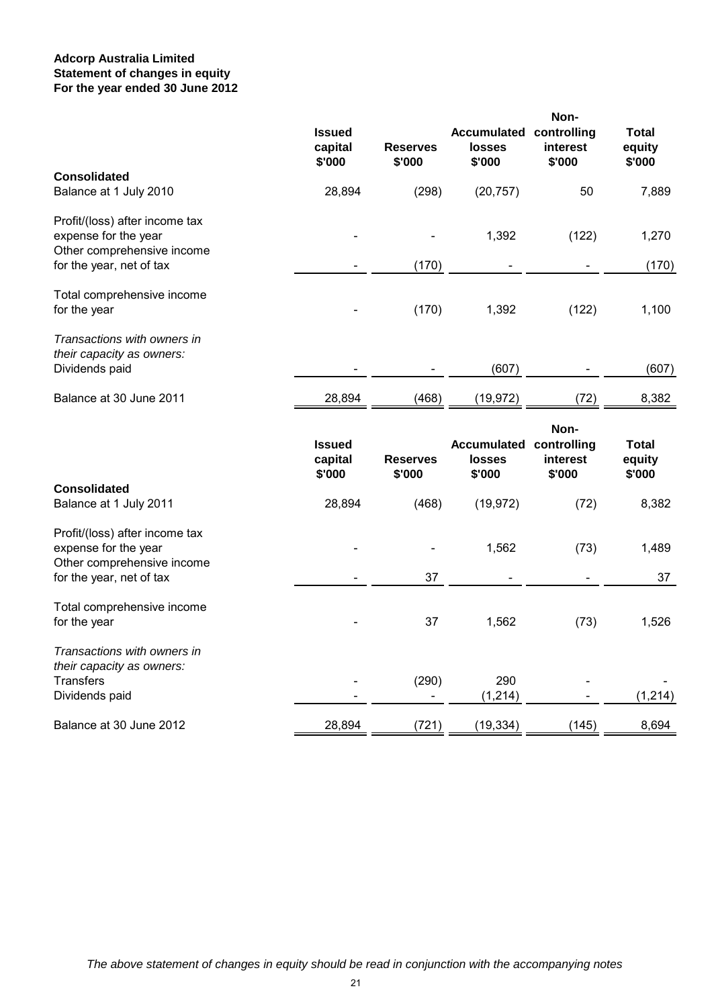### **Adcorp Australia Limited For the year ended 30 June 2012 Statement of changes in equity**

|                                                                                      | <b>Issued</b><br>capital<br>\$'000 | <b>Reserves</b><br>\$'000 | <b>Accumulated</b><br>losses<br>\$'000        | Non-<br>controlling<br>interest<br>\$'000 | <b>Total</b><br>equity<br>\$'000 |
|--------------------------------------------------------------------------------------|------------------------------------|---------------------------|-----------------------------------------------|-------------------------------------------|----------------------------------|
| <b>Consolidated</b><br>Balance at 1 July 2010                                        | 28,894                             | (298)                     | (20, 757)                                     | 50                                        | 7,889                            |
| Profit/(loss) after income tax<br>expense for the year<br>Other comprehensive income |                                    |                           | 1,392                                         | (122)                                     | 1,270                            |
| for the year, net of tax                                                             |                                    | (170)                     |                                               |                                           | (170)                            |
| Total comprehensive income<br>for the year                                           |                                    | (170)                     | 1,392                                         | (122)                                     | 1,100                            |
| Transactions with owners in<br>their capacity as owners:                             |                                    |                           |                                               |                                           |                                  |
| Dividends paid                                                                       |                                    |                           | (607)                                         |                                           | (607)                            |
| Balance at 30 June 2011                                                              | 28,894                             | (468)                     | (19, 972)                                     | (72)                                      | 8,382                            |
|                                                                                      | <b>Issued</b><br>capital<br>\$'000 | <b>Reserves</b><br>\$'000 | <b>Accumulated</b><br><b>losses</b><br>\$'000 | Non-<br>controlling<br>interest<br>\$'000 | <b>Total</b><br>equity<br>\$'000 |
| <b>Consolidated</b><br>Balance at 1 July 2011                                        | 28,894                             | (468)                     | (19, 972)                                     | (72)                                      | 8,382                            |
| Profit/(loss) after income tax<br>expense for the year<br>Other comprehensive income |                                    |                           | 1,562                                         | (73)                                      | 1,489                            |
| for the year, net of tax                                                             |                                    | 37                        |                                               |                                           | 37                               |
| Total comprehensive income<br>for the year                                           |                                    | 37                        | 1,562                                         | (73)                                      | 1,526                            |
| Transactions with owners in<br>their capacity as owners:                             |                                    |                           |                                               |                                           |                                  |
| <b>Transfers</b><br>Dividends paid                                                   |                                    | (290)                     | 290<br>(1, 214)                               |                                           | (1, 214)                         |
| Balance at 30 June 2012                                                              | 28,894                             | (721)                     | (19, 334)                                     | (145)                                     | 8,694                            |
|                                                                                      |                                    |                           |                                               |                                           |                                  |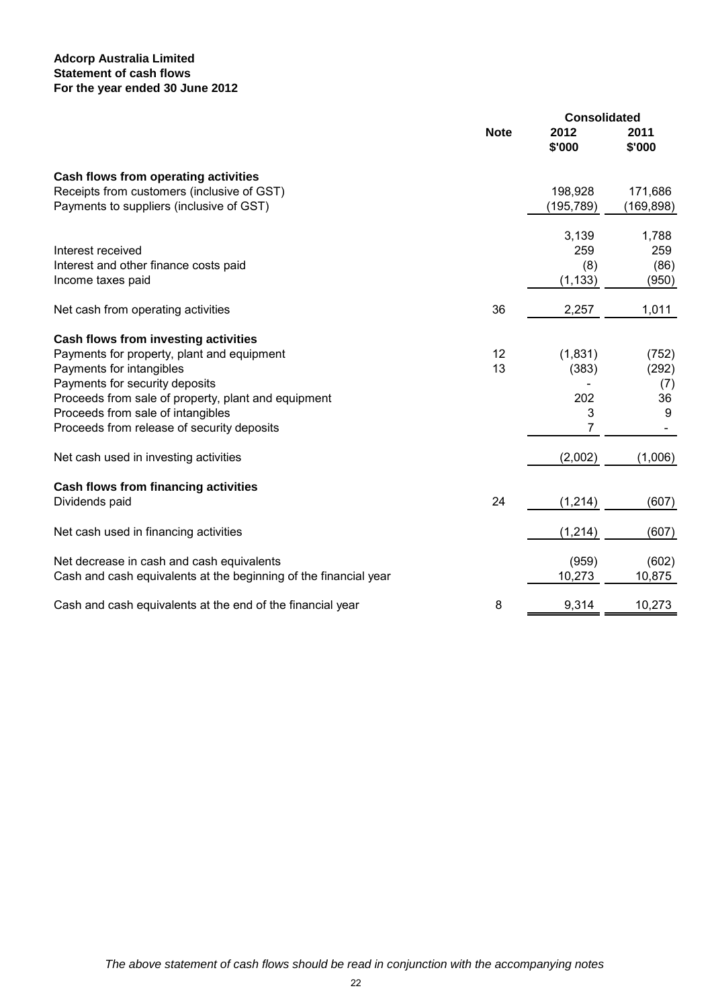## **Adcorp Australia Limited For the year ended 30 June 2012 Statement of cash flows**

|                                                                  |             | <b>Consolidated</b> |                |
|------------------------------------------------------------------|-------------|---------------------|----------------|
|                                                                  | <b>Note</b> | 2012<br>\$'000      | 2011<br>\$'000 |
|                                                                  |             |                     |                |
| Cash flows from operating activities                             |             |                     |                |
| Receipts from customers (inclusive of GST)                       |             | 198,928             | 171,686        |
| Payments to suppliers (inclusive of GST)                         |             | (195,789)           | (169, 898)     |
|                                                                  |             | 3,139               | 1,788          |
| Interest received                                                |             | 259                 | 259            |
| Interest and other finance costs paid                            |             | (8)                 | (86)           |
| Income taxes paid                                                |             | (1, 133)            | (950)          |
| Net cash from operating activities                               | 36          | 2,257               | 1,011          |
| Cash flows from investing activities                             |             |                     |                |
| Payments for property, plant and equipment                       | 12          | (1,831)             | (752)          |
| Payments for intangibles                                         | 13          | (383)               | (292)          |
| Payments for security deposits                                   |             |                     | (7)            |
| Proceeds from sale of property, plant and equipment              |             | 202                 | 36             |
| Proceeds from sale of intangibles                                |             | 3                   | 9              |
| Proceeds from release of security deposits                       |             | 7                   |                |
| Net cash used in investing activities                            |             | (2,002)             | (1,006)        |
| Cash flows from financing activities                             |             |                     |                |
| Dividends paid                                                   | 24          | (1, 214)            | (607)          |
| Net cash used in financing activities                            |             | (1, 214)            | (607)          |
| Net decrease in cash and cash equivalents                        |             | (959)               | (602)          |
| Cash and cash equivalents at the beginning of the financial year |             | 10,273              | 10,875         |
| Cash and cash equivalents at the end of the financial year       | 8           | 9,314               | 10,273         |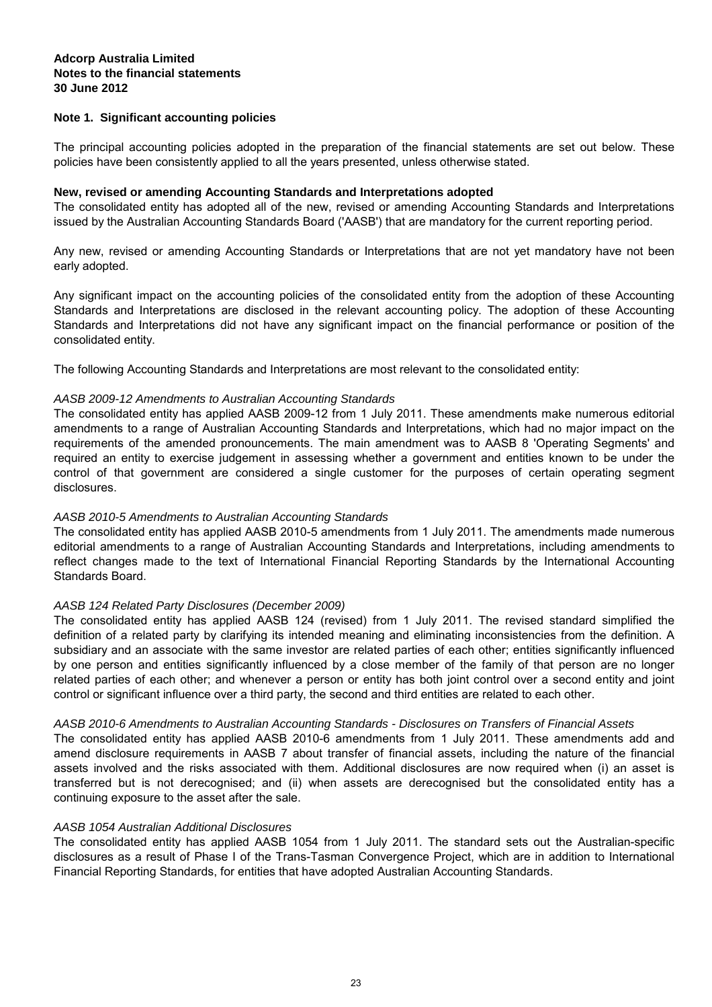#### **30 June 2012 Notes to the financial statements Adcorp Australia Limited**

#### **Note 1. Significant accounting policies**

The principal accounting policies adopted in the preparation of the financial statements are set out below. These policies have been consistently applied to all the years presented, unless otherwise stated.

#### **New, revised or amending Accounting Standards and Interpretations adopted**

The consolidated entity has adopted all of the new, revised or amending Accounting Standards and Interpretations issued by the Australian Accounting Standards Board ('AASB') that are mandatory for the current reporting period.

Any new, revised or amending Accounting Standards or Interpretations that are not yet mandatory have not been early adopted.

Any significant impact on the accounting policies of the consolidated entity from the adoption of these Accounting Standards and Interpretations are disclosed in the relevant accounting policy. The adoption of these Accounting Standards and Interpretations did not have any significant impact on the financial performance or position of the consolidated entity.

The following Accounting Standards and Interpretations are most relevant to the consolidated entity:

#### AASB 2009-12 Amendments to Australian Accounting Standards

The consolidated entity has applied AASB 2009-12 from 1 July 2011. These amendments make numerous editorial amendments to a range of Australian Accounting Standards and Interpretations, which had no major impact on the requirements of the amended pronouncements. The main amendment was to AASB 8 'Operating Segments' and required an entity to exercise judgement in assessing whether a government and entities known to be under the control of that government are considered a single customer for the purposes of certain operating segment disclosures.

#### AASB 2010-5 Amendments to Australian Accounting Standards

The consolidated entity has applied AASB 2010-5 amendments from 1 July 2011. The amendments made numerous editorial amendments to a range of Australian Accounting Standards and Interpretations, including amendments to reflect changes made to the text of International Financial Reporting Standards by the International Accounting Standards Board.

#### AASB 124 Related Party Disclosures (December 2009)

The consolidated entity has applied AASB 124 (revised) from 1 July 2011. The revised standard simplified the definition of a related party by clarifying its intended meaning and eliminating inconsistencies from the definition. A subsidiary and an associate with the same investor are related parties of each other; entities significantly influenced by one person and entities significantly influenced by a close member of the family of that person are no longer related parties of each other; and whenever a person or entity has both joint control over a second entity and joint control or significant influence over a third party, the second and third entities are related to each other.

#### AASB 2010-6 Amendments to Australian Accounting Standards - Disclosures on Transfers of Financial Assets

The consolidated entity has applied AASB 2010-6 amendments from 1 July 2011. These amendments add and amend disclosure requirements in AASB 7 about transfer of financial assets, including the nature of the financial assets involved and the risks associated with them. Additional disclosures are now required when (i) an asset is transferred but is not derecognised; and (ii) when assets are derecognised but the consolidated entity has a continuing exposure to the asset after the sale.

#### AASB 1054 Australian Additional Disclosures

The consolidated entity has applied AASB 1054 from 1 July 2011. The standard sets out the Australian-specific disclosures as a result of Phase I of the Trans-Tasman Convergence Project, which are in addition to International Financial Reporting Standards, for entities that have adopted Australian Accounting Standards.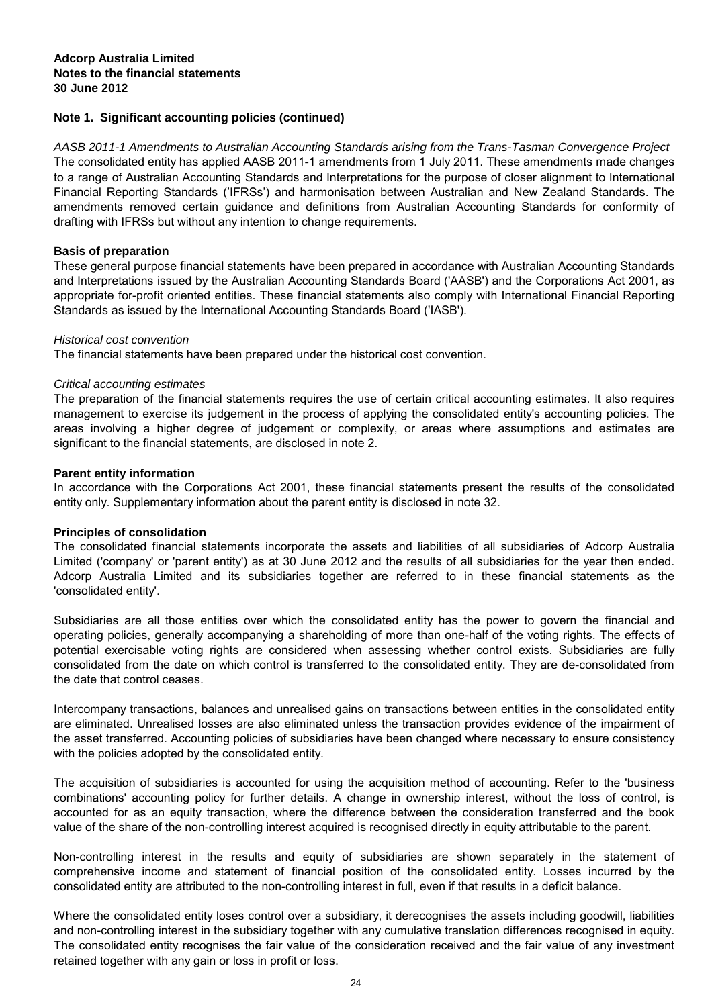#### **30 June 2012 Notes to the financial statements Adcorp Australia Limited**

### **Note 1. Significant accounting policies (continued)**

AASB 2011-1 Amendments to Australian Accounting Standards arising from the Trans-Tasman Convergence Project The consolidated entity has applied AASB 2011-1 amendments from 1 July 2011. These amendments made changes to a range of Australian Accounting Standards and Interpretations for the purpose of closer alignment to International Financial Reporting Standards ('IFRSs') and harmonisation between Australian and New Zealand Standards. The amendments removed certain guidance and definitions from Australian Accounting Standards for conformity of drafting with IFRSs but without any intention to change requirements.

#### **Basis of preparation**

These general purpose financial statements have been prepared in accordance with Australian Accounting Standards and Interpretations issued by the Australian Accounting Standards Board ('AASB') and the Corporations Act 2001, as appropriate for-profit oriented entities. These financial statements also comply with International Financial Reporting Standards as issued by the International Accounting Standards Board ('IASB').

#### Historical cost convention

The financial statements have been prepared under the historical cost convention.

#### Critical accounting estimates

The preparation of the financial statements requires the use of certain critical accounting estimates. It also requires management to exercise its judgement in the process of applying the consolidated entity's accounting policies. The areas involving a higher degree of judgement or complexity, or areas where assumptions and estimates are significant to the financial statements, are disclosed in note 2.

#### **Parent entity information**

In accordance with the Corporations Act 2001, these financial statements present the results of the consolidated entity only. Supplementary information about the parent entity is disclosed in note 32.

#### **Principles of consolidation**

The consolidated financial statements incorporate the assets and liabilities of all subsidiaries of Adcorp Australia Limited ('company' or 'parent entity') as at 30 June 2012 and the results of all subsidiaries for the year then ended. Adcorp Australia Limited and its subsidiaries together are referred to in these financial statements as the 'consolidated entity'.

Subsidiaries are all those entities over which the consolidated entity has the power to govern the financial and operating policies, generally accompanying a shareholding of more than one-half of the voting rights. The effects of potential exercisable voting rights are considered when assessing whether control exists. Subsidiaries are fully consolidated from the date on which control is transferred to the consolidated entity. They are de-consolidated from the date that control ceases.

Intercompany transactions, balances and unrealised gains on transactions between entities in the consolidated entity are eliminated. Unrealised losses are also eliminated unless the transaction provides evidence of the impairment of the asset transferred. Accounting policies of subsidiaries have been changed where necessary to ensure consistency with the policies adopted by the consolidated entity.

The acquisition of subsidiaries is accounted for using the acquisition method of accounting. Refer to the 'business combinations' accounting policy for further details. A change in ownership interest, without the loss of control, is accounted for as an equity transaction, where the difference between the consideration transferred and the book value of the share of the non-controlling interest acquired is recognised directly in equity attributable to the parent.

Non-controlling interest in the results and equity of subsidiaries are shown separately in the statement of comprehensive income and statement of financial position of the consolidated entity. Losses incurred by the consolidated entity are attributed to the non-controlling interest in full, even if that results in a deficit balance.

Where the consolidated entity loses control over a subsidiary, it derecognises the assets including goodwill, liabilities and non-controlling interest in the subsidiary together with any cumulative translation differences recognised in equity. The consolidated entity recognises the fair value of the consideration received and the fair value of any investment retained together with any gain or loss in profit or loss.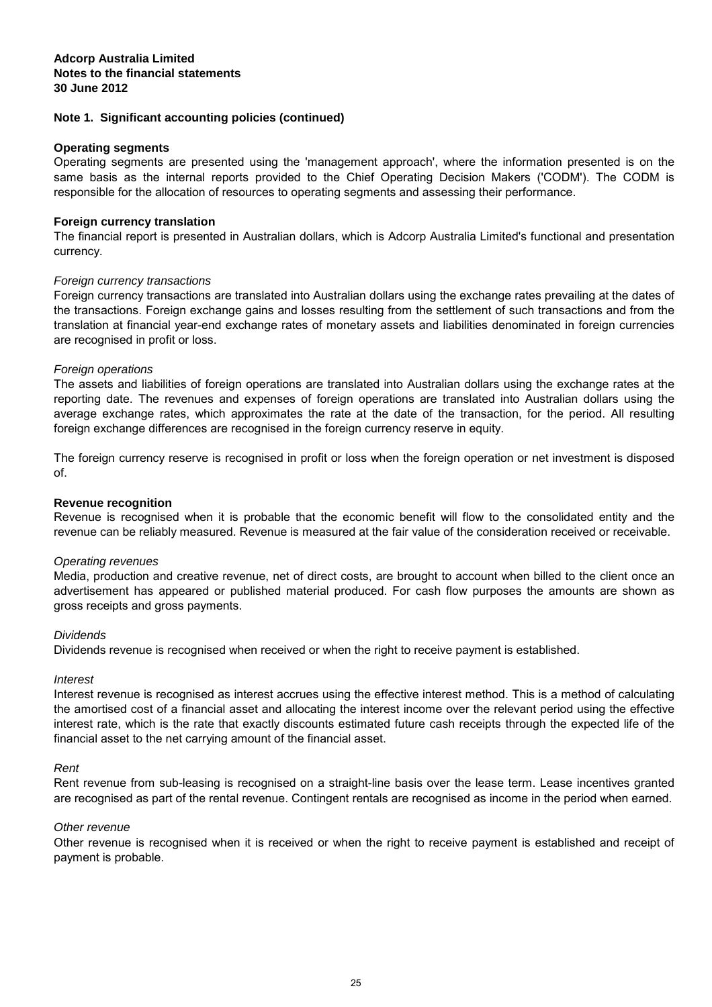#### **Operating segments**

Operating segments are presented using the 'management approach', where the information presented is on the same basis as the internal reports provided to the Chief Operating Decision Makers ('CODM'). The CODM is responsible for the allocation of resources to operating segments and assessing their performance.

#### **Foreign currency translation**

The financial report is presented in Australian dollars, which is Adcorp Australia Limited's functional and presentation currency.

#### Foreign currency transactions

Foreign currency transactions are translated into Australian dollars using the exchange rates prevailing at the dates of the transactions. Foreign exchange gains and losses resulting from the settlement of such transactions and from the translation at financial year-end exchange rates of monetary assets and liabilities denominated in foreign currencies are recognised in profit or loss.

#### Foreign operations

The assets and liabilities of foreign operations are translated into Australian dollars using the exchange rates at the reporting date. The revenues and expenses of foreign operations are translated into Australian dollars using the average exchange rates, which approximates the rate at the date of the transaction, for the period. All resulting foreign exchange differences are recognised in the foreign currency reserve in equity.

The foreign currency reserve is recognised in profit or loss when the foreign operation or net investment is disposed of.

#### **Revenue recognition**

Revenue is recognised when it is probable that the economic benefit will flow to the consolidated entity and the revenue can be reliably measured. Revenue is measured at the fair value of the consideration received or receivable.

#### Operating revenues

Media, production and creative revenue, net of direct costs, are brought to account when billed to the client once an advertisement has appeared or published material produced. For cash flow purposes the amounts are shown as gross receipts and gross payments.

#### **Dividends**

Dividends revenue is recognised when received or when the right to receive payment is established.

#### Interest

Interest revenue is recognised as interest accrues using the effective interest method. This is a method of calculating the amortised cost of a financial asset and allocating the interest income over the relevant period using the effective interest rate, which is the rate that exactly discounts estimated future cash receipts through the expected life of the financial asset to the net carrying amount of the financial asset.

#### Rent

Rent revenue from sub-leasing is recognised on a straight-line basis over the lease term. Lease incentives granted are recognised as part of the rental revenue. Contingent rentals are recognised as income in the period when earned.

#### Other revenue

Other revenue is recognised when it is received or when the right to receive payment is established and receipt of payment is probable.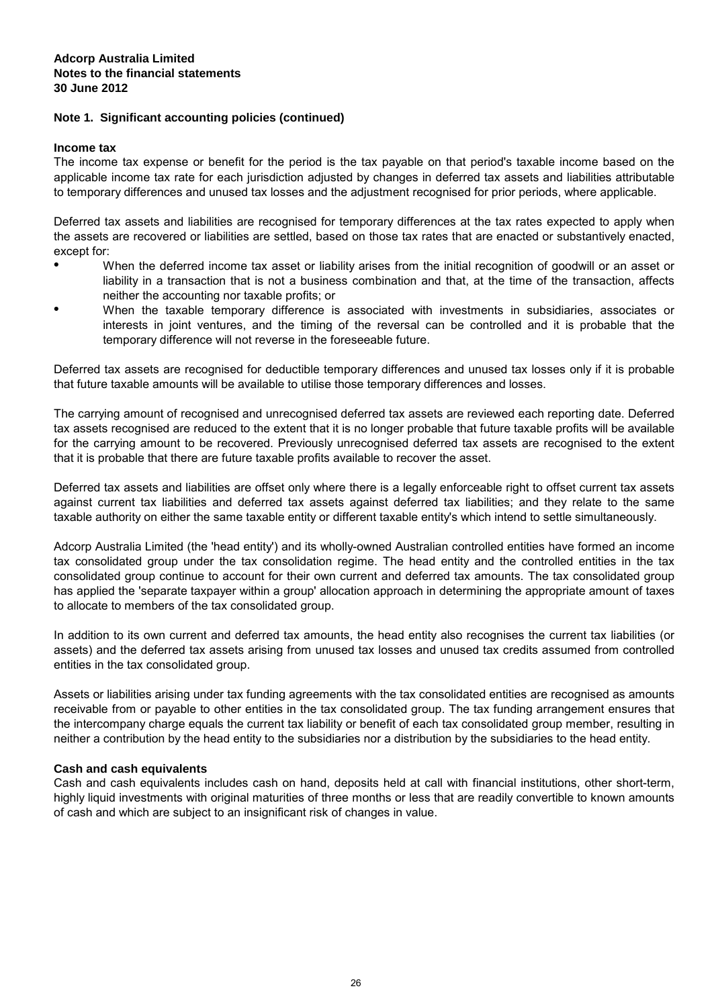#### **Income tax**

The income tax expense or benefit for the period is the tax payable on that period's taxable income based on the applicable income tax rate for each jurisdiction adjusted by changes in deferred tax assets and liabilities attributable to temporary differences and unused tax losses and the adjustment recognised for prior periods, where applicable.

Deferred tax assets and liabilities are recognised for temporary differences at the tax rates expected to apply when the assets are recovered or liabilities are settled, based on those tax rates that are enacted or substantively enacted, except for:

- When the deferred income tax asset or liability arises from the initial recognition of goodwill or an asset or liability in a transaction that is not a business combination and that, at the time of the transaction, affects neither the accounting nor taxable profits; or
- When the taxable temporary difference is associated with investments in subsidiaries, associates or interests in joint ventures, and the timing of the reversal can be controlled and it is probable that the temporary difference will not reverse in the foreseeable future.

Deferred tax assets are recognised for deductible temporary differences and unused tax losses only if it is probable that future taxable amounts will be available to utilise those temporary differences and losses.

The carrying amount of recognised and unrecognised deferred tax assets are reviewed each reporting date. Deferred tax assets recognised are reduced to the extent that it is no longer probable that future taxable profits will be available for the carrying amount to be recovered. Previously unrecognised deferred tax assets are recognised to the extent that it is probable that there are future taxable profits available to recover the asset.

Deferred tax assets and liabilities are offset only where there is a legally enforceable right to offset current tax assets against current tax liabilities and deferred tax assets against deferred tax liabilities; and they relate to the same taxable authority on either the same taxable entity or different taxable entity's which intend to settle simultaneously.

Adcorp Australia Limited (the 'head entity') and its wholly-owned Australian controlled entities have formed an income tax consolidated group under the tax consolidation regime. The head entity and the controlled entities in the tax consolidated group continue to account for their own current and deferred tax amounts. The tax consolidated group has applied the 'separate taxpayer within a group' allocation approach in determining the appropriate amount of taxes to allocate to members of the tax consolidated group.

In addition to its own current and deferred tax amounts, the head entity also recognises the current tax liabilities (or assets) and the deferred tax assets arising from unused tax losses and unused tax credits assumed from controlled entities in the tax consolidated group.

Assets or liabilities arising under tax funding agreements with the tax consolidated entities are recognised as amounts receivable from or payable to other entities in the tax consolidated group. The tax funding arrangement ensures that the intercompany charge equals the current tax liability or benefit of each tax consolidated group member, resulting in neither a contribution by the head entity to the subsidiaries nor a distribution by the subsidiaries to the head entity.

#### **Cash and cash equivalents**

Cash and cash equivalents includes cash on hand, deposits held at call with financial institutions, other short-term, highly liquid investments with original maturities of three months or less that are readily convertible to known amounts of cash and which are subject to an insignificant risk of changes in value.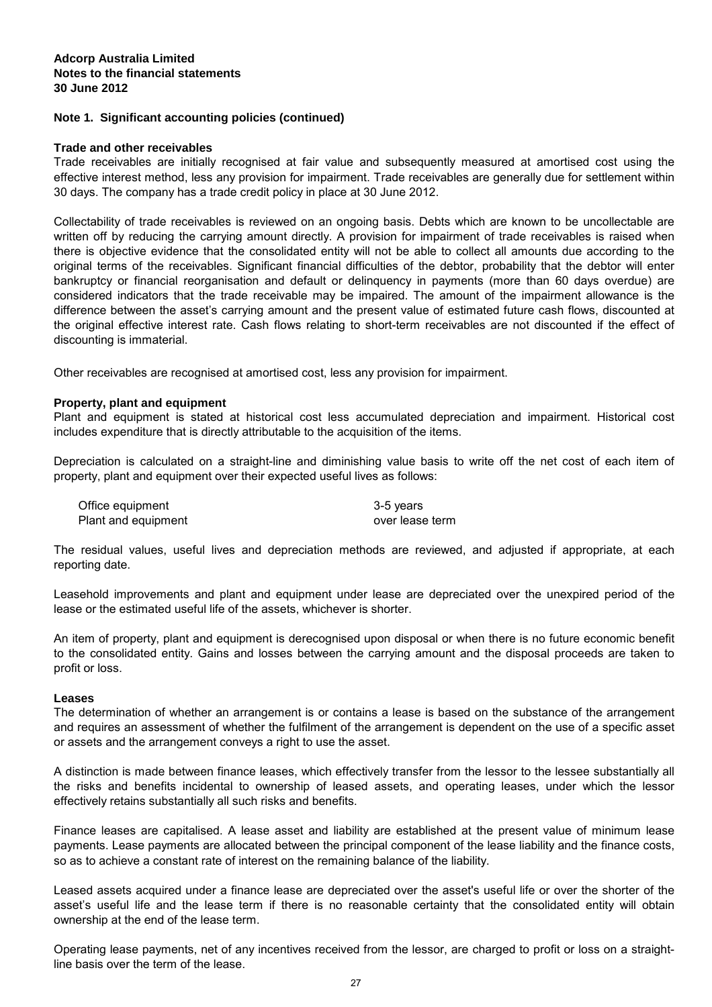#### **Trade and other receivables**

Trade receivables are initially recognised at fair value and subsequently measured at amortised cost using the effective interest method, less any provision for impairment. Trade receivables are generally due for settlement within 30 days. The company has a trade credit policy in place at 30 June 2012.

Collectability of trade receivables is reviewed on an ongoing basis. Debts which are known to be uncollectable are written off by reducing the carrying amount directly. A provision for impairment of trade receivables is raised when there is objective evidence that the consolidated entity will not be able to collect all amounts due according to the original terms of the receivables. Significant financial difficulties of the debtor, probability that the debtor will enter bankruptcy or financial reorganisation and default or delinquency in payments (more than 60 days overdue) are considered indicators that the trade receivable may be impaired. The amount of the impairment allowance is the difference between the asset's carrying amount and the present value of estimated future cash flows, discounted at the original effective interest rate. Cash flows relating to short-term receivables are not discounted if the effect of discounting is immaterial.

Other receivables are recognised at amortised cost, less any provision for impairment.

#### **Property, plant and equipment**

Plant and equipment is stated at historical cost less accumulated depreciation and impairment. Historical cost includes expenditure that is directly attributable to the acquisition of the items.

Depreciation is calculated on a straight-line and diminishing value basis to write off the net cost of each item of property, plant and equipment over their expected useful lives as follows:

| Office equipment    | 3-5 years       |
|---------------------|-----------------|
| Plant and equipment | over lease term |

The residual values, useful lives and depreciation methods are reviewed, and adjusted if appropriate, at each reporting date.

Leasehold improvements and plant and equipment under lease are depreciated over the unexpired period of the lease or the estimated useful life of the assets, whichever is shorter.

An item of property, plant and equipment is derecognised upon disposal or when there is no future economic benefit to the consolidated entity. Gains and losses between the carrying amount and the disposal proceeds are taken to profit or loss.

#### **Leases**

The determination of whether an arrangement is or contains a lease is based on the substance of the arrangement and requires an assessment of whether the fulfilment of the arrangement is dependent on the use of a specific asset or assets and the arrangement conveys a right to use the asset.

A distinction is made between finance leases, which effectively transfer from the lessor to the lessee substantially all the risks and benefits incidental to ownership of leased assets, and operating leases, under which the lessor effectively retains substantially all such risks and benefits.

Finance leases are capitalised. A lease asset and liability are established at the present value of minimum lease payments. Lease payments are allocated between the principal component of the lease liability and the finance costs, so as to achieve a constant rate of interest on the remaining balance of the liability.

Leased assets acquired under a finance lease are depreciated over the asset's useful life or over the shorter of the asset's useful life and the lease term if there is no reasonable certainty that the consolidated entity will obtain ownership at the end of the lease term.

Operating lease payments, net of any incentives received from the lessor, are charged to profit or loss on a straightline basis over the term of the lease.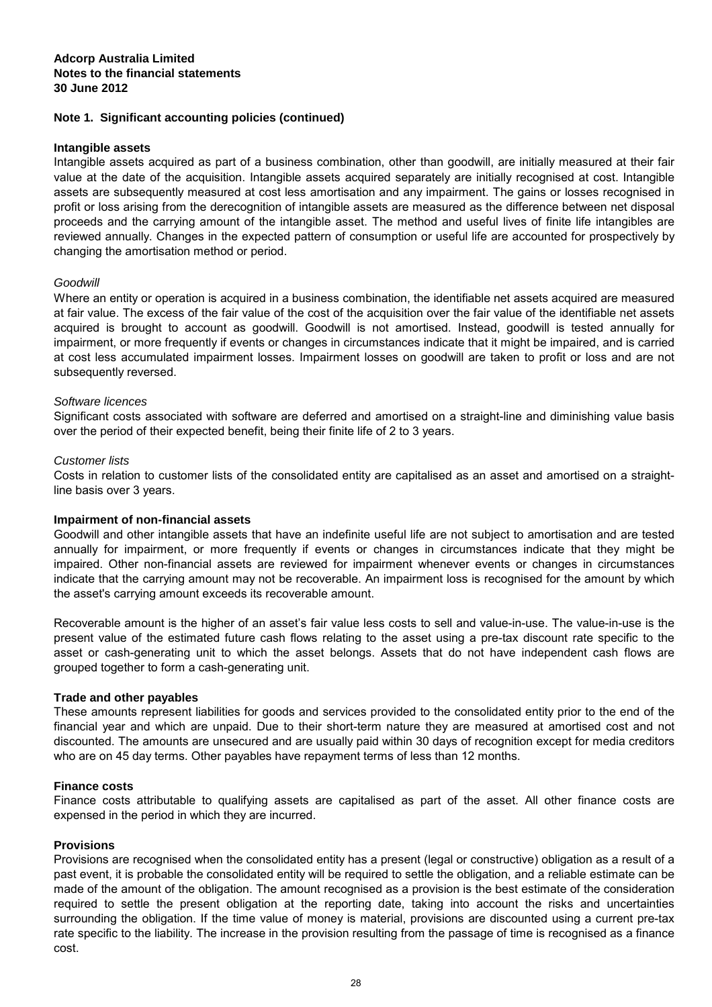#### **Intangible assets**

Intangible assets acquired as part of a business combination, other than goodwill, are initially measured at their fair value at the date of the acquisition. Intangible assets acquired separately are initially recognised at cost. Intangible assets are subsequently measured at cost less amortisation and any impairment. The gains or losses recognised in profit or loss arising from the derecognition of intangible assets are measured as the difference between net disposal proceeds and the carrying amount of the intangible asset. The method and useful lives of finite life intangibles are reviewed annually. Changes in the expected pattern of consumption or useful life are accounted for prospectively by changing the amortisation method or period.

#### Goodwill

Where an entity or operation is acquired in a business combination, the identifiable net assets acquired are measured at fair value. The excess of the fair value of the cost of the acquisition over the fair value of the identifiable net assets acquired is brought to account as goodwill. Goodwill is not amortised. Instead, goodwill is tested annually for impairment, or more frequently if events or changes in circumstances indicate that it might be impaired, and is carried at cost less accumulated impairment losses. Impairment losses on goodwill are taken to profit or loss and are not subsequently reversed.

#### Software licences

Significant costs associated with software are deferred and amortised on a straight-line and diminishing value basis over the period of their expected benefit, being their finite life of 2 to 3 years.

#### Customer lists

Costs in relation to customer lists of the consolidated entity are capitalised as an asset and amortised on a straightline basis over 3 years.

#### **Impairment of non-financial assets**

Goodwill and other intangible assets that have an indefinite useful life are not subject to amortisation and are tested annually for impairment, or more frequently if events or changes in circumstances indicate that they might be impaired. Other non-financial assets are reviewed for impairment whenever events or changes in circumstances indicate that the carrying amount may not be recoverable. An impairment loss is recognised for the amount by which the asset's carrying amount exceeds its recoverable amount.

Recoverable amount is the higher of an asset's fair value less costs to sell and value-in-use. The value-in-use is the present value of the estimated future cash flows relating to the asset using a pre-tax discount rate specific to the asset or cash-generating unit to which the asset belongs. Assets that do not have independent cash flows are grouped together to form a cash-generating unit.

#### **Trade and other payables**

These amounts represent liabilities for goods and services provided to the consolidated entity prior to the end of the financial year and which are unpaid. Due to their short-term nature they are measured at amortised cost and not discounted. The amounts are unsecured and are usually paid within 30 days of recognition except for media creditors who are on 45 day terms. Other payables have repayment terms of less than 12 months.

#### **Finance costs**

Finance costs attributable to qualifying assets are capitalised as part of the asset. All other finance costs are expensed in the period in which they are incurred.

#### **Provisions**

Provisions are recognised when the consolidated entity has a present (legal or constructive) obligation as a result of a past event, it is probable the consolidated entity will be required to settle the obligation, and a reliable estimate can be made of the amount of the obligation. The amount recognised as a provision is the best estimate of the consideration required to settle the present obligation at the reporting date, taking into account the risks and uncertainties surrounding the obligation. If the time value of money is material, provisions are discounted using a current pre-tax rate specific to the liability. The increase in the provision resulting from the passage of time is recognised as a finance cost.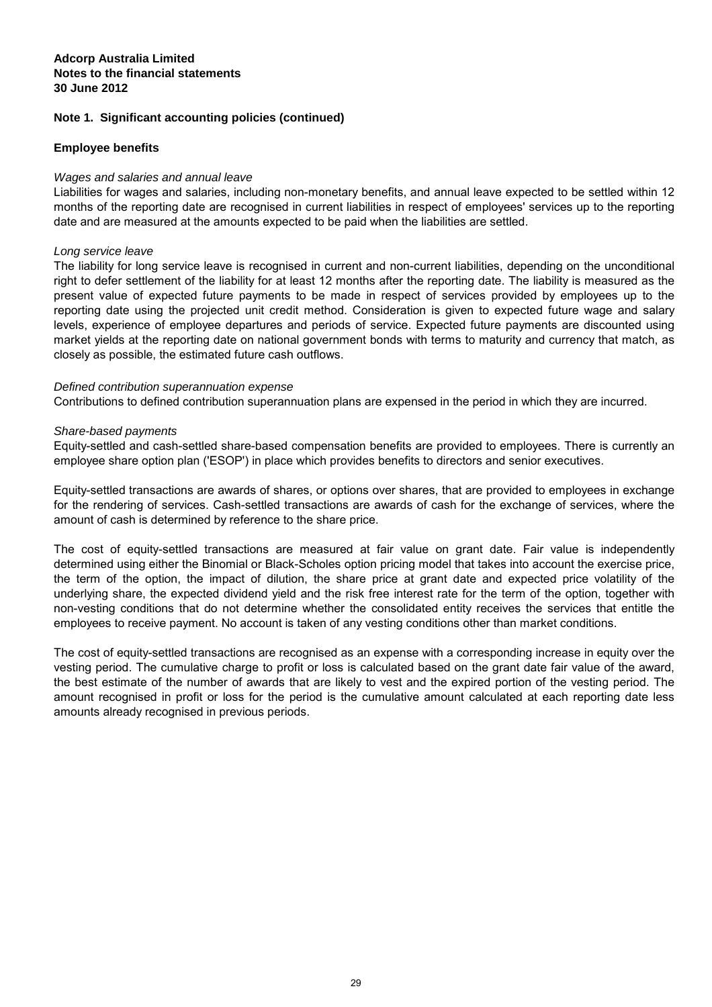## **Note 1. Significant accounting policies (continued)**

## **Employee benefits**

## Wages and salaries and annual leave

Liabilities for wages and salaries, including non-monetary benefits, and annual leave expected to be settled within 12 months of the reporting date are recognised in current liabilities in respect of employees' services up to the reporting date and are measured at the amounts expected to be paid when the liabilities are settled.

#### Long service leave

The liability for long service leave is recognised in current and non-current liabilities, depending on the unconditional right to defer settlement of the liability for at least 12 months after the reporting date. The liability is measured as the present value of expected future payments to be made in respect of services provided by employees up to the reporting date using the projected unit credit method. Consideration is given to expected future wage and salary levels, experience of employee departures and periods of service. Expected future payments are discounted using market yields at the reporting date on national government bonds with terms to maturity and currency that match, as closely as possible, the estimated future cash outflows.

#### Defined contribution superannuation expense

Contributions to defined contribution superannuation plans are expensed in the period in which they are incurred.

#### Share-based payments

Equity-settled and cash-settled share-based compensation benefits are provided to employees. There is currently an employee share option plan ('ESOP') in place which provides benefits to directors and senior executives.

Equity-settled transactions are awards of shares, or options over shares, that are provided to employees in exchange for the rendering of services. Cash-settled transactions are awards of cash for the exchange of services, where the amount of cash is determined by reference to the share price.

The cost of equity-settled transactions are measured at fair value on grant date. Fair value is independently determined using either the Binomial or Black-Scholes option pricing model that takes into account the exercise price, the term of the option, the impact of dilution, the share price at grant date and expected price volatility of the underlying share, the expected dividend yield and the risk free interest rate for the term of the option, together with non-vesting conditions that do not determine whether the consolidated entity receives the services that entitle the employees to receive payment. No account is taken of any vesting conditions other than market conditions.

The cost of equity-settled transactions are recognised as an expense with a corresponding increase in equity over the vesting period. The cumulative charge to profit or loss is calculated based on the grant date fair value of the award, the best estimate of the number of awards that are likely to vest and the expired portion of the vesting period. The amount recognised in profit or loss for the period is the cumulative amount calculated at each reporting date less amounts already recognised in previous periods.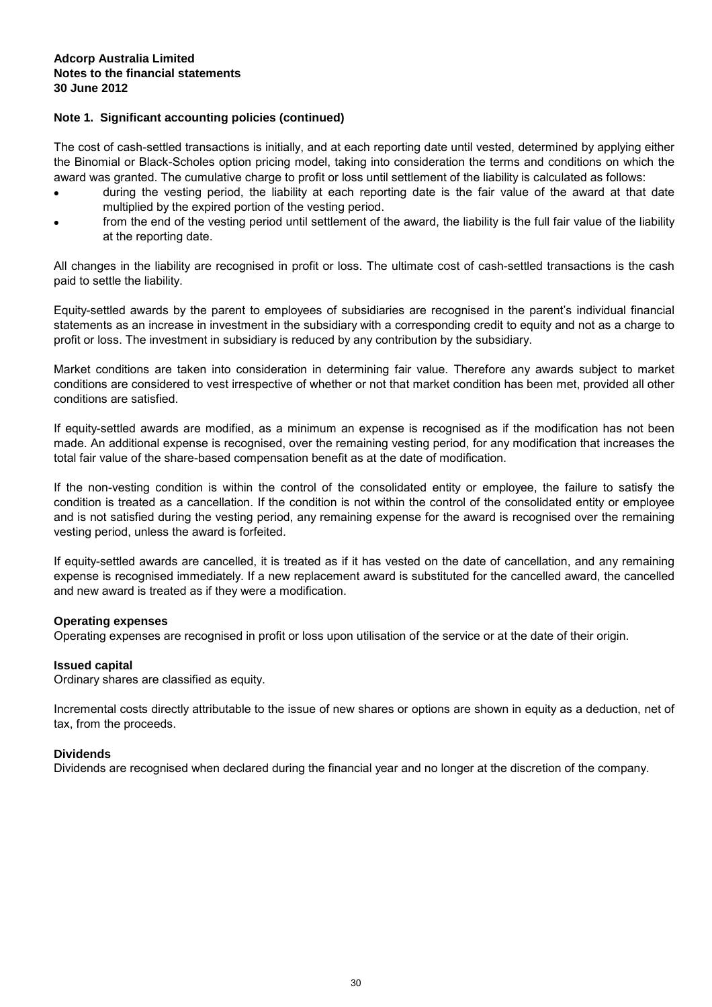The cost of cash-settled transactions is initially, and at each reporting date until vested, determined by applying either the Binomial or Black-Scholes option pricing model, taking into consideration the terms and conditions on which the award was granted. The cumulative charge to profit or loss until settlement of the liability is calculated as follows:

- during the vesting period, the liability at each reporting date is the fair value of the award at that date multiplied by the expired portion of the vesting period.
- from the end of the vesting period until settlement of the award, the liability is the full fair value of the liability at the reporting date.

All changes in the liability are recognised in profit or loss. The ultimate cost of cash-settled transactions is the cash paid to settle the liability.

Equity-settled awards by the parent to employees of subsidiaries are recognised in the parent's individual financial statements as an increase in investment in the subsidiary with a corresponding credit to equity and not as a charge to profit or loss. The investment in subsidiary is reduced by any contribution by the subsidiary.

Market conditions are taken into consideration in determining fair value. Therefore any awards subject to market conditions are considered to vest irrespective of whether or not that market condition has been met, provided all other conditions are satisfied.

If equity-settled awards are modified, as a minimum an expense is recognised as if the modification has not been made. An additional expense is recognised, over the remaining vesting period, for any modification that increases the total fair value of the share-based compensation benefit as at the date of modification.

If the non-vesting condition is within the control of the consolidated entity or employee, the failure to satisfy the condition is treated as a cancellation. If the condition is not within the control of the consolidated entity or employee and is not satisfied during the vesting period, any remaining expense for the award is recognised over the remaining vesting period, unless the award is forfeited.

If equity-settled awards are cancelled, it is treated as if it has vested on the date of cancellation, and any remaining expense is recognised immediately. If a new replacement award is substituted for the cancelled award, the cancelled and new award is treated as if they were a modification.

#### **Operating expenses**

Operating expenses are recognised in profit or loss upon utilisation of the service or at the date of their origin.

#### **Issued capital**

Ordinary shares are classified as equity.

Incremental costs directly attributable to the issue of new shares or options are shown in equity as a deduction, net of tax, from the proceeds.

#### **Dividends**

Dividends are recognised when declared during the financial year and no longer at the discretion of the company.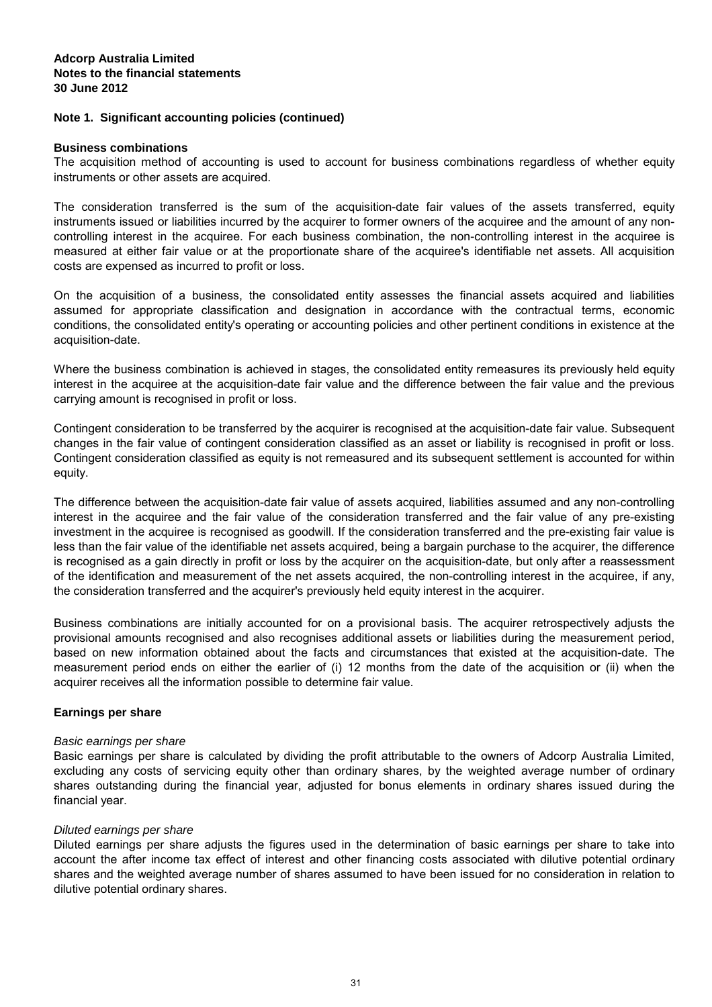#### **Business combinations**

The acquisition method of accounting is used to account for business combinations regardless of whether equity instruments or other assets are acquired.

The consideration transferred is the sum of the acquisition-date fair values of the assets transferred, equity instruments issued or liabilities incurred by the acquirer to former owners of the acquiree and the amount of any noncontrolling interest in the acquiree. For each business combination, the non-controlling interest in the acquiree is measured at either fair value or at the proportionate share of the acquiree's identifiable net assets. All acquisition costs are expensed as incurred to profit or loss.

On the acquisition of a business, the consolidated entity assesses the financial assets acquired and liabilities assumed for appropriate classification and designation in accordance with the contractual terms, economic conditions, the consolidated entity's operating or accounting policies and other pertinent conditions in existence at the acquisition-date.

Where the business combination is achieved in stages, the consolidated entity remeasures its previously held equity interest in the acquiree at the acquisition-date fair value and the difference between the fair value and the previous carrying amount is recognised in profit or loss.

Contingent consideration to be transferred by the acquirer is recognised at the acquisition-date fair value. Subsequent changes in the fair value of contingent consideration classified as an asset or liability is recognised in profit or loss. Contingent consideration classified as equity is not remeasured and its subsequent settlement is accounted for within equity.

The difference between the acquisition-date fair value of assets acquired, liabilities assumed and any non-controlling interest in the acquiree and the fair value of the consideration transferred and the fair value of any pre-existing investment in the acquiree is recognised as goodwill. If the consideration transferred and the pre-existing fair value is less than the fair value of the identifiable net assets acquired, being a bargain purchase to the acquirer, the difference is recognised as a gain directly in profit or loss by the acquirer on the acquisition-date, but only after a reassessment of the identification and measurement of the net assets acquired, the non-controlling interest in the acquiree, if any, the consideration transferred and the acquirer's previously held equity interest in the acquirer.

Business combinations are initially accounted for on a provisional basis. The acquirer retrospectively adjusts the provisional amounts recognised and also recognises additional assets or liabilities during the measurement period, based on new information obtained about the facts and circumstances that existed at the acquisition-date. The measurement period ends on either the earlier of (i) 12 months from the date of the acquisition or (ii) when the acquirer receives all the information possible to determine fair value.

#### **Earnings per share**

#### Basic earnings per share

Basic earnings per share is calculated by dividing the profit attributable to the owners of Adcorp Australia Limited, excluding any costs of servicing equity other than ordinary shares, by the weighted average number of ordinary shares outstanding during the financial year, adjusted for bonus elements in ordinary shares issued during the financial year.

#### Diluted earnings per share

Diluted earnings per share adjusts the figures used in the determination of basic earnings per share to take into account the after income tax effect of interest and other financing costs associated with dilutive potential ordinary shares and the weighted average number of shares assumed to have been issued for no consideration in relation to dilutive potential ordinary shares.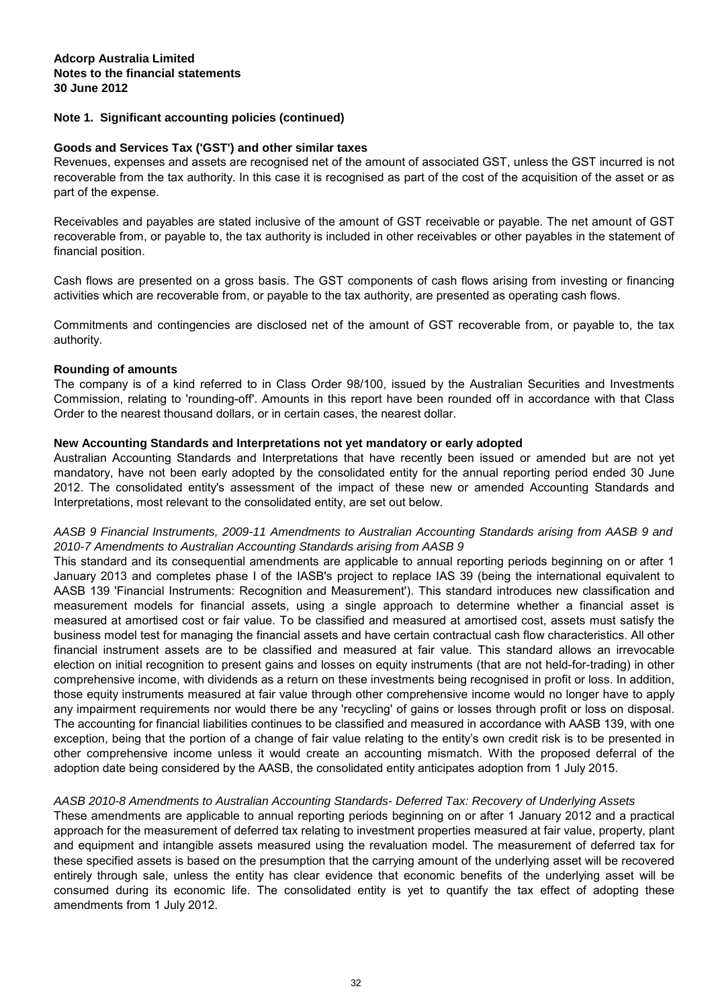#### **Goods and Services Tax ('GST') and other similar taxes**

Revenues, expenses and assets are recognised net of the amount of associated GST, unless the GST incurred is not recoverable from the tax authority. In this case it is recognised as part of the cost of the acquisition of the asset or as part of the expense.

Receivables and payables are stated inclusive of the amount of GST receivable or payable. The net amount of GST recoverable from, or payable to, the tax authority is included in other receivables or other payables in the statement of financial position.

Cash flows are presented on a gross basis. The GST components of cash flows arising from investing or financing activities which are recoverable from, or payable to the tax authority, are presented as operating cash flows.

Commitments and contingencies are disclosed net of the amount of GST recoverable from, or payable to, the tax authority.

#### **Rounding of amounts**

The company is of a kind referred to in Class Order 98/100, issued by the Australian Securities and Investments Commission, relating to 'rounding-off'. Amounts in this report have been rounded off in accordance with that Class Order to the nearest thousand dollars, or in certain cases, the nearest dollar.

#### **New Accounting Standards and Interpretations not yet mandatory or early adopted**

Australian Accounting Standards and Interpretations that have recently been issued or amended but are not yet mandatory, have not been early adopted by the consolidated entity for the annual reporting period ended 30 June 2012. The consolidated entity's assessment of the impact of these new or amended Accounting Standards and Interpretations, most relevant to the consolidated entity, are set out below.

## AASB 9 Financial Instruments, 2009-11 Amendments to Australian Accounting Standards arising from AASB 9 and 2010-7 Amendments to Australian Accounting Standards arising from AASB 9

This standard and its consequential amendments are applicable to annual reporting periods beginning on or after 1 January 2013 and completes phase I of the IASB's project to replace IAS 39 (being the international equivalent to AASB 139 'Financial Instruments: Recognition and Measurement'). This standard introduces new classification and measurement models for financial assets, using a single approach to determine whether a financial asset is measured at amortised cost or fair value. To be classified and measured at amortised cost, assets must satisfy the business model test for managing the financial assets and have certain contractual cash flow characteristics. All other financial instrument assets are to be classified and measured at fair value. This standard allows an irrevocable election on initial recognition to present gains and losses on equity instruments (that are not held-for-trading) in other comprehensive income, with dividends as a return on these investments being recognised in profit or loss. In addition, those equity instruments measured at fair value through other comprehensive income would no longer have to apply any impairment requirements nor would there be any 'recycling' of gains or losses through profit or loss on disposal. The accounting for financial liabilities continues to be classified and measured in accordance with AASB 139, with one exception, being that the portion of a change of fair value relating to the entity's own credit risk is to be presented in other comprehensive income unless it would create an accounting mismatch. With the proposed deferral of the adoption date being considered by the AASB, the consolidated entity anticipates adoption from 1 July 2015.

#### AASB 2010-8 Amendments to Australian Accounting Standards- Deferred Tax: Recovery of Underlying Assets

These amendments are applicable to annual reporting periods beginning on or after 1 January 2012 and a practical approach for the measurement of deferred tax relating to investment properties measured at fair value, property, plant and equipment and intangible assets measured using the revaluation model. The measurement of deferred tax for these specified assets is based on the presumption that the carrying amount of the underlying asset will be recovered entirely through sale, unless the entity has clear evidence that economic benefits of the underlying asset will be consumed during its economic life. The consolidated entity is yet to quantify the tax effect of adopting these amendments from 1 July 2012.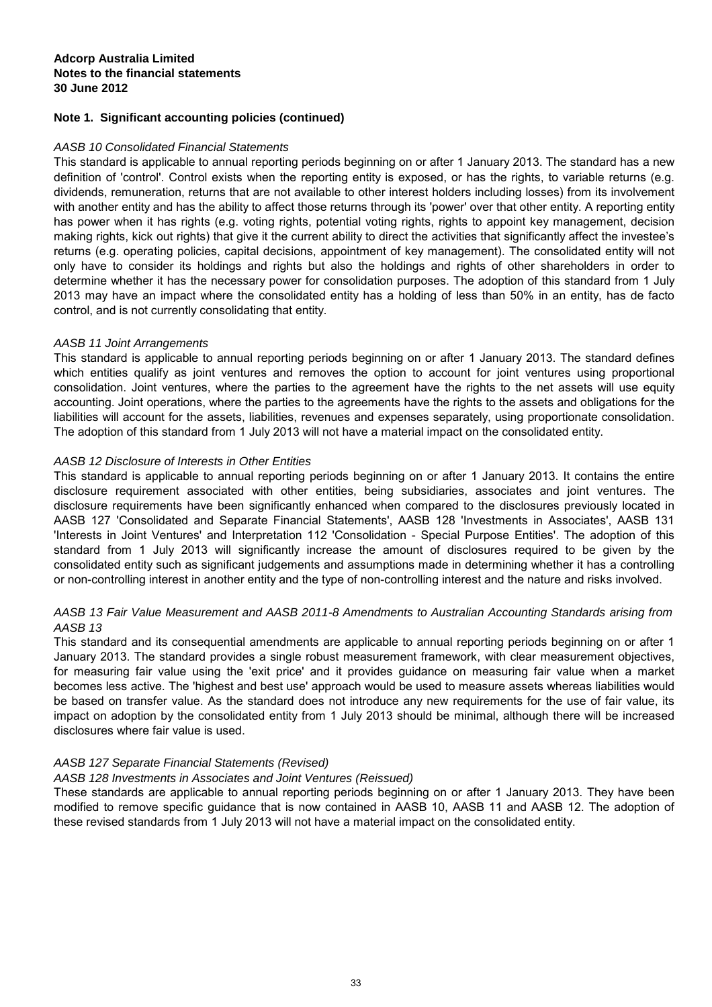## AASB 10 Consolidated Financial Statements

This standard is applicable to annual reporting periods beginning on or after 1 January 2013. The standard has a new definition of 'control'. Control exists when the reporting entity is exposed, or has the rights, to variable returns (e.g. dividends, remuneration, returns that are not available to other interest holders including losses) from its involvement with another entity and has the ability to affect those returns through its 'power' over that other entity. A reporting entity has power when it has rights (e.g. voting rights, potential voting rights, rights to appoint key management, decision making rights, kick out rights) that give it the current ability to direct the activities that significantly affect the investee's returns (e.g. operating policies, capital decisions, appointment of key management). The consolidated entity will not only have to consider its holdings and rights but also the holdings and rights of other shareholders in order to determine whether it has the necessary power for consolidation purposes. The adoption of this standard from 1 July 2013 may have an impact where the consolidated entity has a holding of less than 50% in an entity, has de facto control, and is not currently consolidating that entity.

## AASB 11 Joint Arrangements

This standard is applicable to annual reporting periods beginning on or after 1 January 2013. The standard defines which entities qualify as joint ventures and removes the option to account for joint ventures using proportional consolidation. Joint ventures, where the parties to the agreement have the rights to the net assets will use equity accounting. Joint operations, where the parties to the agreements have the rights to the assets and obligations for the liabilities will account for the assets, liabilities, revenues and expenses separately, using proportionate consolidation. The adoption of this standard from 1 July 2013 will not have a material impact on the consolidated entity.

## AASB 12 Disclosure of Interests in Other Entities

This standard is applicable to annual reporting periods beginning on or after 1 January 2013. It contains the entire disclosure requirement associated with other entities, being subsidiaries, associates and joint ventures. The disclosure requirements have been significantly enhanced when compared to the disclosures previously located in AASB 127 'Consolidated and Separate Financial Statements', AASB 128 'Investments in Associates', AASB 131 'Interests in Joint Ventures' and Interpretation 112 'Consolidation - Special Purpose Entities'. The adoption of this standard from 1 July 2013 will significantly increase the amount of disclosures required to be given by the consolidated entity such as significant judgements and assumptions made in determining whether it has a controlling or non-controlling interest in another entity and the type of non-controlling interest and the nature and risks involved.

## AASB 13 Fair Value Measurement and AASB 2011-8 Amendments to Australian Accounting Standards arising from AASB 13

This standard and its consequential amendments are applicable to annual reporting periods beginning on or after 1 January 2013. The standard provides a single robust measurement framework, with clear measurement objectives, for measuring fair value using the 'exit price' and it provides guidance on measuring fair value when a market becomes less active. The 'highest and best use' approach would be used to measure assets whereas liabilities would be based on transfer value. As the standard does not introduce any new requirements for the use of fair value, its impact on adoption by the consolidated entity from 1 July 2013 should be minimal, although there will be increased disclosures where fair value is used.

## AASB 127 Separate Financial Statements (Revised)

#### AASB 128 Investments in Associates and Joint Ventures (Reissued)

These standards are applicable to annual reporting periods beginning on or after 1 January 2013. They have been modified to remove specific guidance that is now contained in AASB 10, AASB 11 and AASB 12. The adoption of these revised standards from 1 July 2013 will not have a material impact on the consolidated entity.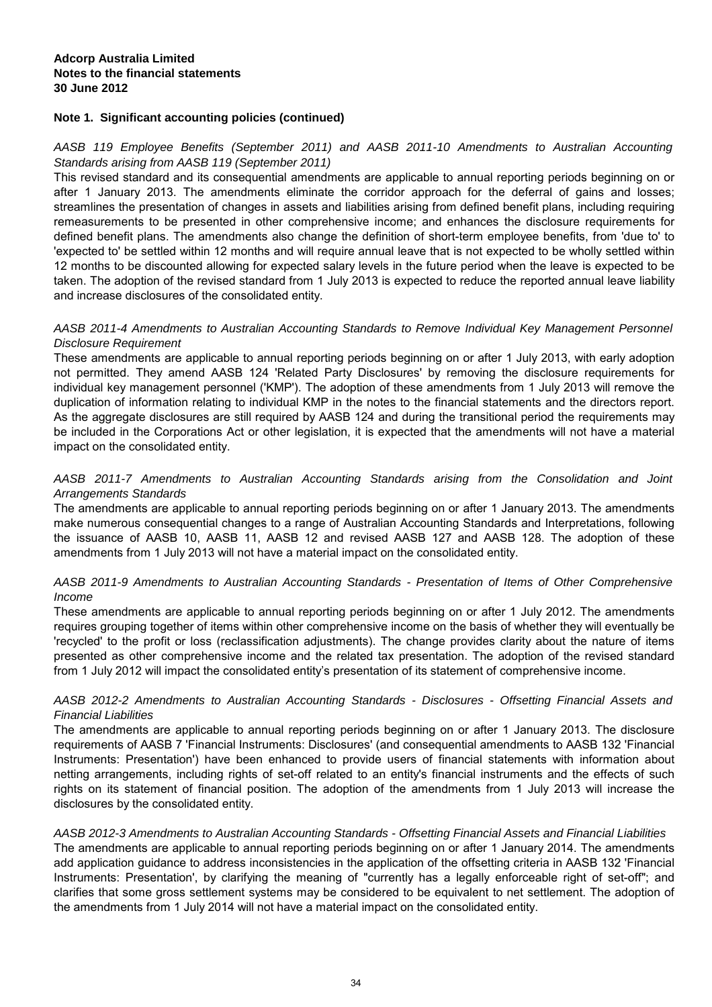AASB 119 Employee Benefits (September 2011) and AASB 2011-10 Amendments to Australian Accounting Standards arising from AASB 119 (September 2011)

This revised standard and its consequential amendments are applicable to annual reporting periods beginning on or after 1 January 2013. The amendments eliminate the corridor approach for the deferral of gains and losses; streamlines the presentation of changes in assets and liabilities arising from defined benefit plans, including requiring remeasurements to be presented in other comprehensive income; and enhances the disclosure requirements for defined benefit plans. The amendments also change the definition of short-term employee benefits, from 'due to' to 'expected to' be settled within 12 months and will require annual leave that is not expected to be wholly settled within 12 months to be discounted allowing for expected salary levels in the future period when the leave is expected to be taken. The adoption of the revised standard from 1 July 2013 is expected to reduce the reported annual leave liability and increase disclosures of the consolidated entity.

## AASB 2011-4 Amendments to Australian Accounting Standards to Remove Individual Key Management Personnel Disclosure Requirement

These amendments are applicable to annual reporting periods beginning on or after 1 July 2013, with early adoption not permitted. They amend AASB 124 'Related Party Disclosures' by removing the disclosure requirements for individual key management personnel ('KMP'). The adoption of these amendments from 1 July 2013 will remove the duplication of information relating to individual KMP in the notes to the financial statements and the directors report. As the aggregate disclosures are still required by AASB 124 and during the transitional period the requirements may be included in the Corporations Act or other legislation, it is expected that the amendments will not have a material impact on the consolidated entity.

## AASB 2011-7 Amendments to Australian Accounting Standards arising from the Consolidation and Joint Arrangements Standards

The amendments are applicable to annual reporting periods beginning on or after 1 January 2013. The amendments make numerous consequential changes to a range of Australian Accounting Standards and Interpretations, following the issuance of AASB 10, AASB 11, AASB 12 and revised AASB 127 and AASB 128. The adoption of these amendments from 1 July 2013 will not have a material impact on the consolidated entity.

## AASB 2011-9 Amendments to Australian Accounting Standards - Presentation of Items of Other Comprehensive Income

These amendments are applicable to annual reporting periods beginning on or after 1 July 2012. The amendments requires grouping together of items within other comprehensive income on the basis of whether they will eventually be 'recycled' to the profit or loss (reclassification adjustments). The change provides clarity about the nature of items presented as other comprehensive income and the related tax presentation. The adoption of the revised standard from 1 July 2012 will impact the consolidated entity's presentation of its statement of comprehensive income.

## AASB 2012-2 Amendments to Australian Accounting Standards - Disclosures - Offsetting Financial Assets and Financial Liabilities

The amendments are applicable to annual reporting periods beginning on or after 1 January 2013. The disclosure requirements of AASB 7 'Financial Instruments: Disclosures' (and consequential amendments to AASB 132 'Financial Instruments: Presentation') have been enhanced to provide users of financial statements with information about netting arrangements, including rights of set-off related to an entity's financial instruments and the effects of such rights on its statement of financial position. The adoption of the amendments from 1 July 2013 will increase the disclosures by the consolidated entity.

#### AASB 2012-3 Amendments to Australian Accounting Standards - Offsetting Financial Assets and Financial Liabilities

The amendments are applicable to annual reporting periods beginning on or after 1 January 2014. The amendments add application guidance to address inconsistencies in the application of the offsetting criteria in AASB 132 'Financial Instruments: Presentation', by clarifying the meaning of "currently has a legally enforceable right of set-off"; and clarifies that some gross settlement systems may be considered to be equivalent to net settlement. The adoption of the amendments from 1 July 2014 will not have a material impact on the consolidated entity.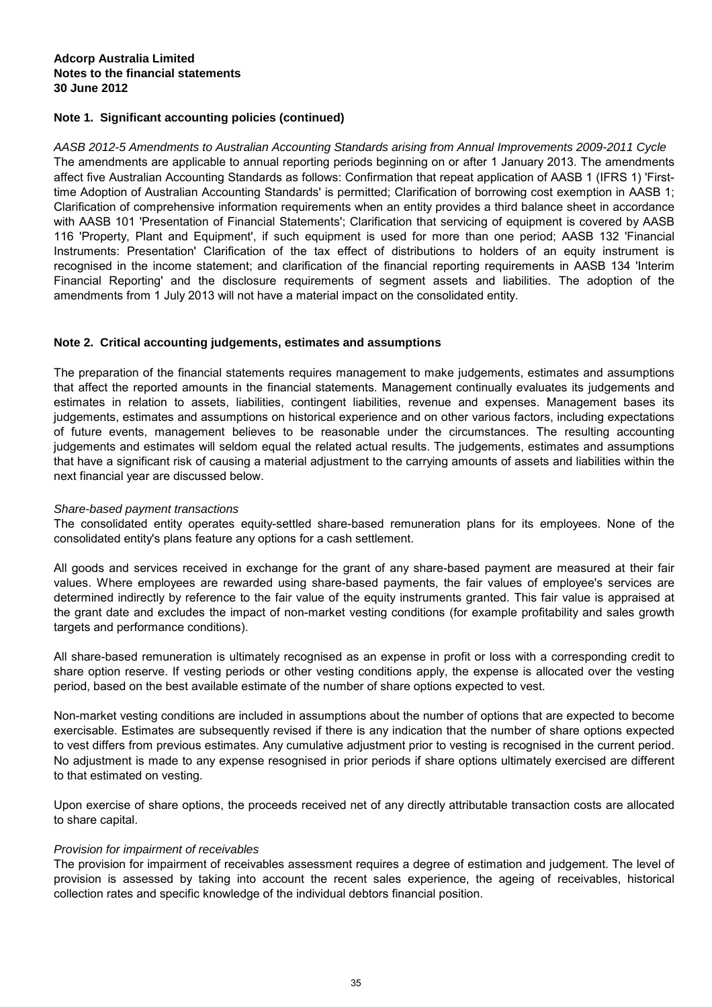AASB 2012-5 Amendments to Australian Accounting Standards arising from Annual Improvements 2009-2011 Cycle The amendments are applicable to annual reporting periods beginning on or after 1 January 2013. The amendments affect five Australian Accounting Standards as follows: Confirmation that repeat application of AASB 1 (IFRS 1) 'Firsttime Adoption of Australian Accounting Standards' is permitted; Clarification of borrowing cost exemption in AASB 1; Clarification of comprehensive information requirements when an entity provides a third balance sheet in accordance with AASB 101 'Presentation of Financial Statements'; Clarification that servicing of equipment is covered by AASB 116 'Property, Plant and Equipment', if such equipment is used for more than one period; AASB 132 'Financial Instruments: Presentation' Clarification of the tax effect of distributions to holders of an equity instrument is recognised in the income statement; and clarification of the financial reporting requirements in AASB 134 'Interim Financial Reporting' and the disclosure requirements of segment assets and liabilities. The adoption of the amendments from 1 July 2013 will not have a material impact on the consolidated entity.

## **Note 2. Critical accounting judgements, estimates and assumptions**

The preparation of the financial statements requires management to make judgements, estimates and assumptions that affect the reported amounts in the financial statements. Management continually evaluates its judgements and estimates in relation to assets, liabilities, contingent liabilities, revenue and expenses. Management bases its judgements, estimates and assumptions on historical experience and on other various factors, including expectations of future events, management believes to be reasonable under the circumstances. The resulting accounting judgements and estimates will seldom equal the related actual results. The judgements, estimates and assumptions that have a significant risk of causing a material adjustment to the carrying amounts of assets and liabilities within the next financial year are discussed below.

## Share-based payment transactions

The consolidated entity operates equity-settled share-based remuneration plans for its employees. None of the consolidated entity's plans feature any options for a cash settlement.

All goods and services received in exchange for the grant of any share-based payment are measured at their fair values. Where employees are rewarded using share-based payments, the fair values of employee's services are determined indirectly by reference to the fair value of the equity instruments granted. This fair value is appraised at the grant date and excludes the impact of non-market vesting conditions (for example profitability and sales growth targets and performance conditions).

All share-based remuneration is ultimately recognised as an expense in profit or loss with a corresponding credit to share option reserve. If vesting periods or other vesting conditions apply, the expense is allocated over the vesting period, based on the best available estimate of the number of share options expected to vest.

Non-market vesting conditions are included in assumptions about the number of options that are expected to become exercisable. Estimates are subsequently revised if there is any indication that the number of share options expected to vest differs from previous estimates. Any cumulative adjustment prior to vesting is recognised in the current period. No adjustment is made to any expense resognised in prior periods if share options ultimately exercised are different to that estimated on vesting.

Upon exercise of share options, the proceeds received net of any directly attributable transaction costs are allocated to share capital.

## Provision for impairment of receivables

The provision for impairment of receivables assessment requires a degree of estimation and judgement. The level of provision is assessed by taking into account the recent sales experience, the ageing of receivables, historical collection rates and specific knowledge of the individual debtors financial position.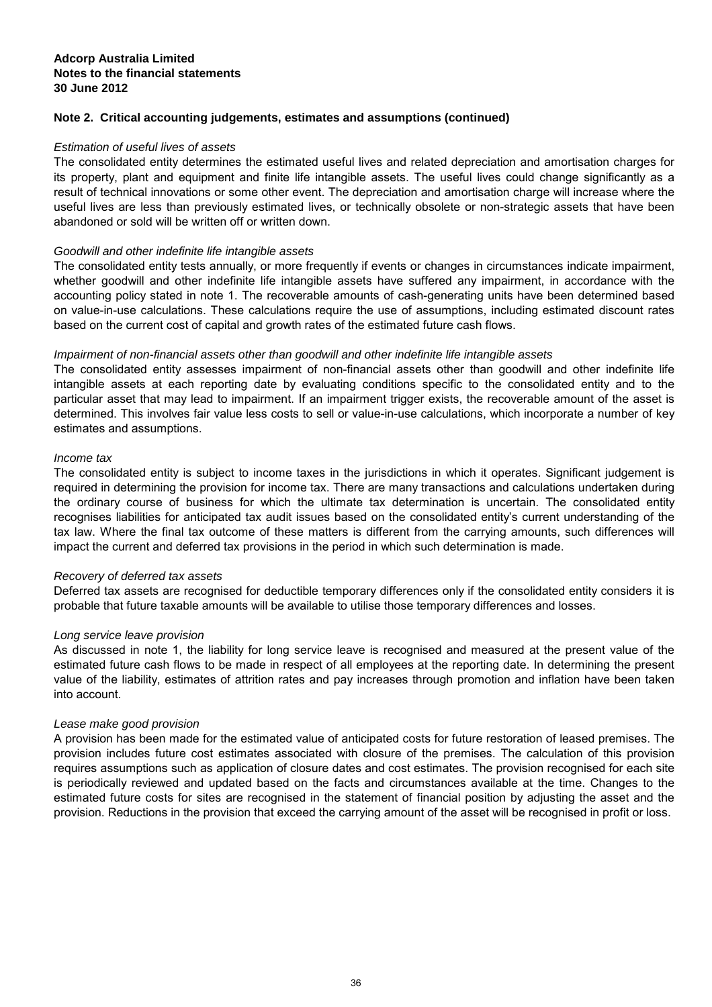## **Note 2. Critical accounting judgements, estimates and assumptions (continued)**

## Estimation of useful lives of assets

The consolidated entity determines the estimated useful lives and related depreciation and amortisation charges for its property, plant and equipment and finite life intangible assets. The useful lives could change significantly as a result of technical innovations or some other event. The depreciation and amortisation charge will increase where the useful lives are less than previously estimated lives, or technically obsolete or non-strategic assets that have been abandoned or sold will be written off or written down.

## Goodwill and other indefinite life intangible assets

The consolidated entity tests annually, or more frequently if events or changes in circumstances indicate impairment, whether goodwill and other indefinite life intangible assets have suffered any impairment, in accordance with the accounting policy stated in note 1. The recoverable amounts of cash-generating units have been determined based on value-in-use calculations. These calculations require the use of assumptions, including estimated discount rates based on the current cost of capital and growth rates of the estimated future cash flows.

## Impairment of non-financial assets other than goodwill and other indefinite life intangible assets

The consolidated entity assesses impairment of non-financial assets other than goodwill and other indefinite life intangible assets at each reporting date by evaluating conditions specific to the consolidated entity and to the particular asset that may lead to impairment. If an impairment trigger exists, the recoverable amount of the asset is determined. This involves fair value less costs to sell or value-in-use calculations, which incorporate a number of key estimates and assumptions.

#### Income tax

The consolidated entity is subject to income taxes in the jurisdictions in which it operates. Significant judgement is required in determining the provision for income tax. There are many transactions and calculations undertaken during the ordinary course of business for which the ultimate tax determination is uncertain. The consolidated entity recognises liabilities for anticipated tax audit issues based on the consolidated entity's current understanding of the tax law. Where the final tax outcome of these matters is different from the carrying amounts, such differences will impact the current and deferred tax provisions in the period in which such determination is made.

#### Recovery of deferred tax assets

Deferred tax assets are recognised for deductible temporary differences only if the consolidated entity considers it is probable that future taxable amounts will be available to utilise those temporary differences and losses.

#### Long service leave provision

As discussed in note 1, the liability for long service leave is recognised and measured at the present value of the estimated future cash flows to be made in respect of all employees at the reporting date. In determining the present value of the liability, estimates of attrition rates and pay increases through promotion and inflation have been taken into account.

#### Lease make good provision

A provision has been made for the estimated value of anticipated costs for future restoration of leased premises. The provision includes future cost estimates associated with closure of the premises. The calculation of this provision requires assumptions such as application of closure dates and cost estimates. The provision recognised for each site is periodically reviewed and updated based on the facts and circumstances available at the time. Changes to the estimated future costs for sites are recognised in the statement of financial position by adjusting the asset and the provision. Reductions in the provision that exceed the carrying amount of the asset will be recognised in profit or loss.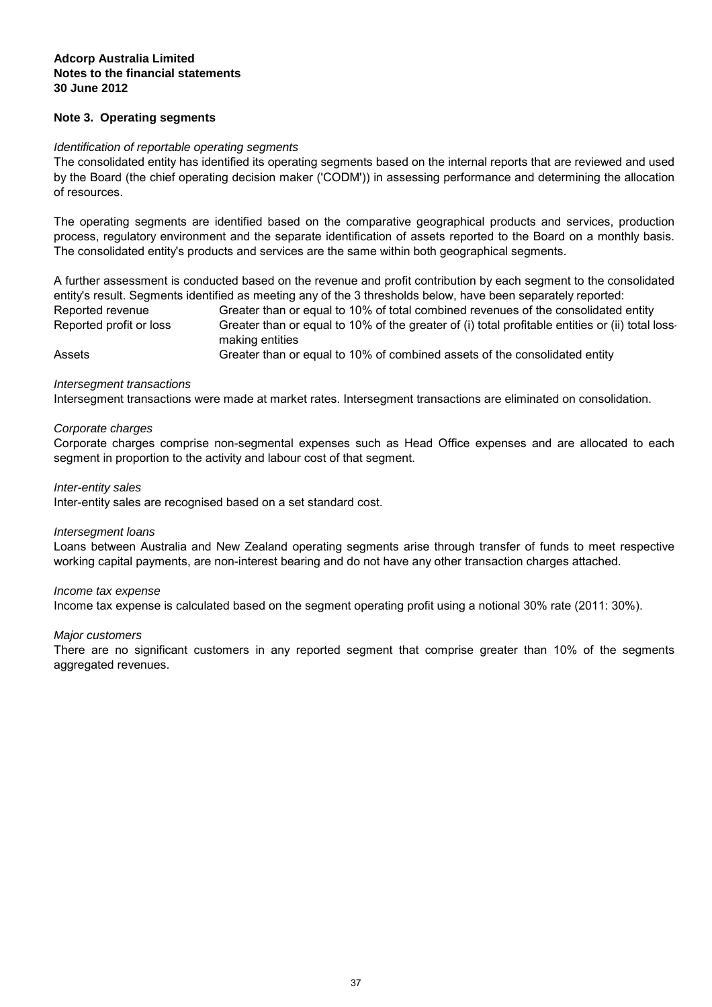## **Note 3. Operating segments**

#### Identification of reportable operating segments

The consolidated entity has identified its operating segments based on the internal reports that are reviewed and used by the Board (the chief operating decision maker ('CODM')) in assessing performance and determining the allocation of resources.

The operating segments are identified based on the comparative geographical products and services, production process, regulatory environment and the separate identification of assets reported to the Board on a monthly basis. The consolidated entity's products and services are the same within both geographical segments.

Greater than or equal to 10% of total combined revenues of the consolidated entity A further assessment is conducted based on the revenue and profit contribution by each segment to the consolidated entity's result. Segments identified as meeting any of the 3 thresholds below, have been separately reported: Reported revenue

Greater than or equal to 10% of combined assets of the consolidated entity Reported profit or loss Assets Greater than or equal to 10% of the greater of (i) total profitable entities or (ii) total lossmaking entities

Intersegment transactions were made at market rates. Intersegment transactions are eliminated on consolidation. Intersegment transactions

#### Corporate charges

Corporate charges comprise non-segmental expenses such as Head Office expenses and are allocated to each segment in proportion to the activity and labour cost of that segment.

#### Inter-entity sales

Inter-entity sales are recognised based on a set standard cost.

#### Intersegment loans

Loans between Australia and New Zealand operating segments arise through transfer of funds to meet respective working capital payments, are non-interest bearing and do not have any other transaction charges attached.

#### Income tax expense

Income tax expense is calculated based on the segment operating profit using a notional 30% rate (2011: 30%).

#### Major customers

There are no significant customers in any reported segment that comprise greater than 10% of the segments aggregated revenues.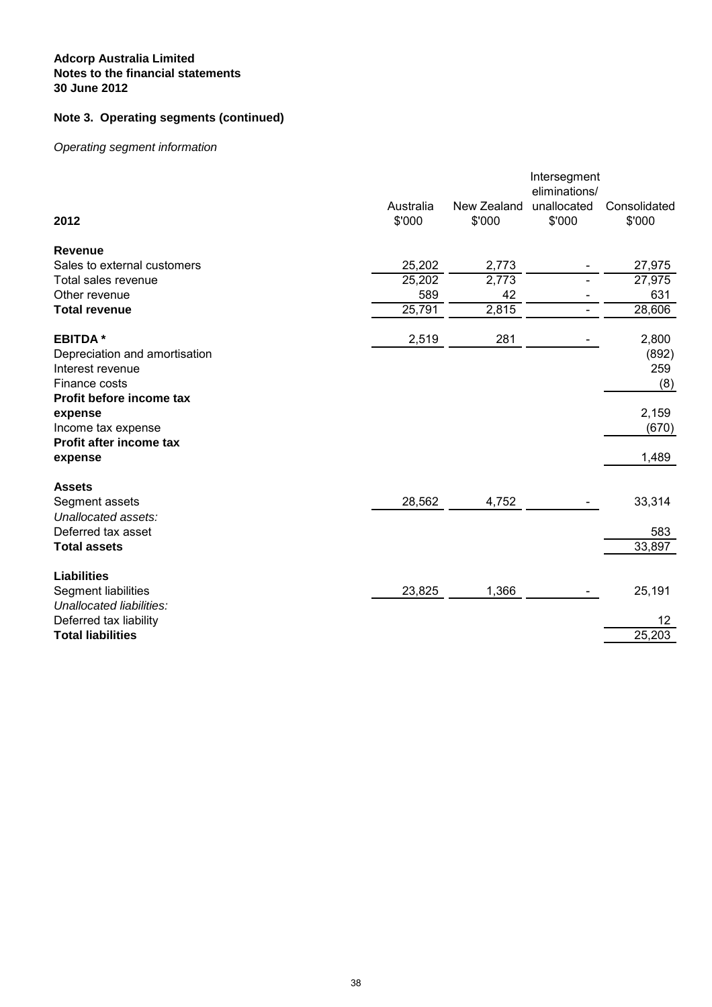# **Note 3. Operating segments (continued)**

# Operating segment information

| 2012                                               | Australia<br>\$'000 | New Zealand<br>\$'000 | Intersegment<br>eliminations/<br>unallocated<br>\$'000 | Consolidated<br>\$'000 |
|----------------------------------------------------|---------------------|-----------------------|--------------------------------------------------------|------------------------|
|                                                    |                     |                       |                                                        |                        |
| Revenue                                            |                     |                       |                                                        |                        |
| Sales to external customers                        | 25,202              | 2,773                 |                                                        | 27,975                 |
| Total sales revenue                                | 25,202              | 2,773                 |                                                        | 27,975                 |
| Other revenue                                      | 589                 | 42                    |                                                        | 631                    |
| <b>Total revenue</b>                               | 25,791              | 2,815                 | $\overline{\phantom{0}}$                               | 28,606                 |
| <b>EBITDA*</b>                                     | 2,519               | 281                   |                                                        | 2,800                  |
| Depreciation and amortisation                      |                     |                       |                                                        | (892)                  |
| Interest revenue                                   |                     |                       |                                                        | 259                    |
| Finance costs                                      |                     |                       |                                                        | (8)                    |
| Profit before income tax                           |                     |                       |                                                        |                        |
| expense                                            |                     |                       |                                                        | 2,159                  |
| Income tax expense                                 |                     |                       |                                                        | (670)                  |
| Profit after income tax                            |                     |                       |                                                        |                        |
| expense                                            |                     |                       |                                                        | 1,489                  |
| <b>Assets</b>                                      |                     |                       |                                                        |                        |
| Segment assets                                     | 28,562              | 4,752                 |                                                        | 33,314                 |
| Unallocated assets:                                |                     |                       |                                                        |                        |
| Deferred tax asset                                 |                     |                       |                                                        | 583                    |
| <b>Total assets</b>                                |                     |                       |                                                        | 33,897                 |
| <b>Liabilities</b>                                 |                     |                       |                                                        |                        |
| Segment liabilities                                | 23,825              | 1,366                 |                                                        | 25,191                 |
| Unallocated liabilities:<br>Deferred tax liability |                     |                       |                                                        | 12                     |
| <b>Total liabilities</b>                           |                     |                       |                                                        | 25,203                 |
|                                                    |                     |                       |                                                        |                        |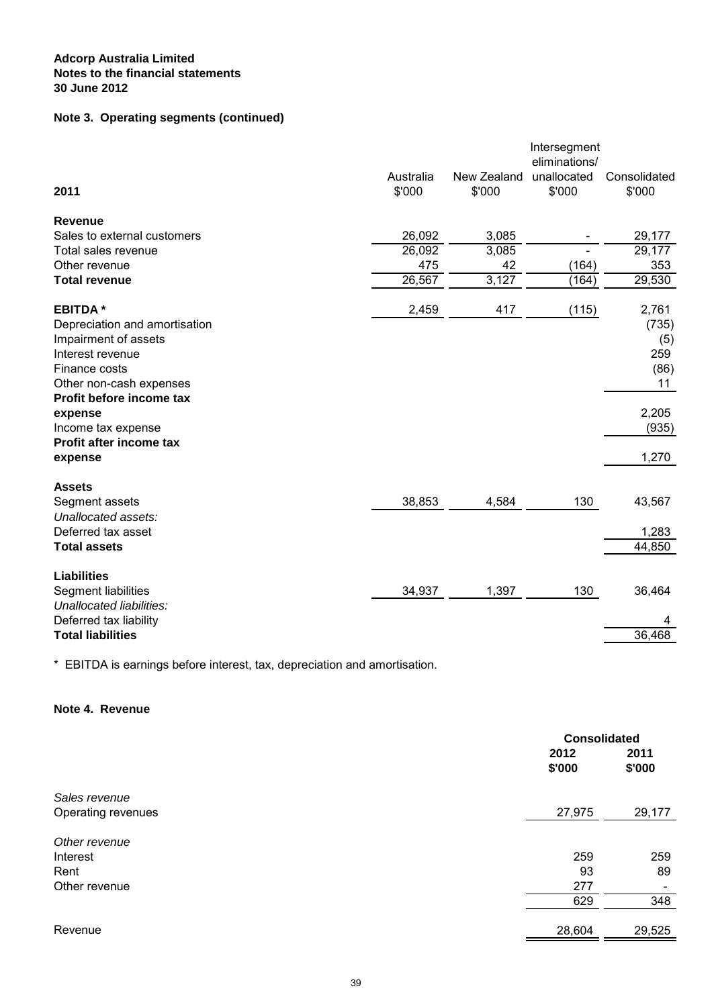# **Note 3. Operating segments (continued)**

|                               |           |             | Intersegment  |              |
|-------------------------------|-----------|-------------|---------------|--------------|
|                               |           |             | eliminations/ |              |
|                               | Australia | New Zealand | unallocated   | Consolidated |
| 2011                          | \$'000    | \$'000      | \$'000        | \$'000       |
| <b>Revenue</b>                |           |             |               |              |
| Sales to external customers   | 26,092    | 3,085       |               | 29,177       |
| Total sales revenue           | 26,092    | 3,085       |               | 29,177       |
| Other revenue                 | 475       | 42          | (164)         | 353          |
| <b>Total revenue</b>          | 26,567    | 3,127       | (164)         | 29,530       |
| <b>EBITDA*</b>                | 2,459     | 417         | (115)         | 2,761        |
| Depreciation and amortisation |           |             |               | (735)        |
| Impairment of assets          |           |             |               | (5)          |
| Interest revenue              |           |             |               | 259          |
| Finance costs                 |           |             |               | (86)         |
| Other non-cash expenses       |           |             |               | 11           |
| Profit before income tax      |           |             |               |              |
| expense                       |           |             |               | 2,205        |
| Income tax expense            |           |             |               | (935)        |
| Profit after income tax       |           |             |               |              |
| expense                       |           |             |               | 1,270        |
| <b>Assets</b>                 |           |             |               |              |
| Segment assets                | 38,853    | 4,584       | 130           | 43,567       |
| Unallocated assets:           |           |             |               |              |
| Deferred tax asset            |           |             |               | 1,283        |
| <b>Total assets</b>           |           |             |               | 44,850       |
| <b>Liabilities</b>            |           |             |               |              |
| Segment liabilities           | 34,937    | 1,397       | 130           | 36,464       |
| Unallocated liabilities:      |           |             |               |              |
| Deferred tax liability        |           |             |               | 4            |
| <b>Total liabilities</b>      |           |             |               | 36,468       |
|                               |           |             |               |              |

\* EBITDA is earnings before interest, tax, depreciation and amortisation.

## **Note 4. Revenue**

|                    | <b>Consolidated</b> |                          |
|--------------------|---------------------|--------------------------|
|                    | 2012<br>\$'000      | 2011<br>\$'000           |
| Sales revenue      |                     |                          |
| Operating revenues | 27,975              | 29,177                   |
| Other revenue      |                     |                          |
| Interest           | 259                 | 259                      |
| Rent               | 93                  | 89                       |
| Other revenue      | 277                 | $\overline{\phantom{0}}$ |
|                    | 629                 | 348                      |
| Revenue            | 28,604              | 29,525                   |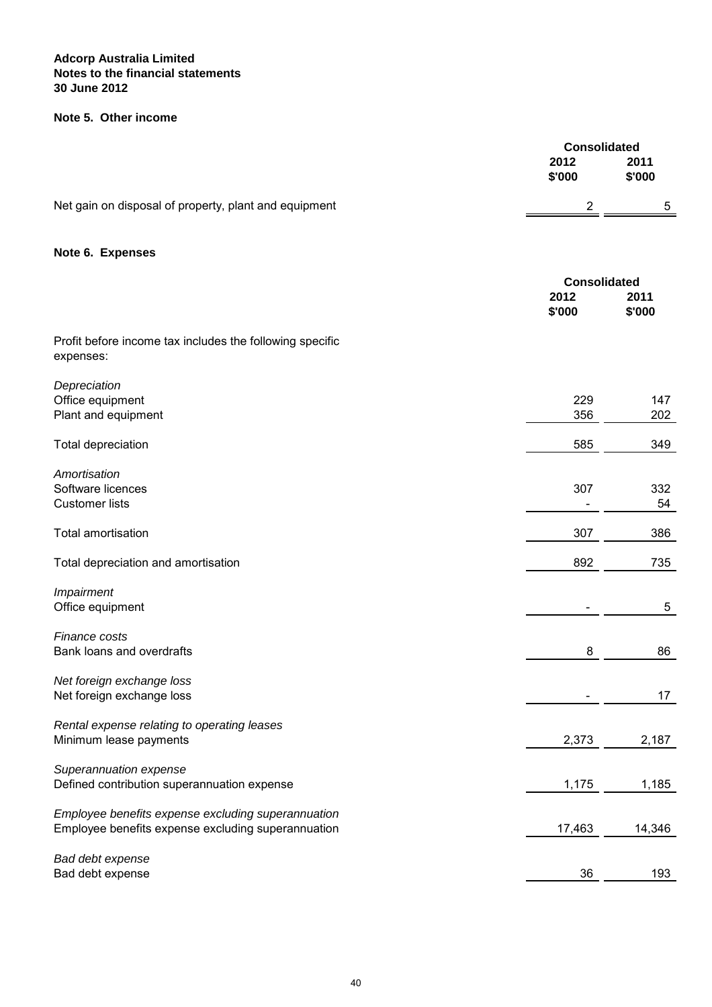## **Note 5. Other income**

|                                                                       | <b>Consolidated</b>     |                |
|-----------------------------------------------------------------------|-------------------------|----------------|
|                                                                       | 2012                    | 2011           |
|                                                                       | \$'000                  | \$'000         |
| Net gain on disposal of property, plant and equipment                 | $\overline{\mathbf{c}}$ | 5              |
| Note 6. Expenses                                                      |                         |                |
|                                                                       | <b>Consolidated</b>     |                |
|                                                                       | 2012<br>\$'000          | 2011<br>\$'000 |
| Profit before income tax includes the following specific<br>expenses: |                         |                |
| Depreciation                                                          |                         |                |
| Office equipment<br>Plant and equipment                               | 229<br>356              | 147<br>202     |
| Total depreciation                                                    | 585                     | 349            |
| Amortisation                                                          |                         |                |
| Software licences                                                     | 307                     | 332            |
| <b>Customer lists</b>                                                 |                         | 54             |
| <b>Total amortisation</b>                                             | 307                     | 386            |
| Total depreciation and amortisation                                   | 892                     | 735            |
| Impairment                                                            |                         |                |
| Office equipment                                                      |                         | 5              |
| Finance costs                                                         |                         |                |
| Bank loans and overdrafts                                             | 8                       | 86             |
| Net foreign exchange loss                                             |                         |                |
| Net foreign exchange loss                                             |                         | 17             |
| Rental expense relating to operating leases                           |                         |                |
| Minimum lease payments                                                | 2,373                   | 2,187          |
| Superannuation expense                                                |                         |                |
| Defined contribution superannuation expense                           | 1,175                   | 1,185          |
| Employee benefits expense excluding superannuation                    |                         |                |
| Employee benefits expense excluding superannuation                    | 17,463                  | 14,346         |
| Bad debt expense                                                      |                         |                |
| Bad debt expense                                                      | 36                      | 193            |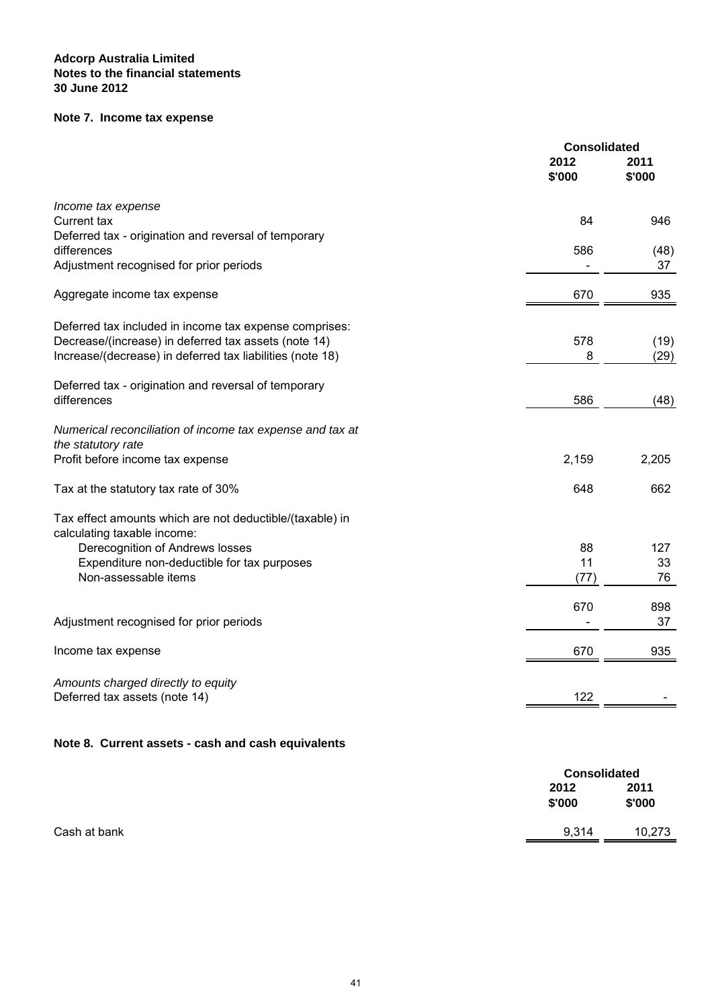# **Note 7. Income tax expense**

|                                                           | <b>Consolidated</b> |                |
|-----------------------------------------------------------|---------------------|----------------|
|                                                           | 2012<br>\$'000      | 2011<br>\$'000 |
| Income tax expense                                        |                     |                |
| Current tax                                               | 84                  | 946            |
| Deferred tax - origination and reversal of temporary      |                     |                |
| differences                                               | 586                 | (48)           |
| Adjustment recognised for prior periods                   |                     | 37             |
| Aggregate income tax expense                              | 670                 | 935            |
|                                                           |                     |                |
| Deferred tax included in income tax expense comprises:    |                     |                |
| Decrease/(increase) in deferred tax assets (note 14)      | 578                 | (19)           |
| Increase/(decrease) in deferred tax liabilities (note 18) | 8                   | (29)           |
| Deferred tax - origination and reversal of temporary      |                     |                |
| differences                                               | 586                 | (48)           |
|                                                           |                     |                |
| Numerical reconciliation of income tax expense and tax at |                     |                |
| the statutory rate                                        |                     |                |
| Profit before income tax expense                          | 2,159               | 2,205          |
| Tax at the statutory tax rate of 30%                      | 648                 | 662            |
| Tax effect amounts which are not deductible/(taxable) in  |                     |                |
| calculating taxable income:                               |                     |                |
| Derecognition of Andrews losses                           | 88                  | 127            |
| Expenditure non-deductible for tax purposes               | 11                  | 33             |
| Non-assessable items                                      | (77)                | 76             |
|                                                           | 670                 | 898            |
| Adjustment recognised for prior periods                   |                     | 37             |
|                                                           |                     |                |
| Income tax expense                                        | 670                 | 935            |
| Amounts charged directly to equity                        |                     |                |
| Deferred tax assets (note 14)                             | 122                 |                |
|                                                           |                     |                |
| Note 8. Current assets - cash and cash equivalents        |                     |                |
|                                                           |                     |                |

|              | <b>Consolidated</b> |                |
|--------------|---------------------|----------------|
|              | 2012<br>\$'000      | 2011<br>\$'000 |
| Cash at bank | 9,314               | 10,273         |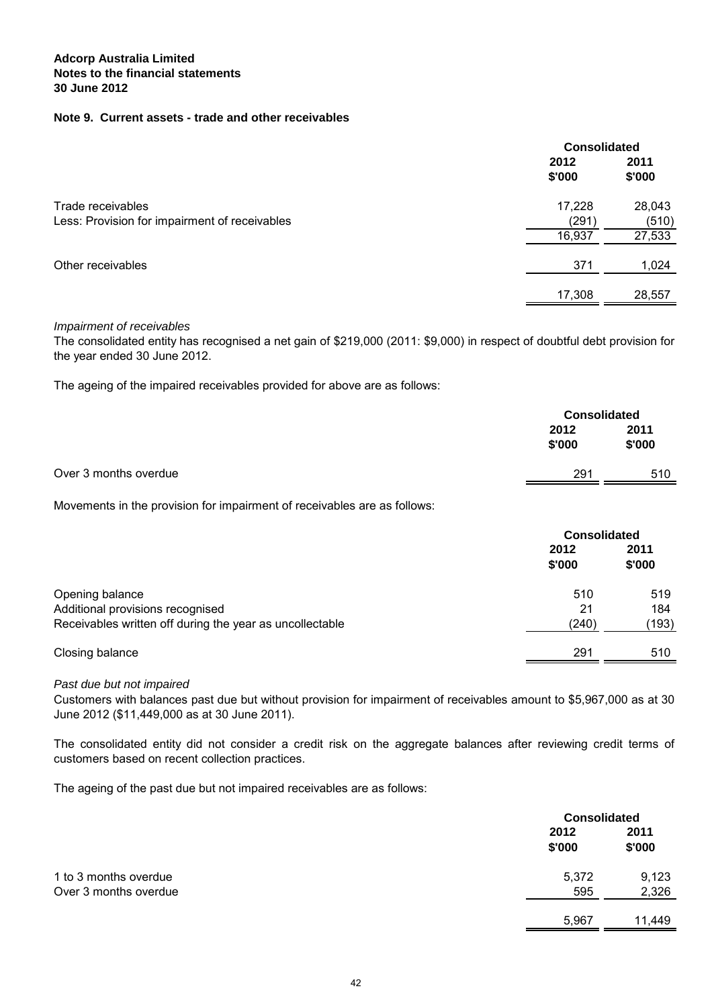## **Note 9. Current assets - trade and other receivables**

|                                               |                 | <b>Consolidated</b> |  |
|-----------------------------------------------|-----------------|---------------------|--|
|                                               | 2012<br>\$'000  | 2011<br>\$'000      |  |
| Trade receivables                             | 17,228          | 28,043              |  |
| Less: Provision for impairment of receivables | (291)<br>16,937 | (510)<br>27,533     |  |
| Other receivables                             | 371             | 1,024               |  |
|                                               | 17,308          | 28,557              |  |

#### Impairment of receivables

The consolidated entity has recognised a net gain of \$219,000 (2011: \$9,000) in respect of doubtful debt provision for the year ended 30 June 2012.

The ageing of the impaired receivables provided for above are as follows:

| 2011<br>2012                 |     |
|------------------------------|-----|
| \$'000<br>\$'000             |     |
| Over 3 months overdue<br>291 | 510 |

Movements in the provision for impairment of receivables are as follows:

|                                                          | <b>Consolidated</b> |                |
|----------------------------------------------------------|---------------------|----------------|
|                                                          | 2012<br>\$'000      | 2011<br>\$'000 |
| Opening balance                                          | 510                 | 519            |
| Additional provisions recognised                         | 21                  | 184            |
| Receivables written off during the year as uncollectable | (240)               | (193)          |
| Closing balance                                          | 291                 | 510            |

Past due but not impaired

Customers with balances past due but without provision for impairment of receivables amount to \$5,967,000 as at 30 June 2012 (\$11,449,000 as at 30 June 2011).

The consolidated entity did not consider a credit risk on the aggregate balances after reviewing credit terms of customers based on recent collection practices.

The ageing of the past due but not impaired receivables are as follows:

|                       |                | <b>Consolidated</b> |  |
|-----------------------|----------------|---------------------|--|
|                       | 2012<br>\$'000 | 2011<br>\$'000      |  |
| 1 to 3 months overdue | 5,372          | 9,123               |  |
| Over 3 months overdue | 595            | 2,326               |  |
|                       | 5,967          | 11,449              |  |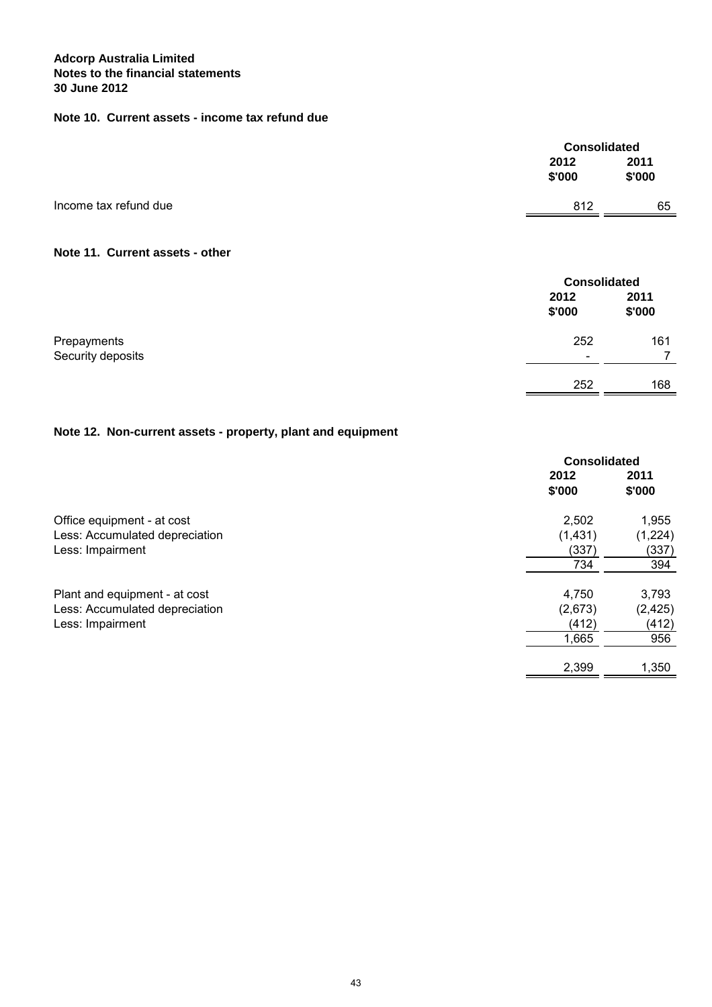# **Note 10. Current assets - income tax refund due**

|                       |                | <b>Consolidated</b> |  |
|-----------------------|----------------|---------------------|--|
|                       | 2012<br>\$'000 | 2011<br>\$'000      |  |
| Income tax refund due | 812            | 65                  |  |
|                       |                |                     |  |

## **Note 11. Current assets - other**

|                   |                          | <b>Consolidated</b> |  |
|-------------------|--------------------------|---------------------|--|
|                   | 2012<br>\$'000           | 2011<br>\$'000      |  |
| Prepayments       | 252                      | 161                 |  |
| Security deposits | $\overline{\phantom{0}}$ |                     |  |
|                   | 252                      | 168                 |  |

# **Note 12. Non-current assets - property, plant and equipment**

|                                | <b>Consolidated</b> |          |
|--------------------------------|---------------------|----------|
|                                | 2012                | 2011     |
|                                | \$'000              | \$'000   |
| Office equipment - at cost     | 2,502               | 1,955    |
| Less: Accumulated depreciation | (1,431)             | (1,224)  |
| Less: Impairment               | (337)               | (337)    |
|                                | 734                 | 394      |
| Plant and equipment - at cost  | 4,750               | 3,793    |
| Less: Accumulated depreciation | (2,673)             | (2, 425) |
| Less: Impairment               | (412)               | (412)    |
|                                | 1,665               | 956      |
|                                | 2,399               | 1,350    |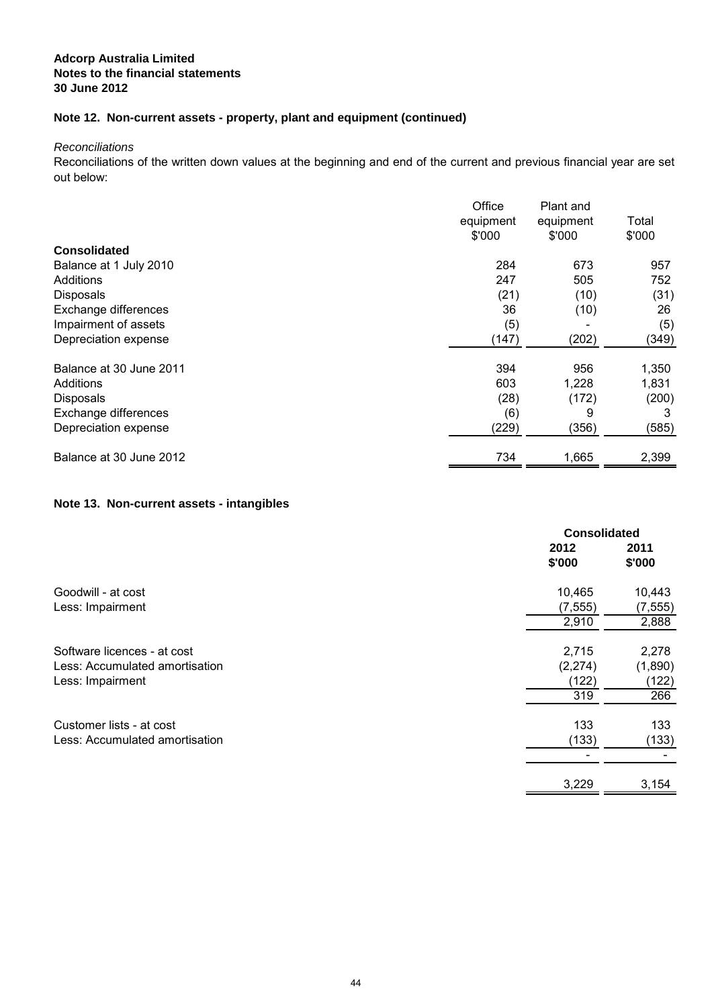# **Note 12. Non-current assets - property, plant and equipment (continued)**

**Reconciliations** 

Reconciliations of the written down values at the beginning and end of the current and previous financial year are set out below:

|                         | Office<br>equipment<br>\$'000 | Plant and<br>equipment<br>\$'000 | Total<br>\$'000 |
|-------------------------|-------------------------------|----------------------------------|-----------------|
| <b>Consolidated</b>     |                               |                                  |                 |
| Balance at 1 July 2010  | 284                           | 673                              | 957             |
| Additions               | 247                           | 505                              | 752             |
| <b>Disposals</b>        | (21)                          | (10)                             | (31)            |
| Exchange differences    | 36                            | (10)                             | 26              |
| Impairment of assets    | (5)                           |                                  | (5)             |
| Depreciation expense    | (147)                         | (202)                            | (349)           |
| Balance at 30 June 2011 | 394                           | 956                              | 1,350           |
| Additions               | 603                           | 1,228                            | 1,831           |
| <b>Disposals</b>        | (28)                          | (172)                            | (200)           |
| Exchange differences    | (6)                           | 9                                | 3               |
| Depreciation expense    | (229)                         | (356)                            | (585)           |
| Balance at 30 June 2012 | 734                           | 1,665                            | 2,399           |

## **Note 13. Non-current assets - intangibles**

|                                | <b>Consolidated</b> |                |
|--------------------------------|---------------------|----------------|
|                                | 2012<br>\$'000      | 2011<br>\$'000 |
| Goodwill - at cost             | 10,465              | 10,443         |
| Less: Impairment               | (7, 555)            | (7, 555)       |
|                                | 2,910               | 2,888          |
| Software licences - at cost    | 2,715               | 2,278          |
| Less: Accumulated amortisation | (2,274)             | (1,890)        |
| Less: Impairment               | (122)               | (122)          |
|                                | 319                 | 266            |
| Customer lists - at cost       | 133                 | 133            |
| Less: Accumulated amortisation | (133)               | (133)          |
|                                |                     |                |
|                                | 3,229               | 3,154          |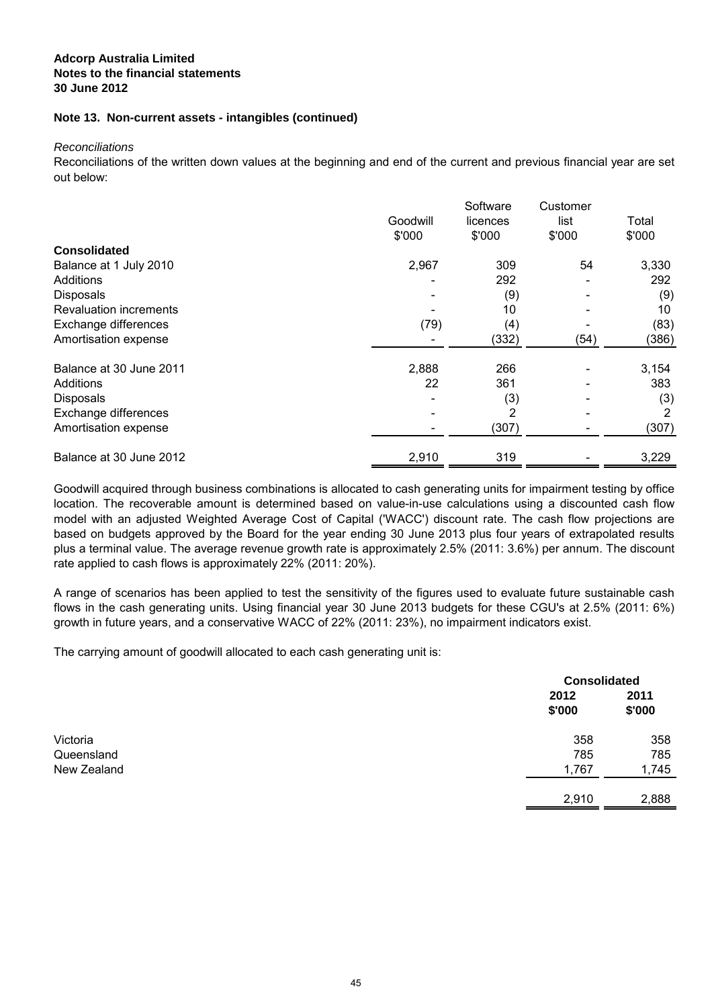## **Note 13. Non-current assets - intangibles (continued)**

Reconciliations

Reconciliations of the written down values at the beginning and end of the current and previous financial year are set out below:

|                         | Goodwill<br>\$'000 | Software<br>licences<br>\$'000 | Customer<br>list<br>\$'000 | Total<br>\$'000 |
|-------------------------|--------------------|--------------------------------|----------------------------|-----------------|
| <b>Consolidated</b>     |                    |                                |                            |                 |
| Balance at 1 July 2010  | 2,967              | 309                            | 54                         | 3,330           |
| Additions               |                    | 292                            |                            | 292             |
| <b>Disposals</b>        |                    | (9)                            |                            | (9)             |
| Revaluation increments  |                    | 10                             |                            | 10              |
| Exchange differences    | (79)               | (4)                            |                            | (83)            |
| Amortisation expense    |                    | (332)                          | (54)                       | (386)           |
| Balance at 30 June 2011 | 2,888              | 266                            |                            | 3,154           |
| Additions               | 22                 | 361                            |                            | 383             |
| <b>Disposals</b>        |                    | (3)                            |                            | (3)             |
| Exchange differences    |                    | 2                              |                            | 2               |
| Amortisation expense    |                    | (307)                          |                            | (307)           |
| Balance at 30 June 2012 | 2,910              | 319                            |                            | 3,229           |

Goodwill acquired through business combinations is allocated to cash generating units for impairment testing by office location. The recoverable amount is determined based on value-in-use calculations using a discounted cash flow model with an adjusted Weighted Average Cost of Capital ('WACC') discount rate. The cash flow projections are based on budgets approved by the Board for the year ending 30 June 2013 plus four years of extrapolated results plus a terminal value. The average revenue growth rate is approximately 2.5% (2011: 3.6%) per annum. The discount rate applied to cash flows is approximately 22% (2011: 20%).

A range of scenarios has been applied to test the sensitivity of the figures used to evaluate future sustainable cash flows in the cash generating units. Using financial year 30 June 2013 budgets for these CGU's at 2.5% (2011: 6%) growth in future years, and a conservative WACC of 22% (2011: 23%), no impairment indicators exist.

The carrying amount of goodwill allocated to each cash generating unit is:

|                        |                | <b>Consolidated</b> |  |
|------------------------|----------------|---------------------|--|
|                        | 2012<br>\$'000 | 2011<br>\$'000      |  |
| Victoria<br>Queensland | 358<br>785     | 358<br>785          |  |
| New Zealand            | 1,767          | 1,745               |  |
|                        | 2,910          | 2,888               |  |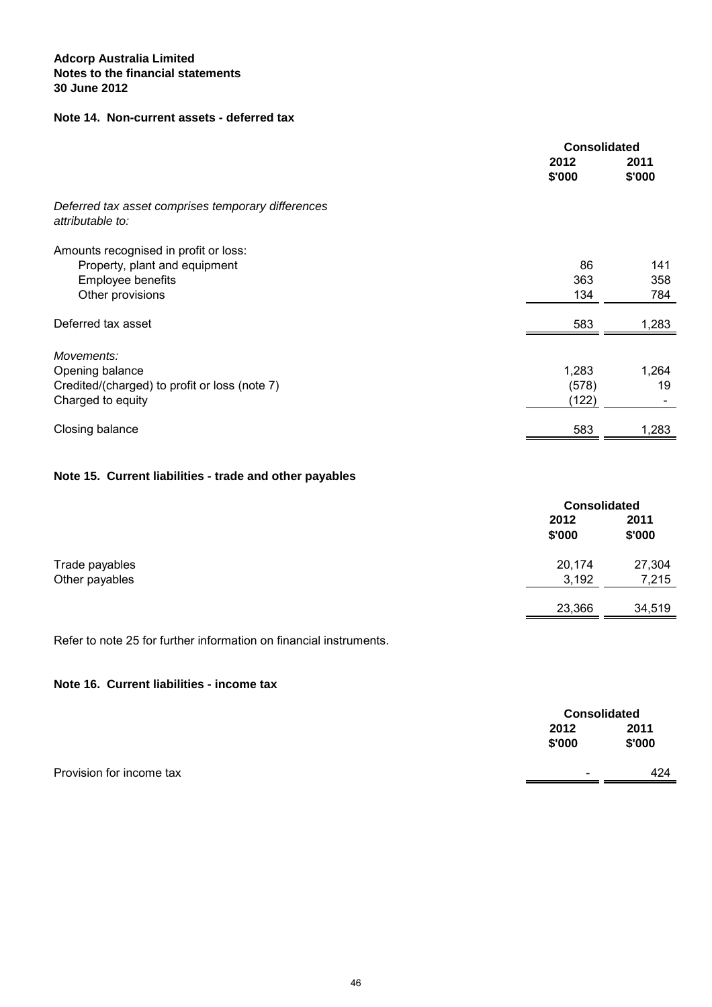## **Note 14. Non-current assets - deferred tax**

|                                                                        | <b>Consolidated</b> |                |
|------------------------------------------------------------------------|---------------------|----------------|
|                                                                        | 2012<br>\$'000      | 2011<br>\$'000 |
| Deferred tax asset comprises temporary differences<br>attributable to: |                     |                |
| Amounts recognised in profit or loss:                                  |                     |                |
| Property, plant and equipment                                          | 86                  | 141            |
| Employee benefits                                                      | 363                 | 358            |
| Other provisions                                                       | 134                 | 784            |
| Deferred tax asset                                                     | 583                 | 1,283          |
| Movements:                                                             |                     |                |
| Opening balance                                                        | 1,283               | 1,264          |
| Credited/(charged) to profit or loss (note 7)                          | (578)               | 19             |
| Charged to equity                                                      | (122)               |                |
| Closing balance                                                        | 583                 | 1,283          |

# **Note 15. Current liabilities - trade and other payables**

|                |                | <b>Consolidated</b> |  |
|----------------|----------------|---------------------|--|
|                | 2012<br>\$'000 | 2011<br>\$'000      |  |
| Trade payables | 20,174         | 27,304              |  |
| Other payables | 3,192          | 7,215               |  |
|                | 23,366         | 34,519              |  |

Refer to note 25 for further information on financial instruments.

# **Note 16. Current liabilities - income tax**

|                          |                          | <b>Consolidated</b> |  |
|--------------------------|--------------------------|---------------------|--|
|                          | 2012                     | 2011                |  |
|                          | \$'000                   | \$'000              |  |
| Provision for income tax | $\overline{\phantom{a}}$ | 424                 |  |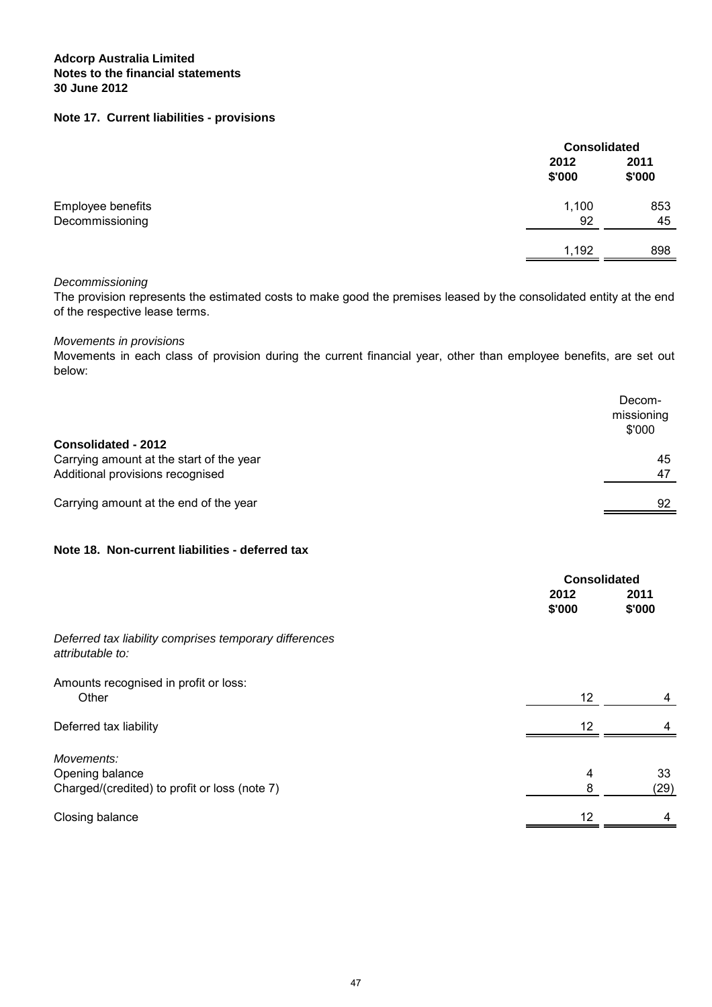## **Note 17. Current liabilities - provisions**

|                                      |                | <b>Consolidated</b> |  |
|--------------------------------------|----------------|---------------------|--|
|                                      | 2012<br>\$'000 | 2011<br>\$'000      |  |
| Employee benefits<br>Decommissioning | 1,100<br>92    | 853<br>45           |  |
|                                      | 1,192          | 898                 |  |

### Decommissioning

The provision represents the estimated costs to make good the premises leased by the consolidated entity at the end of the respective lease terms.

## Movements in provisions

Movements in each class of provision during the current financial year, other than employee benefits, are set out below:

|                                          | Decom-<br>missioning<br>\$'000 |
|------------------------------------------|--------------------------------|
| <b>Consolidated - 2012</b>               |                                |
| Carrying amount at the start of the year | 45                             |
| Additional provisions recognised         | 47                             |
| Carrying amount at the end of the year   | 92                             |

# **Note 18. Non-current liabilities - deferred tax**

|                                                                                | <b>Consolidated</b> |                |
|--------------------------------------------------------------------------------|---------------------|----------------|
|                                                                                | 2012<br>\$'000      | 2011<br>\$'000 |
| Deferred tax liability comprises temporary differences<br>attributable to:     |                     |                |
| Amounts recognised in profit or loss:<br>Other                                 | 12                  | 4              |
| Deferred tax liability                                                         | 12                  |                |
| Movements:<br>Opening balance<br>Charged/(credited) to profit or loss (note 7) | 4<br>8              | 33<br>(29)     |
| Closing balance                                                                | 12                  | 4              |
|                                                                                |                     |                |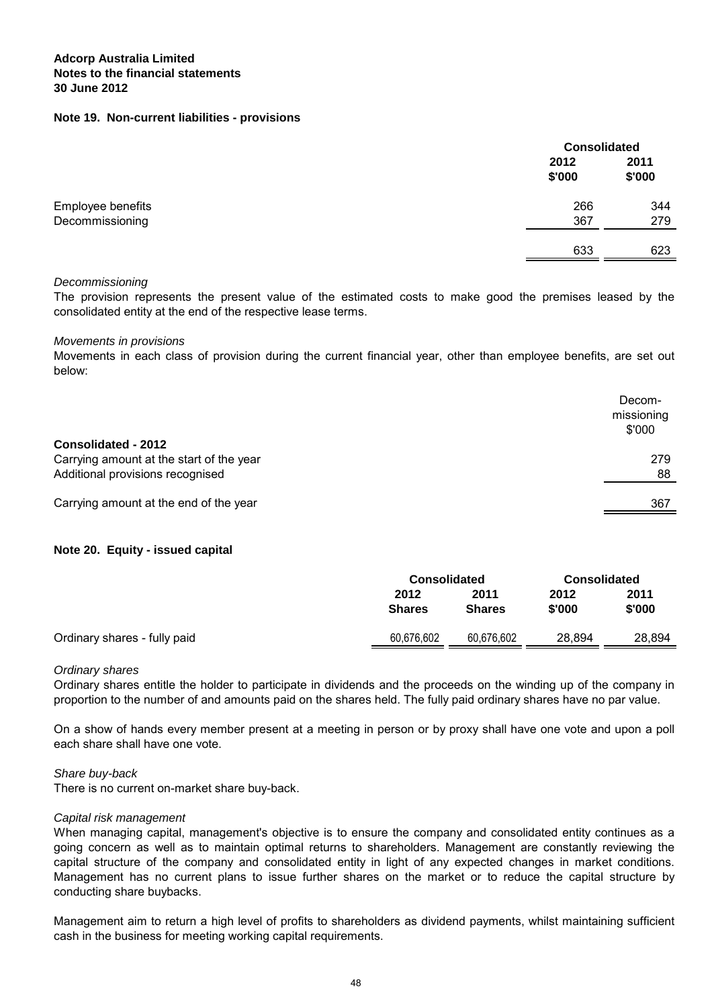#### **Note 19. Non-current liabilities - provisions**

|                   |                | <b>Consolidated</b> |  |
|-------------------|----------------|---------------------|--|
|                   | 2012<br>\$'000 | 2011<br>\$'000      |  |
| Employee benefits | 266            | 344                 |  |
| Decommissioning   | 367            | 279                 |  |
|                   | 633            | 623                 |  |

#### Decommissioning

The provision represents the present value of the estimated costs to make good the premises leased by the consolidated entity at the end of the respective lease terms.

#### Movements in provisions

Movements in each class of provision during the current financial year, other than employee benefits, are set out below:

|                                                                                                     | Decom-<br>missioning<br>\$'000 |
|-----------------------------------------------------------------------------------------------------|--------------------------------|
| Consolidated - 2012<br>Carrying amount at the start of the year<br>Additional provisions recognised | 279<br>88                      |
| Carrying amount at the end of the year                                                              | 367                            |

#### **Note 20. Equity - issued capital**

|                              | <b>Consolidated</b>   |                       | <b>Consolidated</b> |                |
|------------------------------|-----------------------|-----------------------|---------------------|----------------|
|                              | 2012<br><b>Shares</b> | 2011<br><b>Shares</b> | 2012<br>\$'000      | 2011<br>\$'000 |
| Ordinary shares - fully paid | 60,676,602            | 60,676,602            | 28,894              | 28,894         |

#### Ordinary shares

Ordinary shares entitle the holder to participate in dividends and the proceeds on the winding up of the company in proportion to the number of and amounts paid on the shares held. The fully paid ordinary shares have no par value.

On a show of hands every member present at a meeting in person or by proxy shall have one vote and upon a poll each share shall have one vote.

#### Share buy-back

There is no current on-market share buy-back.

#### Capital risk management

When managing capital, management's objective is to ensure the company and consolidated entity continues as a going concern as well as to maintain optimal returns to shareholders. Management are constantly reviewing the capital structure of the company and consolidated entity in light of any expected changes in market conditions. Management has no current plans to issue further shares on the market or to reduce the capital structure by conducting share buybacks.

Management aim to return a high level of profits to shareholders as dividend payments, whilst maintaining sufficient cash in the business for meeting working capital requirements.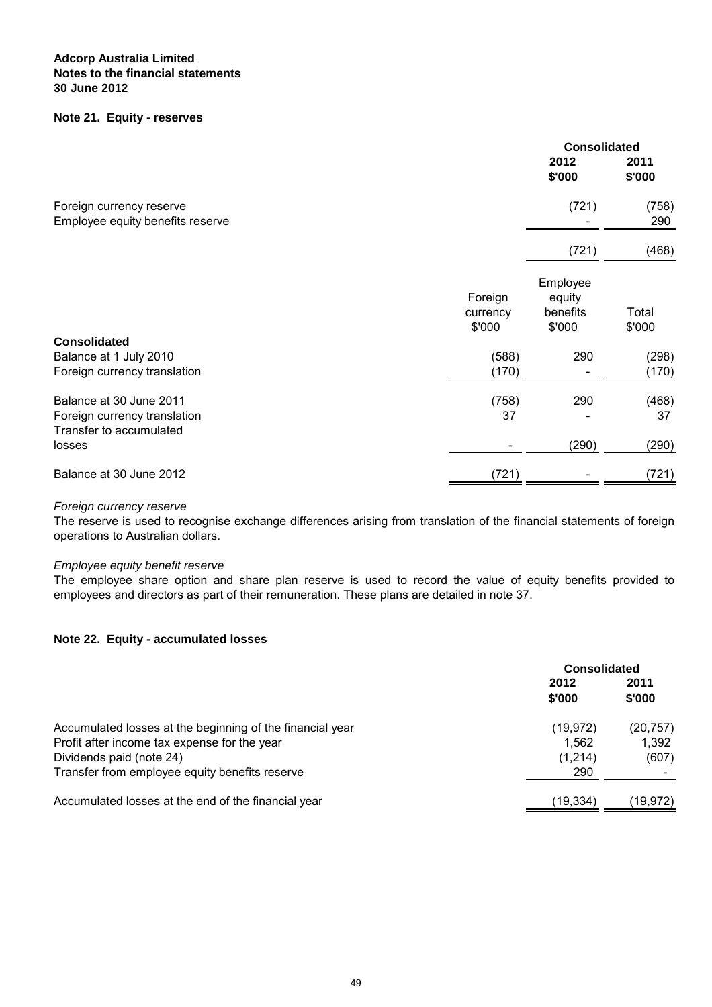## **Note 21. Equity - reserves**

|                                                                                    |                               | <b>Consolidated</b>                      |                 |
|------------------------------------------------------------------------------------|-------------------------------|------------------------------------------|-----------------|
|                                                                                    |                               | 2012<br>\$'000                           | 2011<br>\$'000  |
| Foreign currency reserve<br>Employee equity benefits reserve                       |                               | (721)                                    | (758)<br>290    |
|                                                                                    |                               | (721)                                    | (468)           |
|                                                                                    | Foreign<br>currency<br>\$'000 | Employee<br>equity<br>benefits<br>\$'000 | Total<br>\$'000 |
| <b>Consolidated</b><br>Balance at 1 July 2010<br>Foreign currency translation      | (588)<br>(170)                | 290                                      | (298)<br>(170)  |
| Balance at 30 June 2011<br>Foreign currency translation<br>Transfer to accumulated | (758)<br>37                   | 290                                      | (468)<br>37     |
| losses                                                                             |                               | (290)                                    | (290)           |
| Balance at 30 June 2012                                                            | (721)                         |                                          | (721)           |

#### Foreign currency reserve

The reserve is used to recognise exchange differences arising from translation of the financial statements of foreign operations to Australian dollars.

## Employee equity benefit reserve

The employee share option and share plan reserve is used to record the value of equity benefits provided to employees and directors as part of their remuneration. These plans are detailed in note 37.

#### **Note 22. Equity - accumulated losses**

|                                                           | <b>Consolidated</b> |                |
|-----------------------------------------------------------|---------------------|----------------|
|                                                           | 2012<br>\$'000      | 2011<br>\$'000 |
| Accumulated losses at the beginning of the financial year | (19, 972)           | (20, 757)      |
| Profit after income tax expense for the year              | 1.562               | 1,392          |
| Dividends paid (note 24)                                  | (1,214)             | (607)          |
| Transfer from employee equity benefits reserve            | 290                 |                |
| Accumulated losses at the end of the financial year       | (19,334)            | (19, 972)      |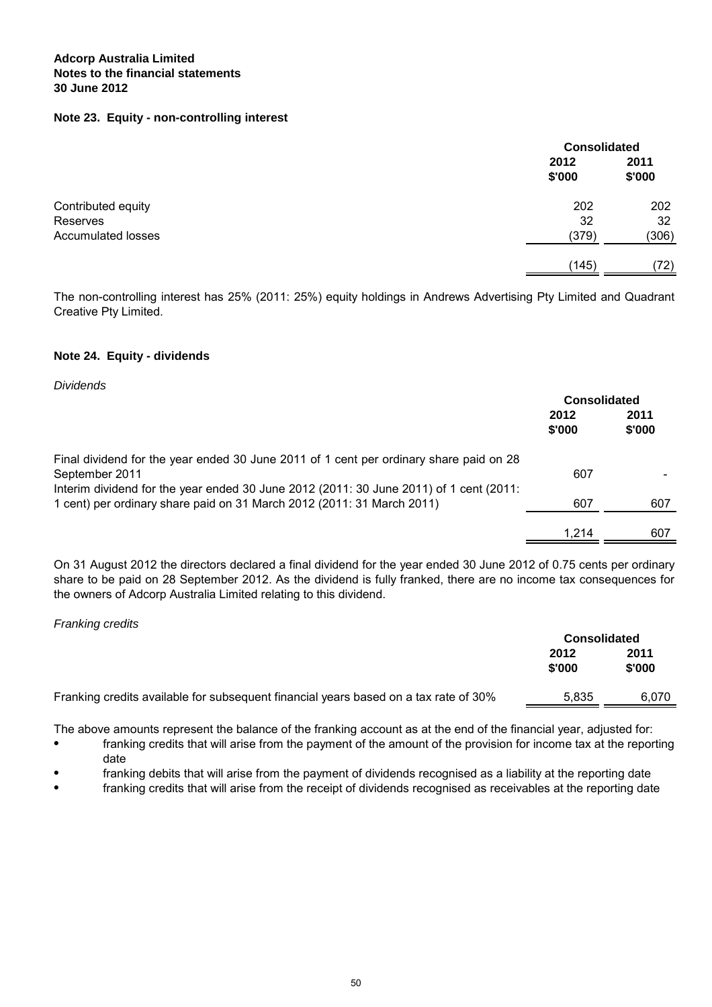## **Note 23. Equity - non-controlling interest**

|                                | <b>Consolidated</b> |                |
|--------------------------------|---------------------|----------------|
|                                | 2012<br>\$'000      | 2011<br>\$'000 |
| Contributed equity<br>Reserves | 202<br>32           | 202<br>32      |
| <b>Accumulated losses</b>      | (379)               | (306)          |
|                                | (145)               | (72)           |

The non-controlling interest has 25% (2011: 25%) equity holdings in Andrews Advertising Pty Limited and Quadrant Creative Pty Limited.

## **Note 24. Equity - dividends**

Dividends

|                                                                                        | <b>Consolidated</b> |                |
|----------------------------------------------------------------------------------------|---------------------|----------------|
|                                                                                        | 2012<br>\$'000      | 2011<br>\$'000 |
| Final dividend for the year ended 30 June 2011 of 1 cent per ordinary share paid on 28 |                     |                |
| September 2011                                                                         | 607                 |                |
| Interim dividend for the year ended 30 June 2012 (2011: 30 June 2011) of 1 cent (2011: |                     |                |
| 1 cent) per ordinary share paid on 31 March 2012 (2011: 31 March 2011)                 | 607                 | 607            |
|                                                                                        |                     |                |
|                                                                                        | 1 214               | 607            |
|                                                                                        |                     |                |

On 31 August 2012 the directors declared a final dividend for the year ended 30 June 2012 of 0.75 cents per ordinary share to be paid on 28 September 2012. As the dividend is fully franked, there are no income tax consequences for the owners of Adcorp Australia Limited relating to this dividend.

#### Franking credits

|                                                                                      | <b>Consolidated</b> |                |
|--------------------------------------------------------------------------------------|---------------------|----------------|
|                                                                                      | 2012<br>\$'000      | 2011<br>\$'000 |
| Franking credits available for subsequent financial years based on a tax rate of 30% | 5.835               | 6.070          |

The above amounts represent the balance of the franking account as at the end of the financial year, adjusted for:

- franking credits that will arise from the payment of the amount of the provision for income tax at the reporting date
- franking debits that will arise from the payment of dividends recognised as a liability at the reporting date
- franking credits that will arise from the receipt of dividends recognised as receivables at the reporting date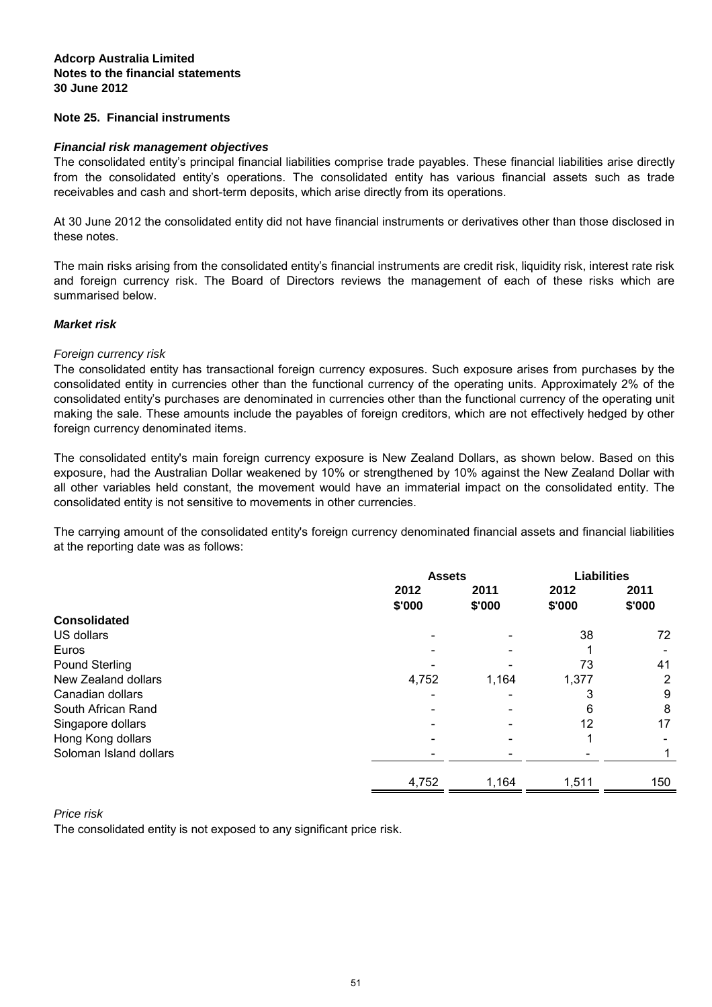## **Note 25. Financial instruments**

## **Financial risk management objectives**

The consolidated entity's principal financial liabilities comprise trade payables. These financial liabilities arise directly from the consolidated entity's operations. The consolidated entity has various financial assets such as trade receivables and cash and short-term deposits, which arise directly from its operations.

At 30 June 2012 the consolidated entity did not have financial instruments or derivatives other than those disclosed in these notes.

The main risks arising from the consolidated entity's financial instruments are credit risk, liquidity risk, interest rate risk and foreign currency risk. The Board of Directors reviews the management of each of these risks which are summarised below.

## **Market risk**

## Foreign currency risk

The consolidated entity has transactional foreign currency exposures. Such exposure arises from purchases by the consolidated entity in currencies other than the functional currency of the operating units. Approximately 2% of the consolidated entity's purchases are denominated in currencies other than the functional currency of the operating unit making the sale. These amounts include the payables of foreign creditors, which are not effectively hedged by other foreign currency denominated items.

The consolidated entity's main foreign currency exposure is New Zealand Dollars, as shown below. Based on this exposure, had the Australian Dollar weakened by 10% or strengthened by 10% against the New Zealand Dollar with all other variables held constant, the movement would have an immaterial impact on the consolidated entity. The consolidated entity is not sensitive to movements in other currencies.

The carrying amount of the consolidated entity's foreign currency denominated financial assets and financial liabilities at the reporting date was as follows:

|                        | <b>Assets</b>  |                | <b>Liabilities</b> |                |
|------------------------|----------------|----------------|--------------------|----------------|
|                        | 2012<br>\$'000 | 2011<br>\$'000 | 2012<br>\$'000     | 2011<br>\$'000 |
| <b>Consolidated</b>    |                |                |                    |                |
| US dollars             |                |                | 38                 | 72             |
| Euros                  |                |                |                    |                |
| Pound Sterling         |                |                | 73                 | 41             |
| New Zealand dollars    | 4,752          | 1,164          | 1,377              | 2              |
| Canadian dollars       |                |                | 3                  | 9              |
| South African Rand     |                |                | 6                  | 8              |
| Singapore dollars      |                |                | 12                 | 17             |
| Hong Kong dollars      |                |                |                    |                |
| Soloman Island dollars |                |                |                    |                |
|                        | 4,752          | 1,164          | 1,511              | 150            |

Price risk

The consolidated entity is not exposed to any significant price risk.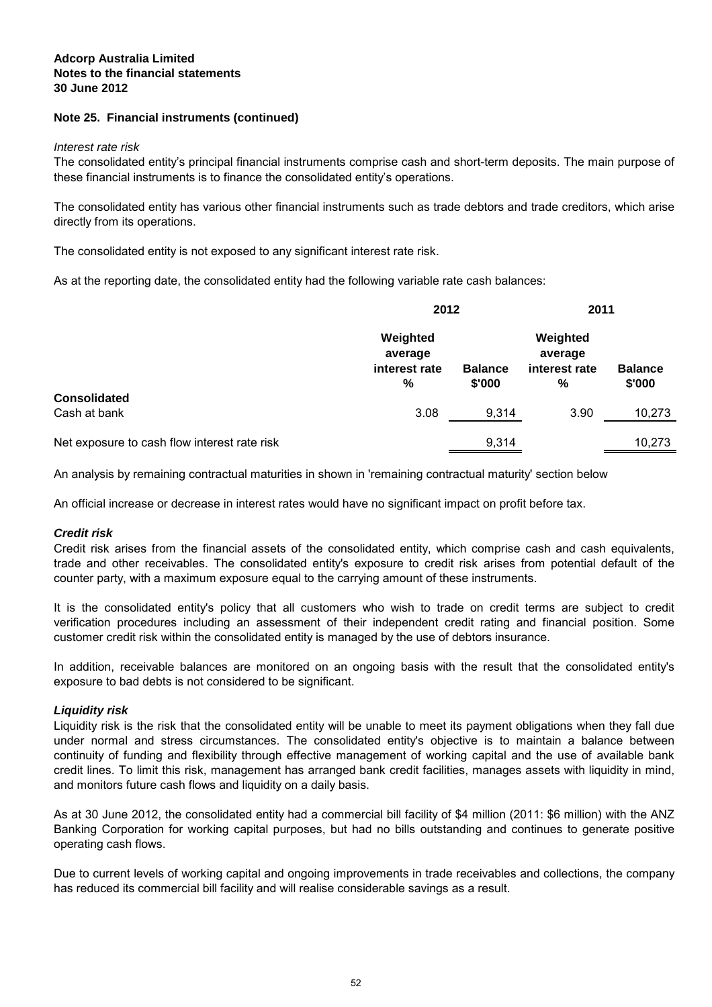## **Note 25. Financial instruments (continued)**

#### Interest rate risk

The consolidated entity's principal financial instruments comprise cash and short-term deposits. The main purpose of these financial instruments is to finance the consolidated entity's operations.

The consolidated entity has various other financial instruments such as trade debtors and trade creditors, which arise directly from its operations.

The consolidated entity is not exposed to any significant interest rate risk.

As at the reporting date, the consolidated entity had the following variable rate cash balances:

|                                              | 2012                                      |                          | 2011                                      |                          |
|----------------------------------------------|-------------------------------------------|--------------------------|-------------------------------------------|--------------------------|
|                                              | Weighted<br>average<br>interest rate<br>% | <b>Balance</b><br>\$'000 | Weighted<br>average<br>interest rate<br>% | <b>Balance</b><br>\$'000 |
| <b>Consolidated</b>                          |                                           |                          |                                           |                          |
| Cash at bank                                 | 3.08                                      | 9,314                    | 3.90                                      | 10,273                   |
| Net exposure to cash flow interest rate risk |                                           | 9,314                    |                                           | 10,273                   |

An analysis by remaining contractual maturities in shown in 'remaining contractual maturity' section below

An official increase or decrease in interest rates would have no significant impact on profit before tax.

#### **Credit risk**

Credit risk arises from the financial assets of the consolidated entity, which comprise cash and cash equivalents, trade and other receivables. The consolidated entity's exposure to credit risk arises from potential default of the counter party, with a maximum exposure equal to the carrying amount of these instruments.

It is the consolidated entity's policy that all customers who wish to trade on credit terms are subject to credit verification procedures including an assessment of their independent credit rating and financial position. Some customer credit risk within the consolidated entity is managed by the use of debtors insurance.

In addition, receivable balances are monitored on an ongoing basis with the result that the consolidated entity's exposure to bad debts is not considered to be significant.

## **Liquidity risk**

Liquidity risk is the risk that the consolidated entity will be unable to meet its payment obligations when they fall due under normal and stress circumstances. The consolidated entity's objective is to maintain a balance between continuity of funding and flexibility through effective management of working capital and the use of available bank credit lines. To limit this risk, management has arranged bank credit facilities, manages assets with liquidity in mind, and monitors future cash flows and liquidity on a daily basis.

As at 30 June 2012, the consolidated entity had a commercial bill facility of \$4 million (2011: \$6 million) with the ANZ Banking Corporation for working capital purposes, but had no bills outstanding and continues to generate positive operating cash flows.

Due to current levels of working capital and ongoing improvements in trade receivables and collections, the company has reduced its commercial bill facility and will realise considerable savings as a result.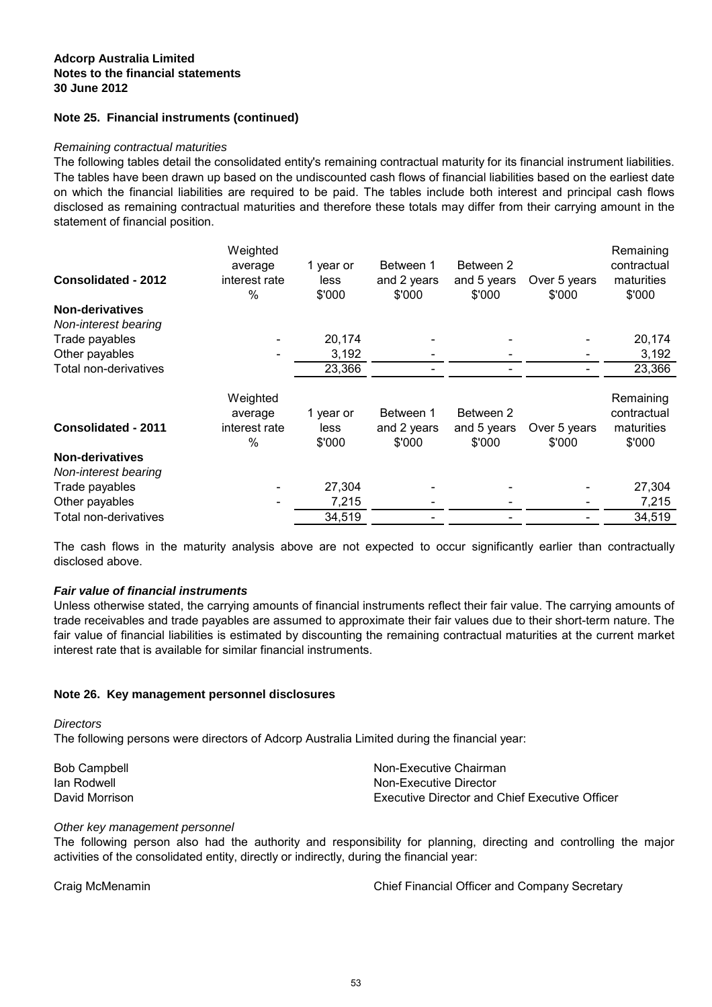## **Note 25. Financial instruments (continued)**

#### Remaining contractual maturities

The following tables detail the consolidated entity's remaining contractual maturity for its financial instrument liabilities. The tables have been drawn up based on the undiscounted cash flows of financial liabilities based on the earliest date on which the financial liabilities are required to be paid. The tables include both interest and principal cash flows disclosed as remaining contractual maturities and therefore these totals may differ from their carrying amount in the statement of financial position.

|                            | Weighted      |           |             |             |              | Remaining   |
|----------------------------|---------------|-----------|-------------|-------------|--------------|-------------|
|                            | average       | 1 year or | Between 1   | Between 2   |              | contractual |
| <b>Consolidated - 2012</b> | interest rate | less      | and 2 years | and 5 years | Over 5 years | maturities  |
|                            | $\%$          | \$'000    | \$'000      | \$'000      | \$'000       | \$'000      |
| <b>Non-derivatives</b>     |               |           |             |             |              |             |
| Non-interest bearing       |               |           |             |             |              |             |
| Trade payables             |               | 20,174    |             |             |              | 20,174      |
| Other payables             |               | 3,192     |             |             |              | 3,192       |
| Total non-derivatives      |               | 23,366    |             |             |              | 23,366      |
|                            |               |           |             |             |              |             |
|                            | Weighted      |           |             |             |              | Remaining   |
|                            | average       | 1 year or | Between 1   | Between 2   |              | contractual |
| <b>Consolidated - 2011</b> | interest rate | less      | and 2 years | and 5 years | Over 5 years | maturities  |
|                            | %             | \$'000    | \$'000      | \$'000      | \$'000       | \$'000      |
| <b>Non-derivatives</b>     |               |           |             |             |              |             |
| Non-interest bearing       |               |           |             |             |              |             |
| Trade payables             |               | 27,304    |             |             |              | 27,304      |
| Other payables             |               | 7,215     |             |             |              | 7,215       |
| Total non-derivatives      |               | 34,519    |             |             |              | 34,519      |

The cash flows in the maturity analysis above are not expected to occur significantly earlier than contractually disclosed above.

#### **Fair value of financial instruments**

Unless otherwise stated, the carrying amounts of financial instruments reflect their fair value. The carrying amounts of trade receivables and trade payables are assumed to approximate their fair values due to their short-term nature. The fair value of financial liabilities is estimated by discounting the remaining contractual maturities at the current market interest rate that is available for similar financial instruments.

#### **Note 26. Key management personnel disclosures**

**Directors** 

The following persons were directors of Adcorp Australia Limited during the financial year:

| <b>Bob Campbell</b> | Non-Executive Chairman                                |
|---------------------|-------------------------------------------------------|
| lan Rodwell         | Non-Executive Director                                |
| David Morrison      | <b>Executive Director and Chief Executive Officer</b> |

#### Other key management personnel

The following person also had the authority and responsibility for planning, directing and controlling the major activities of the consolidated entity, directly or indirectly, during the financial year:

Craig McMenamin Chief Financial Officer and Company Secretary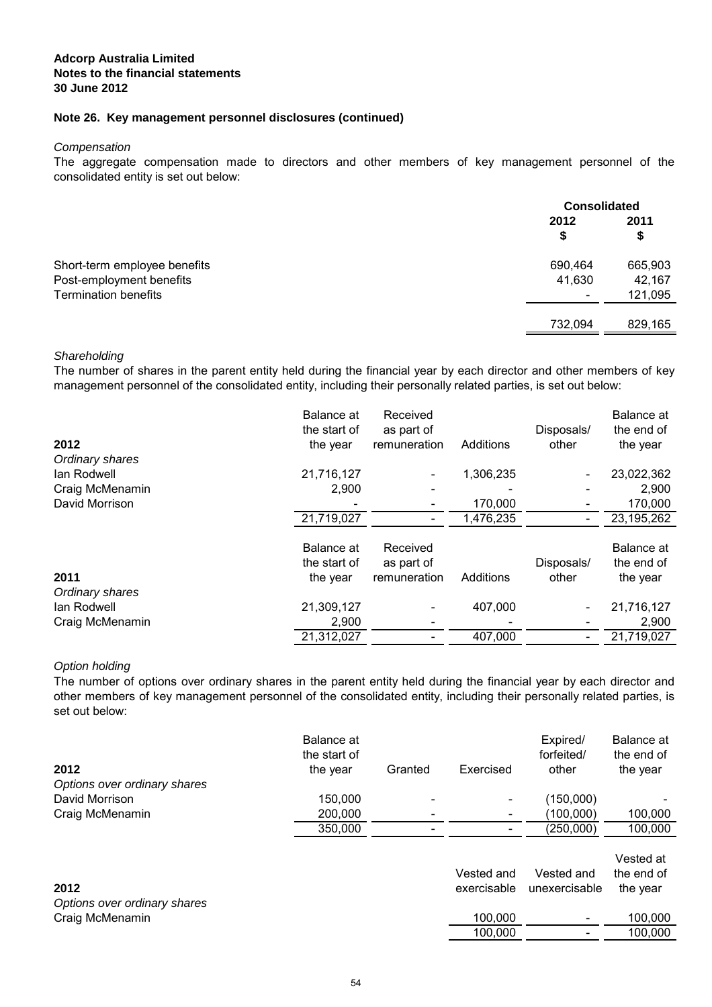## **Note 26. Key management personnel disclosures (continued)**

#### **Compensation**

The aggregate compensation made to directors and other members of key management personnel of the consolidated entity is set out below:

|                                                                                         | <b>Consolidated</b>                           |                              |
|-----------------------------------------------------------------------------------------|-----------------------------------------------|------------------------------|
|                                                                                         | 2012<br>S                                     | 2011<br>\$                   |
| Short-term employee benefits<br>Post-employment benefits<br><b>Termination benefits</b> | 690,464<br>41,630<br>$\overline{\phantom{a}}$ | 665,903<br>42,167<br>121,095 |
|                                                                                         | 732,094                                       | 829,165                      |

#### **Shareholding**

The number of shares in the parent entity held during the financial year by each director and other members of key management personnel of the consolidated entity, including their personally related parties, is set out below:

| 2012<br>Ordinary shares | Balance at<br>the start of<br>the year | Received<br>as part of<br>remuneration | Additions | Disposals/<br>other | Balance at<br>the end of<br>the year |
|-------------------------|----------------------------------------|----------------------------------------|-----------|---------------------|--------------------------------------|
| lan Rodwell             | 21,716,127                             |                                        | 1,306,235 |                     | 23,022,362                           |
| Craig McMenamin         | 2,900                                  |                                        |           |                     | 2,900                                |
| David Morrison          |                                        |                                        | 170,000   |                     | 170,000                              |
|                         | 21,719,027                             |                                        | 1,476,235 |                     | 23,195,262                           |
| 2011<br>Ordinary shares | Balance at<br>the start of<br>the year | Received<br>as part of<br>remuneration | Additions | Disposals/<br>other | Balance at<br>the end of<br>the year |
| lan Rodwell             | 21,309,127                             |                                        | 407,000   |                     | 21,716,127                           |
| Craig McMenamin         | 2,900                                  |                                        |           |                     | 2,900                                |
|                         | 21,312,027                             |                                        | 407,000   |                     | 21,719,027                           |

#### Option holding

The number of options over ordinary shares in the parent entity held during the financial year by each director and other members of key management personnel of the consolidated entity, including their personally related parties, is set out below:

| 2012                         | <b>Balance</b> at<br>the start of<br>the year | Granted | Exercised   | Expired/<br>forfeited/<br>other | Balance at<br>the end of<br>the year |
|------------------------------|-----------------------------------------------|---------|-------------|---------------------------------|--------------------------------------|
| Options over ordinary shares |                                               |         |             |                                 |                                      |
| David Morrison               | 150,000                                       |         |             | (150,000)                       |                                      |
| Craig McMenamin              | 200,000                                       |         |             | (100,000)                       | 100,000                              |
|                              | 350,000                                       |         |             | (250,000)                       | 100,000                              |
|                              |                                               |         | Vested and  | Vested and                      | Vested at<br>the end of              |
| 2012                         |                                               |         | exercisable | unexercisable                   |                                      |
| Options over ordinary shares |                                               |         |             |                                 | the year                             |
| Craig McMenamin              |                                               |         | 100,000     |                                 | 100,000                              |
|                              |                                               |         | 100,000     |                                 | 100,000                              |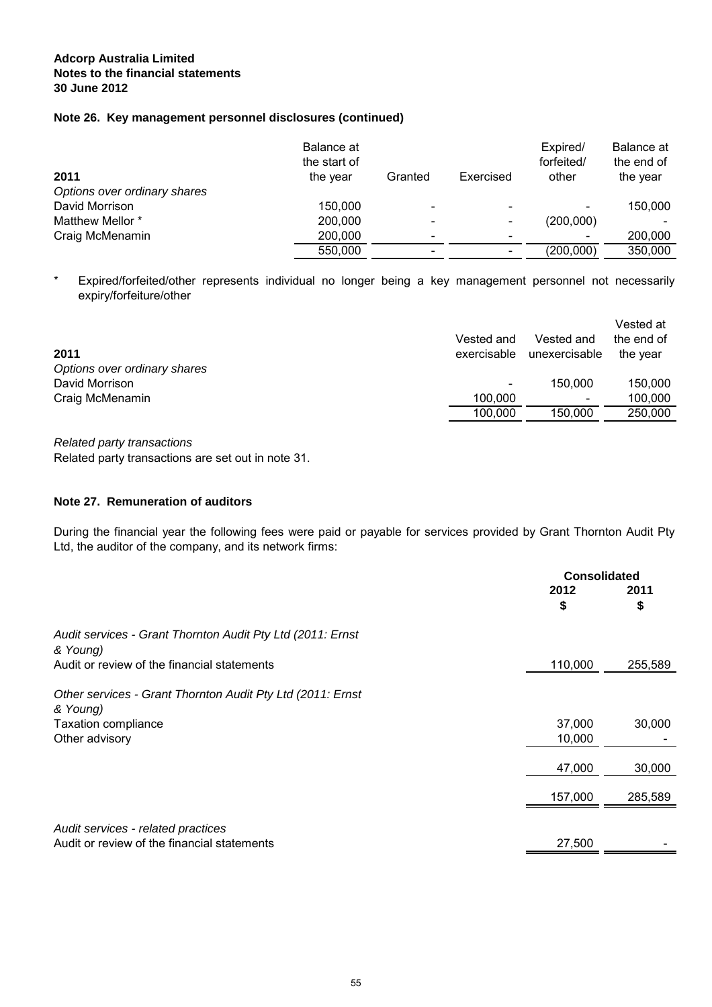## **Note 26. Key management personnel disclosures (continued)**

| 2011<br>Options over ordinary shares | Balance at<br>the start of<br>the year | Granted                  | Exercised | Expired/<br>forfeited/<br>other | Balance at<br>the end of<br>the year |
|--------------------------------------|----------------------------------------|--------------------------|-----------|---------------------------------|--------------------------------------|
| David Morrison                       | 150,000                                | ÷                        |           |                                 | 150,000                              |
| Matthew Mellor *                     | 200,000                                |                          |           | (200,000)                       |                                      |
| Craig McMenamin                      | 200,000                                | $\overline{\phantom{0}}$ |           |                                 | 200,000                              |
|                                      | 550,000                                | -                        |           | (200,000)                       | 350,000                              |

\* Expired/forfeited/other represents individual no longer being a key management personnel not necessarily expiry/forfeiture/other

| 2011                         | Vested and<br>exercisable | Vested and<br>unexercisable | Vested at<br>the end of<br>the year |
|------------------------------|---------------------------|-----------------------------|-------------------------------------|
| Options over ordinary shares |                           |                             |                                     |
| David Morrison               |                           | 150,000                     | 150,000                             |
| Craig McMenamin              | 100.000                   | $\overline{\phantom{a}}$    | 100,000                             |
|                              | 100.000                   | 150,000                     | 250,000                             |
|                              |                           |                             |                                     |

Related party transactions Related party transactions are set out in note 31.

## **Note 27. Remuneration of auditors**

During the financial year the following fees were paid or payable for services provided by Grant Thornton Audit Pty Ltd, the auditor of the company, and its network firms:

|                                                                                   | Consolidated |            |
|-----------------------------------------------------------------------------------|--------------|------------|
|                                                                                   | 2012<br>S    | 2011<br>\$ |
| Audit services - Grant Thornton Audit Pty Ltd (2011: Ernst<br>& Young)            |              |            |
| Audit or review of the financial statements                                       | 110,000      | 255,589    |
| Other services - Grant Thornton Audit Pty Ltd (2011: Ernst<br>& Young)            |              |            |
| <b>Taxation compliance</b>                                                        | 37,000       | 30,000     |
| Other advisory                                                                    | 10,000       |            |
|                                                                                   | 47,000       | 30,000     |
|                                                                                   | 157,000      | 285,589    |
| Audit services - related practices<br>Audit or review of the financial statements | 27,500       |            |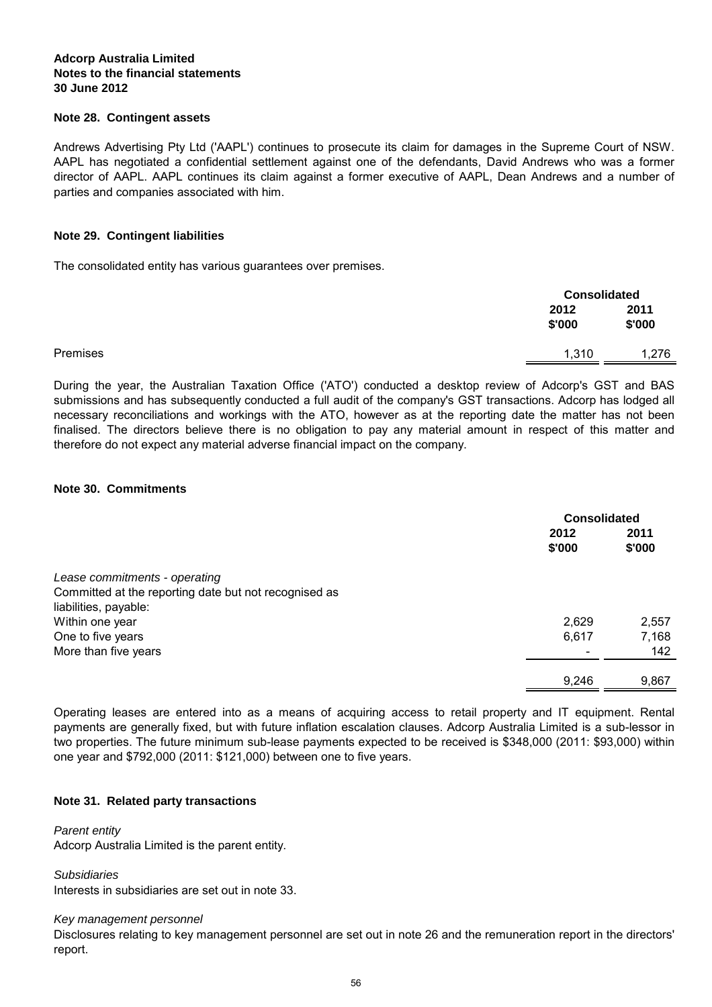## **Note 28. Contingent assets**

Andrews Advertising Pty Ltd ('AAPL') continues to prosecute its claim for damages in the Supreme Court of NSW. AAPL has negotiated a confidential settlement against one of the defendants, David Andrews who was a former director of AAPL. AAPL continues its claim against a former executive of AAPL, Dean Andrews and a number of parties and companies associated with him.

## **Note 29. Contingent liabilities**

The consolidated entity has various guarantees over premises.

|          | 2012<br>\$'000 | 2011<br>\$'000 |
|----------|----------------|----------------|
| Premises | 1,310          | 1,276          |

During the year, the Australian Taxation Office ('ATO') conducted a desktop review of Adcorp's GST and BAS submissions and has subsequently conducted a full audit of the company's GST transactions. Adcorp has lodged all necessary reconciliations and workings with the ATO, however as at the reporting date the matter has not been finalised. The directors believe there is no obligation to pay any material amount in respect of this matter and therefore do not expect any material adverse financial impact on the company.

## **Note 30. Commitments**

|                                                       | <b>Consolidated</b> |        |
|-------------------------------------------------------|---------------------|--------|
|                                                       | 2012                | 2011   |
|                                                       | \$'000              | \$'000 |
| Lease commitments - operating                         |                     |        |
| Committed at the reporting date but not recognised as |                     |        |
| liabilities, payable:                                 |                     |        |
| Within one year                                       | 2,629               | 2,557  |
| One to five years                                     | 6,617               | 7,168  |
| More than five years                                  |                     | 142    |
|                                                       | 9,246               | 9,867  |
|                                                       |                     |        |

Operating leases are entered into as a means of acquiring access to retail property and IT equipment. Rental payments are generally fixed, but with future inflation escalation clauses. Adcorp Australia Limited is a sub-lessor in two properties. The future minimum sub-lease payments expected to be received is \$348,000 (2011: \$93,000) within one year and \$792,000 (2011: \$121,000) between one to five years.

## **Note 31. Related party transactions**

## Parent entity

Adcorp Australia Limited is the parent entity.

Subsidiaries

Interests in subsidiaries are set out in note 33.

#### Key management personnel

Disclosures relating to key management personnel are set out in note 26 and the remuneration report in the directors' report.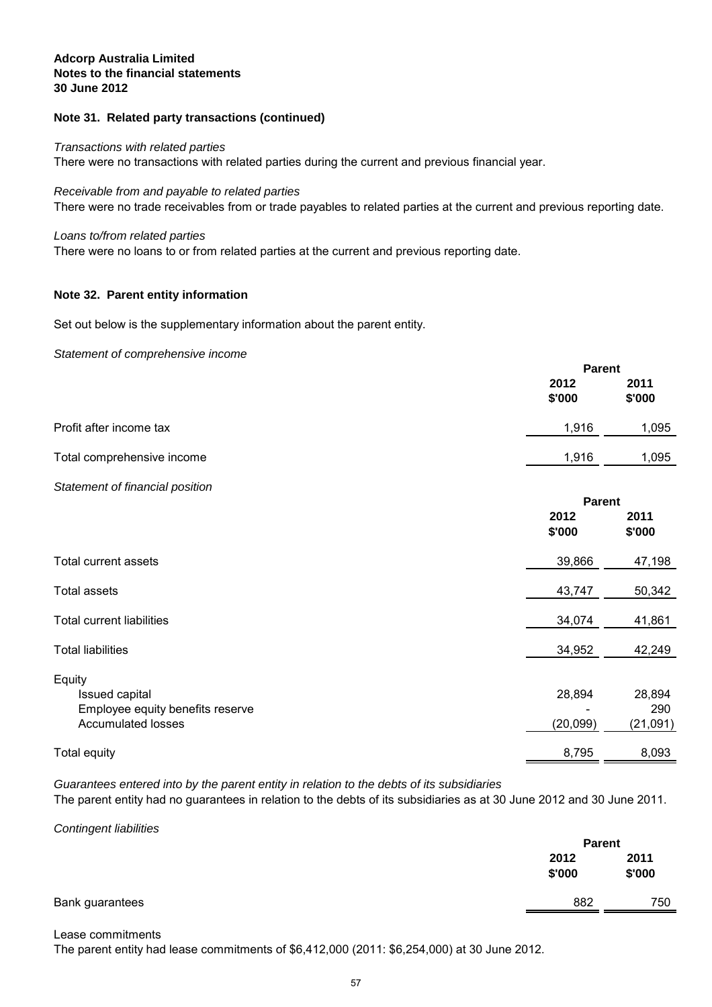## **Note 31. Related party transactions (continued)**

#### Transactions with related parties

There were no transactions with related parties during the current and previous financial year.

There were no trade receivables from or trade payables to related parties at the current and previous reporting date. Receivable from and payable to related parties

#### Loans to/from related parties

There were no loans to or from related parties at the current and previous reporting date.

#### **Note 32. Parent entity information**

Set out below is the supplementary information about the parent entity.

#### Statement of comprehensive income

|                            |                | <b>Parent</b>  |  |
|----------------------------|----------------|----------------|--|
|                            | 2012<br>\$'000 | 2011<br>\$'000 |  |
| Profit after income tax    | 1.916          | 1,095          |  |
| Total comprehensive income | 1,916          | 1,095          |  |

## Statement of financial position

|                                                                                           | <b>Parent</b>      |                           |
|-------------------------------------------------------------------------------------------|--------------------|---------------------------|
|                                                                                           | 2012<br>\$'000     | 2011<br>\$'000            |
| Total current assets                                                                      | 39,866             | 47,198                    |
| <b>Total assets</b>                                                                       | 43,747             | 50,342                    |
| Total current liabilities                                                                 | 34,074             | 41,861                    |
| <b>Total liabilities</b>                                                                  | 34,952             | 42,249                    |
| Equity<br>Issued capital<br>Employee equity benefits reserve<br><b>Accumulated losses</b> | 28,894<br>(20,099) | 28,894<br>290<br>(21,091) |
| <b>Total equity</b>                                                                       | 8,795              | 8,093                     |

Guarantees entered into by the parent entity in relation to the debts of its subsidiaries

The parent entity had no guarantees in relation to the debts of its subsidiaries as at 30 June 2012 and 30 June 2011.

Contingent liabilities

| $\sim$          |                | <b>Parent</b>  |
|-----------------|----------------|----------------|
|                 | 2012<br>\$'000 | 2011<br>\$'000 |
| Bank guarantees | 882            | 750            |
|                 |                |                |

Lease commitments

The parent entity had lease commitments of \$6,412,000 (2011: \$6,254,000) at 30 June 2012.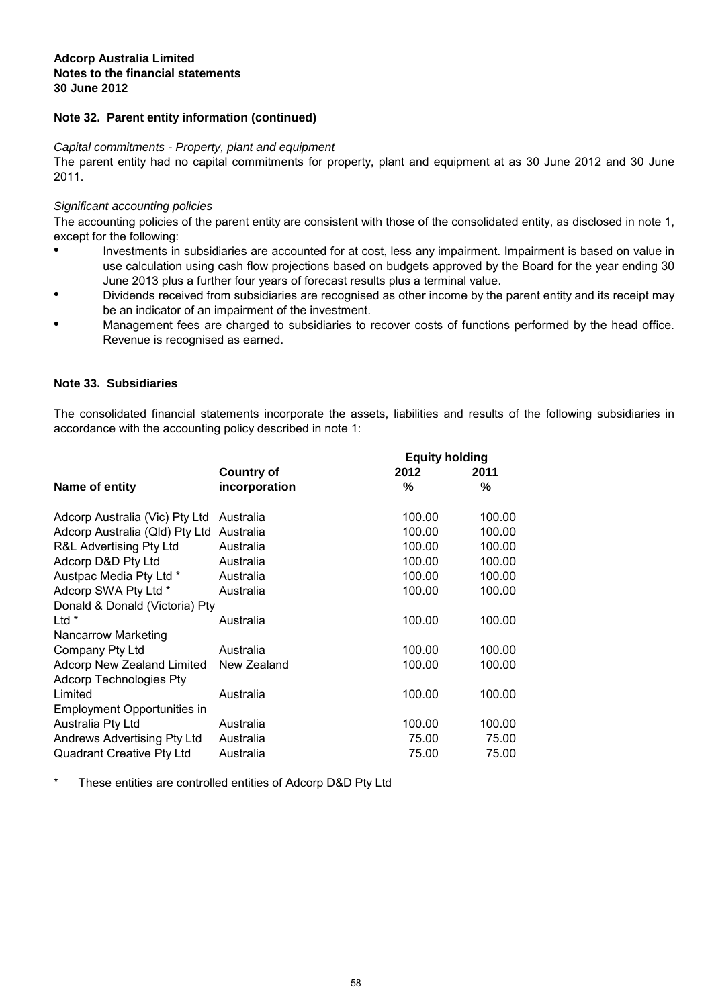## **Note 32. Parent entity information (continued)**

#### Capital commitments - Property, plant and equipment

The parent entity had no capital commitments for property, plant and equipment at as 30 June 2012 and 30 June 2011.

## Significant accounting policies

The accounting policies of the parent entity are consistent with those of the consolidated entity, as disclosed in note 1, except for the following:

- Investments in subsidiaries are accounted for at cost, less any impairment. Impairment is based on value in use calculation using cash flow projections based on budgets approved by the Board for the year ending 30 June 2013 plus a further four years of forecast results plus a terminal value.
- Dividends received from subsidiaries are recognised as other income by the parent entity and its receipt may be an indicator of an impairment of the investment.
- Management fees are charged to subsidiaries to recover costs of functions performed by the head office. Revenue is recognised as earned.

## **Note 33. Subsidiaries**

The consolidated financial statements incorporate the assets, liabilities and results of the following subsidiaries in accordance with the accounting policy described in note 1:

|                                |                   | <b>Equity holding</b> |        |  |
|--------------------------------|-------------------|-----------------------|--------|--|
|                                | <b>Country of</b> | 2012                  | 2011   |  |
| Name of entity                 | incorporation     | %                     | ℅      |  |
| Adcorp Australia (Vic) Pty Ltd | Australia         | 100.00                | 100.00 |  |
| Adcorp Australia (Qld) Pty Ltd | Australia         | 100.00                | 100.00 |  |
| R&L Advertising Pty Ltd        | Australia         | 100.00                | 100.00 |  |
| Adcorp D&D Pty Ltd             | Australia         | 100.00                | 100.00 |  |
| Austpac Media Pty Ltd *        | Australia         | 100.00                | 100.00 |  |
| Adcorp SWA Pty Ltd *           | Australia         | 100.00                | 100.00 |  |
| Donald & Donald (Victoria) Pty |                   |                       |        |  |
| $Ltd*$                         | Australia         | 100.00                | 100.00 |  |
| <b>Nancarrow Marketing</b>     |                   |                       |        |  |
| Company Pty Ltd                | Australia         | 100.00                | 100.00 |  |
| Adcorp New Zealand Limited     | New Zealand       | 100.00                | 100.00 |  |
| <b>Adcorp Technologies Pty</b> |                   |                       |        |  |
| Limited                        | Australia         | 100.00                | 100.00 |  |
| Employment Opportunities in    |                   |                       |        |  |
| Australia Pty Ltd              | Australia         | 100.00                | 100.00 |  |
| Andrews Advertising Pty Ltd    | Australia         | 75.00                 | 75.00  |  |
| Quadrant Creative Pty Ltd      | Australia         | 75.00                 | 75.00  |  |
|                                |                   |                       |        |  |

\* These entities are controlled entities of Adcorp D&D Pty Ltd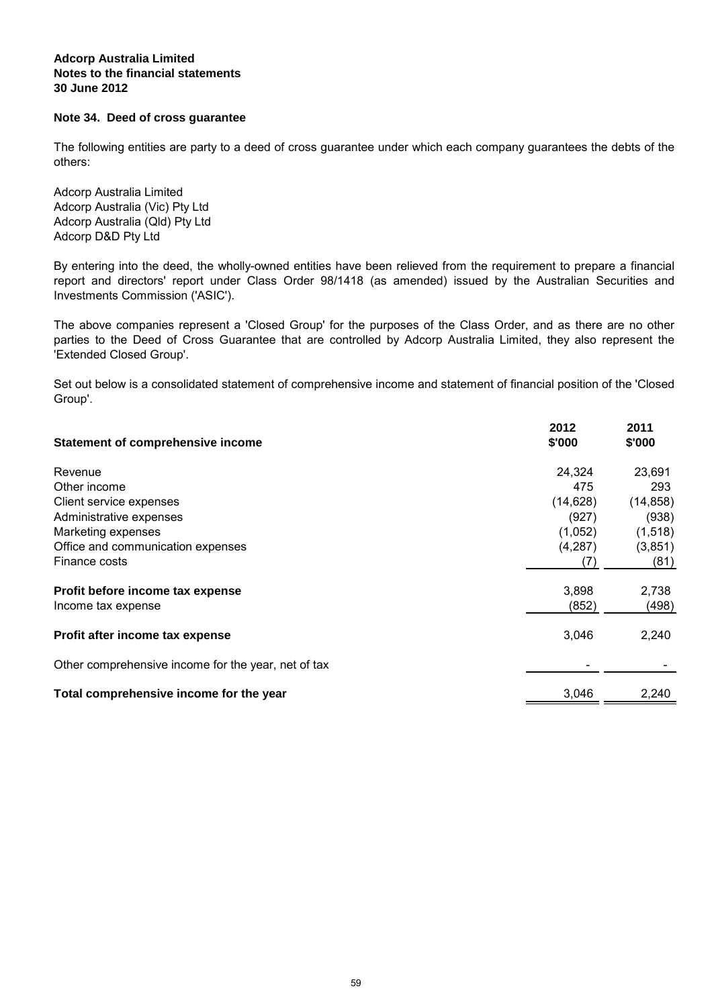## **Note 34. Deed of cross guarantee**

The following entities are party to a deed of cross guarantee under which each company guarantees the debts of the others:

Adcorp D&D Pty Ltd Adcorp Australia Limited Adcorp Australia (Vic) Pty Ltd Adcorp Australia (Qld) Pty Ltd

By entering into the deed, the wholly-owned entities have been relieved from the requirement to prepare a financial report and directors' report under Class Order 98/1418 (as amended) issued by the Australian Securities and Investments Commission ('ASIC').

The above companies represent a 'Closed Group' for the purposes of the Class Order, and as there are no other parties to the Deed of Cross Guarantee that are controlled by Adcorp Australia Limited, they also represent the 'Extended Closed Group'.

Set out below is a consolidated statement of comprehensive income and statement of financial position of the 'Closed Group'.

| <b>Statement of comprehensive income</b>            | 2012<br>\$'000 | 2011<br>\$'000 |
|-----------------------------------------------------|----------------|----------------|
| Revenue                                             | 24,324         | 23,691         |
| Other income                                        | 475            | 293            |
| Client service expenses                             | (14, 628)      | (14, 858)      |
| Administrative expenses                             | (927)          | (938)          |
| Marketing expenses                                  | (1,052)        | (1,518)        |
| Office and communication expenses                   | (4,287)        | (3,851)        |
| Finance costs                                       | (7)            | (81)           |
| Profit before income tax expense                    | 3,898          | 2,738          |
| Income tax expense                                  | (852)          | (498)          |
| Profit after income tax expense                     | 3,046          | 2,240          |
| Other comprehensive income for the year, net of tax |                |                |
| Total comprehensive income for the year             | 3,046          | 2,240          |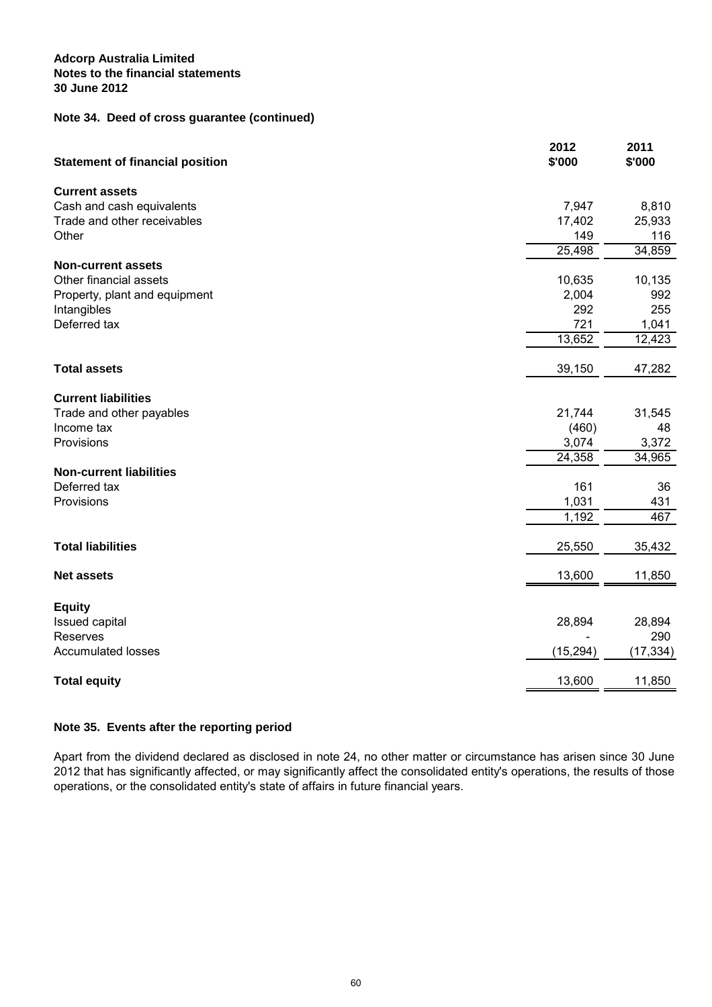## **Note 34. Deed of cross guarantee (continued)**

| <b>Statement of financial position</b> | 2012<br>\$'000 | 2011<br>\$'000 |
|----------------------------------------|----------------|----------------|
| <b>Current assets</b>                  |                |                |
| Cash and cash equivalents              | 7,947          | 8,810          |
| Trade and other receivables            | 17,402         | 25,933         |
| Other                                  | 149            | 116            |
|                                        | 25,498         | 34,859         |
| <b>Non-current assets</b>              |                |                |
| Other financial assets                 | 10,635         | 10,135         |
| Property, plant and equipment          | 2,004          | 992            |
| Intangibles                            | 292            | 255            |
| Deferred tax                           | 721            | 1,041          |
|                                        | 13,652         | 12,423         |
| <b>Total assets</b>                    | 39,150         | 47,282         |
|                                        |                |                |
| <b>Current liabilities</b>             |                |                |
| Trade and other payables               | 21,744         | 31,545         |
| Income tax                             | (460)          | 48             |
| Provisions                             | 3,074          | 3,372          |
|                                        | 24,358         | 34,965         |
| <b>Non-current liabilities</b>         |                |                |
| Deferred tax                           | 161            | 36             |
| Provisions                             | 1,031          | 431            |
|                                        | 1,192          | 467            |
|                                        |                |                |
| <b>Total liabilities</b>               | 25,550         | 35,432         |
| <b>Net assets</b>                      | 13,600         | 11,850         |
|                                        |                |                |
| <b>Equity</b>                          |                |                |
| Issued capital                         | 28,894         | 28,894         |
| Reserves                               |                | 290            |
| <b>Accumulated losses</b>              | (15, 294)      | (17, 334)      |
| <b>Total equity</b>                    | 13,600         | 11,850         |

## **Note 35. Events after the reporting period**

Apart from the dividend declared as disclosed in note 24, no other matter or circumstance has arisen since 30 June 2012 that has significantly affected, or may significantly affect the consolidated entity's operations, the results of those operations, or the consolidated entity's state of affairs in future financial years.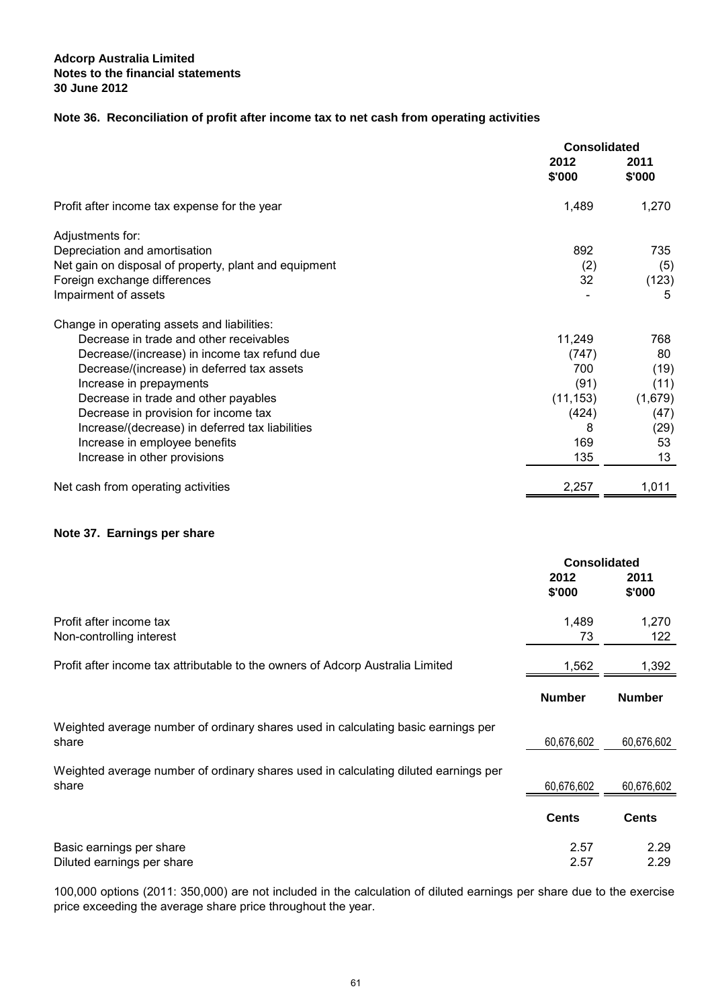## **Note 36. Reconciliation of profit after income tax to net cash from operating activities**

|                                                       | <b>Consolidated</b> |                |
|-------------------------------------------------------|---------------------|----------------|
|                                                       | 2012<br>\$'000      | 2011<br>\$'000 |
| Profit after income tax expense for the year          | 1,489               | 1,270          |
| Adjustments for:                                      |                     |                |
| Depreciation and amortisation                         | 892                 | 735            |
| Net gain on disposal of property, plant and equipment | (2)                 | (5)            |
| Foreign exchange differences                          | 32                  | (123)          |
| Impairment of assets                                  |                     | 5              |
| Change in operating assets and liabilities:           |                     |                |
| Decrease in trade and other receivables               | 11,249              | 768            |
| Decrease/(increase) in income tax refund due          | (747)               | 80             |
| Decrease/(increase) in deferred tax assets            | 700                 | (19)           |
| Increase in prepayments                               | (91)                | (11)           |
| Decrease in trade and other payables                  | (11, 153)           | (1,679)        |
| Decrease in provision for income tax                  | (424)               | (47)           |
| Increase/(decrease) in deferred tax liabilities       | 8                   | (29)           |
| Increase in employee benefits                         | 169                 | 53             |
| Increase in other provisions                          | 135                 | 13             |
| Net cash from operating activities                    | 2,257               | 1,011          |
|                                                       |                     |                |

## **Note 37. Earnings per share**

|                                                                                              | <b>Consolidated</b> |                |
|----------------------------------------------------------------------------------------------|---------------------|----------------|
|                                                                                              | 2012<br>\$'000      | 2011<br>\$'000 |
| Profit after income tax<br>Non-controlling interest                                          | 1,489<br>73         | 1,270<br>122   |
| Profit after income tax attributable to the owners of Adcorp Australia Limited               | 1,562               | 1,392          |
|                                                                                              | <b>Number</b>       | <b>Number</b>  |
| Weighted average number of ordinary shares used in calculating basic earnings per<br>share   | 60,676,602          | 60,676,602     |
| Weighted average number of ordinary shares used in calculating diluted earnings per<br>share | 60,676,602          | 60,676,602     |
|                                                                                              | <b>Cents</b>        | <b>Cents</b>   |
| Basic earnings per share<br>Diluted earnings per share                                       | 2.57<br>2.57        | 2.29<br>2.29   |

100,000 options (2011: 350,000) are not included in the calculation of diluted earnings per share due to the exercise price exceeding the average share price throughout the year.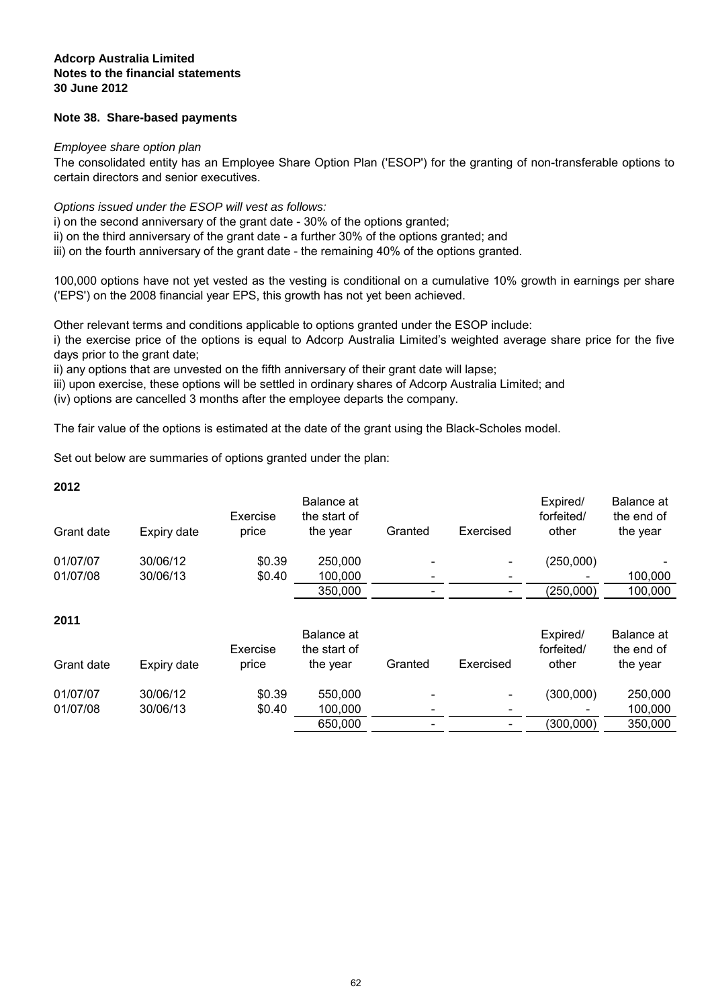## **Note 38. Share-based payments**

#### Employee share option plan

The consolidated entity has an Employee Share Option Plan ('ESOP') for the granting of non-transferable options to certain directors and senior executives.

## Options issued under the ESOP will vest as follows:

i) on the second anniversary of the grant date - 30% of the options granted; ii) on the third anniversary of the grant date - a further 30% of the options granted; and iii) on the fourth anniversary of the grant date - the remaining 40% of the options granted.

100,000 options have not yet vested as the vesting is conditional on a cumulative 10% growth in earnings per share ('EPS') on the 2008 financial year EPS, this growth has not yet been achieved.

Other relevant terms and conditions applicable to options granted under the ESOP include:

i) the exercise price of the options is equal to Adcorp Australia Limited's weighted average share price for the five days prior to the grant date;

ii) any options that are unvested on the fifth anniversary of their grant date will lapse;

iii) upon exercise, these options will be settled in ordinary shares of Adcorp Australia Limited; and

(iv) options are cancelled 3 months after the employee departs the company.

The fair value of the options is estimated at the date of the grant using the Black-Scholes model.

Set out below are summaries of options granted under the plan:

| <b>2012</b> |             | Exercise | Balance at<br>the start of |                          |           | Expired/<br>forfeited/ | Balance at<br>the end of |
|-------------|-------------|----------|----------------------------|--------------------------|-----------|------------------------|--------------------------|
| Grant date  | Expiry date | price    | the year                   | Granted                  | Exercised | other                  | the year                 |
| 01/07/07    | 30/06/12    | \$0.39   | 250,000                    |                          |           | (250,000)              |                          |
| 01/07/08    | 30/06/13    | \$0.40   | 100,000                    | $\overline{\phantom{0}}$ |           |                        | 100,000                  |
|             |             |          | 350,000                    | $\overline{\phantom{a}}$ |           | (250,000)              | 100,000                  |
|             |             |          |                            |                          |           |                        |                          |

### **2011**

**2012**

| Grant date | Expiry date | Exercise<br>price | Balance at<br>the start of<br>the year | Granted                      | Exercised | Expired/<br>forfeited/<br>other | Balance at<br>the end of<br>the year |
|------------|-------------|-------------------|----------------------------------------|------------------------------|-----------|---------------------------------|--------------------------------------|
| 01/07/07   | 30/06/12    | \$0.39            | 550,000                                | $\overline{\phantom{a}}$     | $\sim$    | (300,000)                       | 250,000                              |
| 01/07/08   | 30/06/13    | \$0.40            | 100.000                                | $\qquad \qquad \blacksquare$ | -         |                                 | 100,000                              |
|            |             |                   | 650,000                                |                              |           | (300,000)                       | 350,000                              |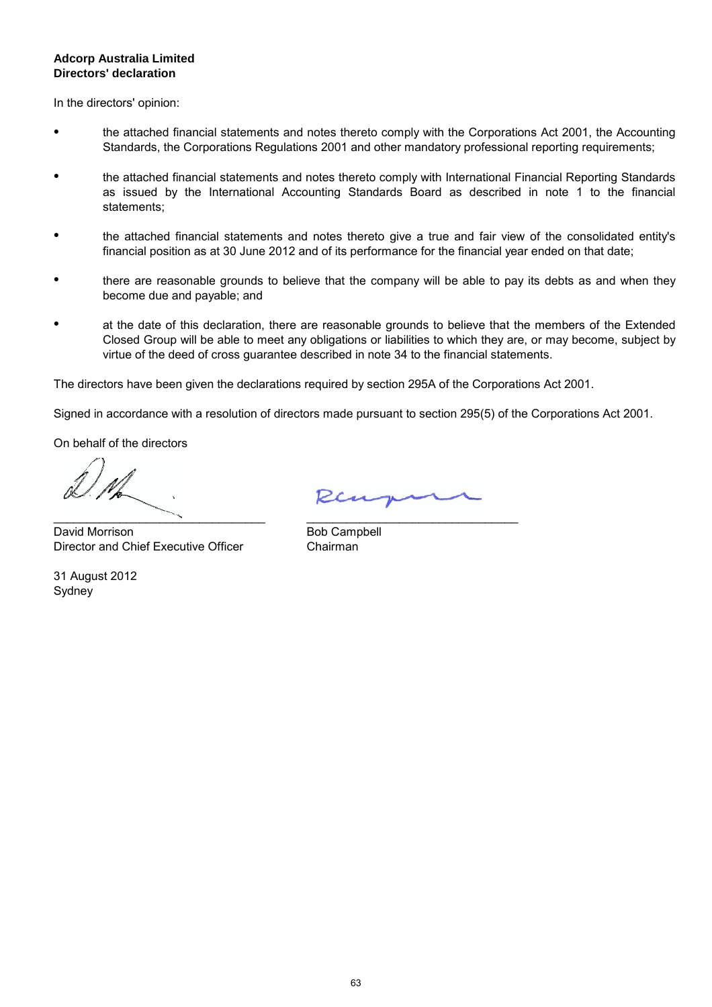## **Directors' declaration Adcorp Australia Limited**

In the directors' opinion:

- the attached financial statements and notes thereto comply with the Corporations Act 2001, the Accounting Standards, the Corporations Regulations 2001 and other mandatory professional reporting requirements;
- the attached financial statements and notes thereto comply with International Financial Reporting Standards as issued by the International Accounting Standards Board as described in note 1 to the financial statements;
- the attached financial statements and notes thereto give a true and fair view of the consolidated entity's financial position as at 30 June 2012 and of its performance for the financial year ended on that date;
- there are reasonable grounds to believe that the company will be able to pay its debts as and when they become due and payable; and
- at the date of this declaration, there are reasonable grounds to believe that the members of the Extended Closed Group will be able to meet any obligations or liabilities to which they are, or may become, subject by virtue of the deed of cross guarantee described in note 34 to the financial statements.

The directors have been given the declarations required by section 295A of the Corporations Act 2001.

Signed in accordance with a resolution of directors made pursuant to section 295(5) of the Corporations Act 2001.

On behalf of the directors

\_\_\_\_\_\_\_\_\_\_\_\_\_\_\_\_\_\_\_\_\_\_\_\_\_\_\_\_\_\_\_\_

David Morrison Director and Chief Executive Officer

Sydney 31 August 2012

Ren

Bob Campbell \_\_\_\_\_\_\_\_\_\_\_\_\_\_\_\_\_\_\_\_\_\_\_\_\_\_\_\_\_\_\_\_ Chairman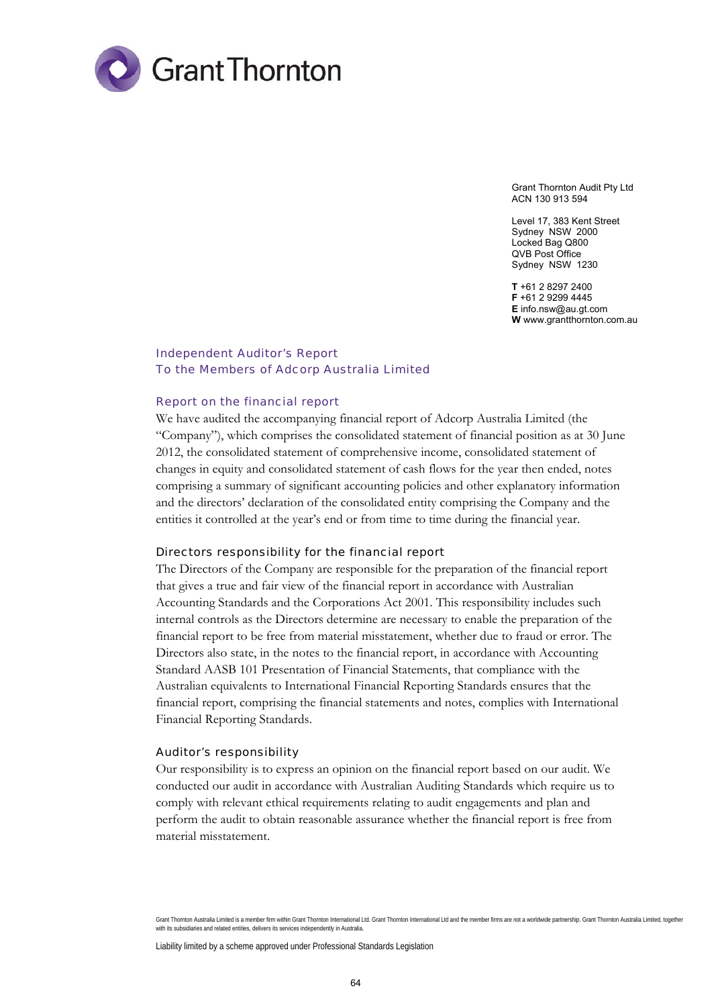

Grant Thornton Audit Pty Ltd ACN 130 913 594

Level 17, 383 Kent Street Sydney NSW 2000 Locked Bag Q800 QVB Post Office Sydney NSW 1230

**T** +61 2 8297 2400 **F** +61 2 9299 4445 **E** info.nsw@au.gt.com **W** www.grantthornton.com.au

#### Independent Auditor's Report To the Members of Adcorp Australia Limited

#### Report on the financial report

We have audited the accompanying financial report of Adcorp Australia Limited (the "Company"), which comprises the consolidated statement of financial position as at 30 June 2012, the consolidated statement of comprehensive income, consolidated statement of changes in equity and consolidated statement of cash flows for the year then ended, notes comprising a summary of significant accounting policies and other explanatory information and the directors' declaration of the consolidated entity comprising the Company and the entities it controlled at the year's end or from time to time during the financial year.

#### Directors responsibility for the financial report

The Directors of the Company are responsible for the preparation of the financial report that gives a true and fair view of the financial report in accordance with Australian Accounting Standards and the Corporations Act 2001. This responsibility includes such internal controls as the Directors determine are necessary to enable the preparation of the financial report to be free from material misstatement, whether due to fraud or error. The Directors also state, in the notes to the financial report, in accordance with Accounting Standard AASB 101 Presentation of Financial Statements, that compliance with the Australian equivalents to International Financial Reporting Standards ensures that the financial report, comprising the financial statements and notes, complies with International Financial Reporting Standards.

#### Auditor's responsibility

Our responsibility is to express an opinion on the financial report based on our audit. We conducted our audit in accordance with Australian Auditing Standards which require us to comply with relevant ethical requirements relating to audit engagements and plan and perform the audit to obtain reasonable assurance whether the financial report is free from material misstatement.

Grant Thornton Australia Limited is a member firm within Grant Thornton International Ltd. Grant Thornton International Ltd and the member firms are not a worldwide partnership. Grant Thornton Australia Limited, together with its subsidiaries and related entities, delivers its services independently in Australia.

Liability limited by a scheme approved under Professional Standards Legislation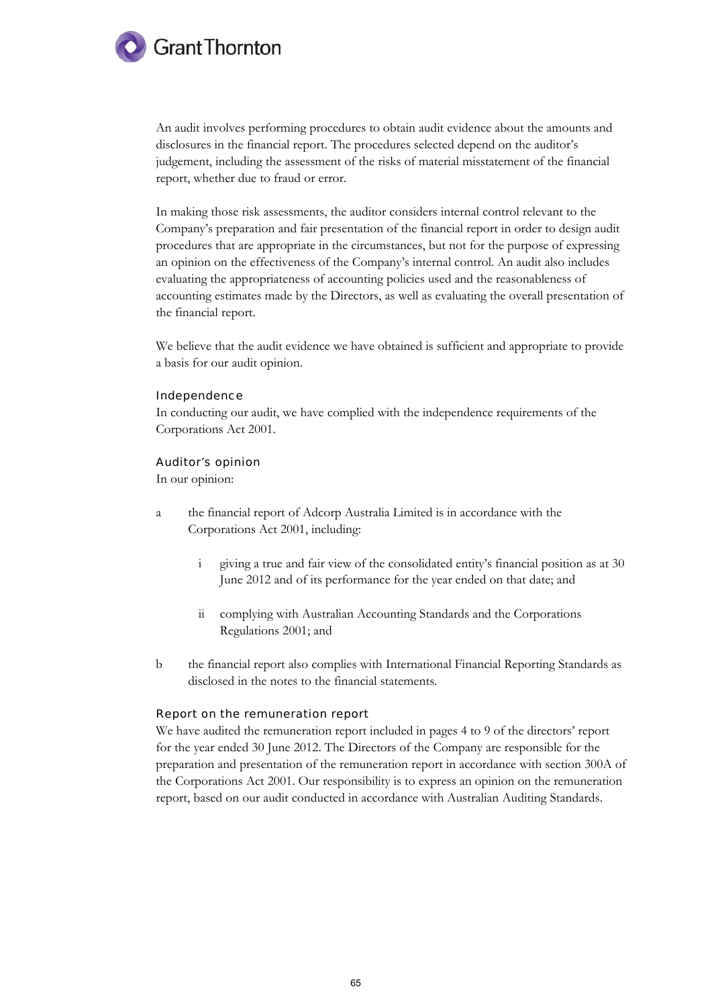

An audit involves performing procedures to obtain audit evidence about the amounts and disclosures in the financial report. The procedures selected depend on the auditor's judgement, including the assessment of the risks of material misstatement of the financial report, whether due to fraud or error.

In making those risk assessments, the auditor considers internal control relevant to the Company's preparation and fair presentation of the financial report in order to design audit procedures that are appropriate in the circumstances, but not for the purpose of expressing an opinion on the effectiveness of the Company's internal control. An audit also includes evaluating the appropriateness of accounting policies used and the reasonableness of accounting estimates made by the Directors, as well as evaluating the overall presentation of the financial report.

We believe that the audit evidence we have obtained is sufficient and appropriate to provide a basis for our audit opinion.

#### Independence

In conducting our audit, we have complied with the independence requirements of the Corporations Act 2001.

#### Auditor's opinion

In our opinion:

- a the financial report of Adcorp Australia Limited is in accordance with the Corporations Act 2001, including:
	- i giving a true and fair view of the consolidated entity's financial position as at 30 June 2012 and of its performance for the year ended on that date; and
	- ii complying with Australian Accounting Standards and the Corporations Regulations 2001; and
- b the financial report also complies with International Financial Reporting Standards as disclosed in the notes to the financial statements.

#### Report on the remuneration report

We have audited the remuneration report included in pages 4 to 9 of the directors' report for the year ended 30 June 2012. The Directors of the Company are responsible for the preparation and presentation of the remuneration report in accordance with section 300A of the Corporations Act 2001. Our responsibility is to express an opinion on the remuneration report, based on our audit conducted in accordance with Australian Auditing Standards.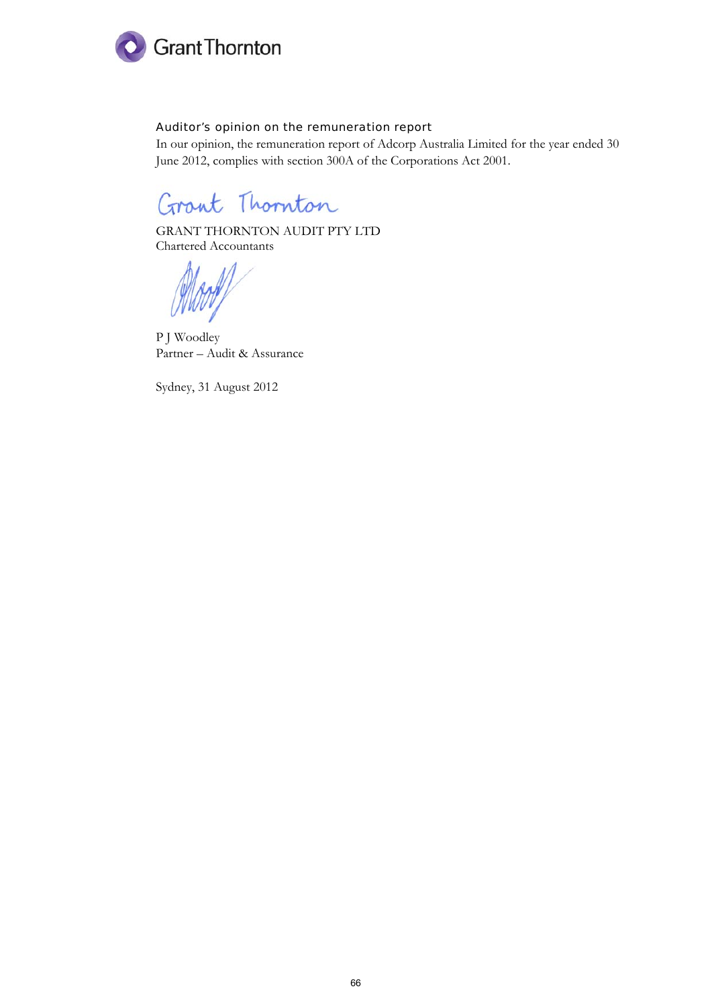

## Auditor's opinion on the remuneration report

In our opinion, the remuneration report of Adcorp Australia Limited for the year ended 30 June 2012, complies with section 300A of the Corporations Act 2001.

Grant Thornton

GRANT THORNTON AUDIT PTY LTD Chartered Accountants

P J Woodley Partner – Audit & Assurance

Sydney, 31 August 2012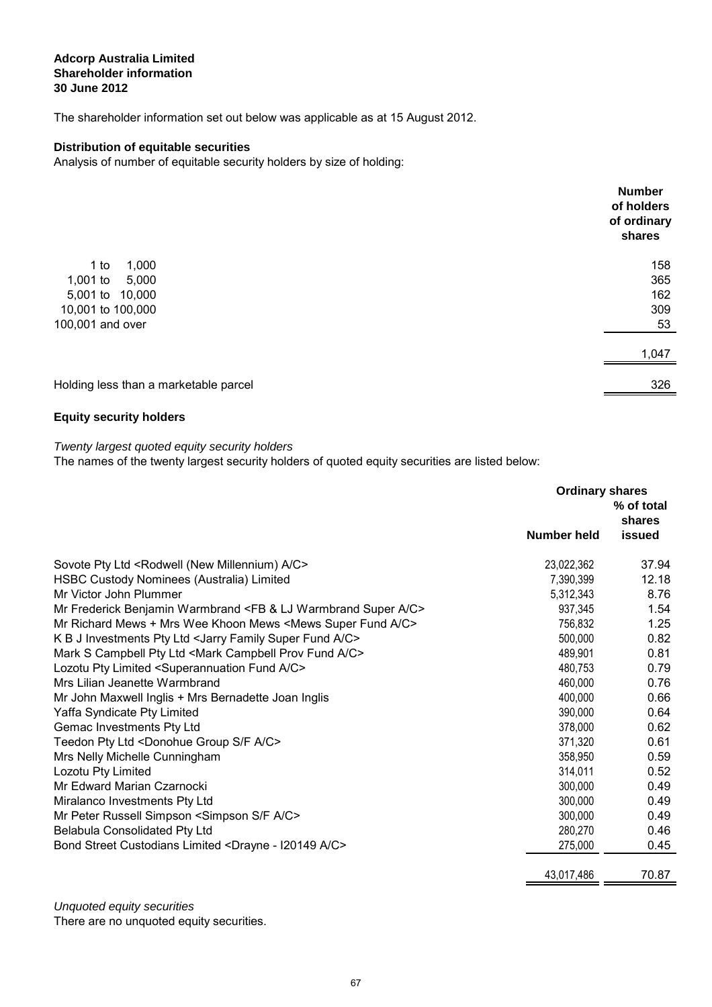## **Adcorp Australia Limited 30 June 2012 Shareholder information**

The shareholder information set out below was applicable as at 15 August 2012.

## **Distribution of equitable securities**

Analysis of number of equitable security holders by size of holding:

|                                       | <b>Number</b><br>of holders<br>of ordinary<br>shares |
|---------------------------------------|------------------------------------------------------|
| 1,000<br>$1$ to                       | 158                                                  |
| 1,001 to<br>5,000                     | 365                                                  |
| 5,001 to 10,000                       | 162                                                  |
| 10,001 to 100,000                     | 309                                                  |
| 100,001 and over                      | 53                                                   |
|                                       | 1,047                                                |
| Holding less than a marketable parcel | 326                                                  |
|                                       |                                                      |

## **Equity security holders**

Twenty largest quoted equity security holders

The names of the twenty largest security holders of quoted equity securities are listed below:

|                                                                                      | <b>Ordinary shares</b><br>% of total<br>shares |        |
|--------------------------------------------------------------------------------------|------------------------------------------------|--------|
|                                                                                      | Number held                                    | issued |
| Sovote Pty Ltd <rodwell (new="" a="" c="" millennium)=""></rodwell>                  | 23,022,362                                     | 37.94  |
| HSBC Custody Nominees (Australia) Limited                                            | 7,390,399                                      | 12.18  |
| Mr Victor John Plummer                                                               | 5,312,343                                      | 8.76   |
| Mr Frederick Benjamin Warmbrand <fb &="" a="" c="" lj="" super="" warmbrand=""></fb> | 937,345                                        | 1.54   |
| Mr Richard Mews + Mrs Wee Khoon Mews < Mews Super Fund A/C>                          | 756,832                                        | 1.25   |
| K B J Investments Pty Ltd < Jarry Family Super Fund A/C>                             | 500,000                                        | 0.82   |
| Mark S Campbell Pty Ltd <mark a="" c="" campbell="" fund="" prov=""></mark>          | 489,901                                        | 0.81   |
| Lozotu Pty Limited <superannuation a="" c="" fund=""></superannuation>               | 480,753                                        | 0.79   |
| Mrs Lilian Jeanette Warmbrand                                                        | 460,000                                        | 0.76   |
| Mr John Maxwell Inglis + Mrs Bernadette Joan Inglis                                  | 400,000                                        | 0.66   |
| Yaffa Syndicate Pty Limited                                                          | 390,000                                        | 0.64   |
| Gemac Investments Pty Ltd                                                            | 378,000                                        | 0.62   |
| Teedon Pty Ltd <donohue a="" c="" f="" group="" s=""></donohue>                      | 371,320                                        | 0.61   |
| Mrs Nelly Michelle Cunningham                                                        | 358,950                                        | 0.59   |
| Lozotu Pty Limited                                                                   | 314,011                                        | 0.52   |
| Mr Edward Marian Czarnocki                                                           | 300,000                                        | 0.49   |
| Miralanco Investments Pty Ltd                                                        | 300,000                                        | 0.49   |
| Mr Peter Russell Simpson <simpson a="" c="" f="" s=""></simpson>                     | 300,000                                        | 0.49   |
| Belabula Consolidated Pty Ltd                                                        | 280,270                                        | 0.46   |
| Bond Street Custodians Limited <drayne -="" a="" c="" i20149=""></drayne>            | 275,000                                        | 0.45   |
|                                                                                      | 43,017,486                                     | 70.87  |

There are no unquoted equity securities. Unquoted equity securities